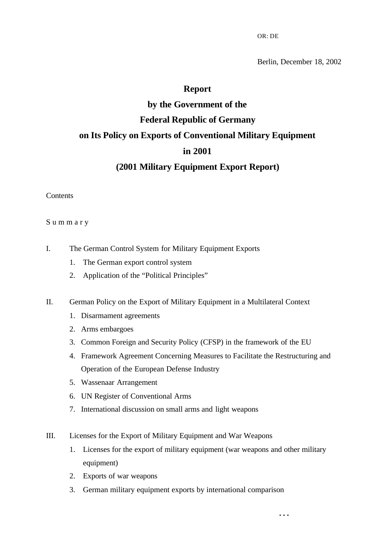OR: DE

Berlin, December 18, 2002

## **Report**

## **by the Government of the**

### **Federal Republic of Germany**

## **on Its Policy on Exports of Conventional Military Equipment**

## **in 2001**

## **(2001 Military Equipment Export Report)**

**Contents** 

S u m m a r y

- I. The German Control System for Military Equipment Exports
	- 1. The German export control system
	- 2. Application of the "Political Principles"
- II. German Policy on the Export of Military Equipment in a Multilateral Context
	- 1. Disarmament agreements
	- 2. Arms embargoes
	- 3. Common Foreign and Security Policy (CFSP) in the framework of the EU
	- 4. Framework Agreement Concerning Measures to Facilitate the Restructuring and Operation of the European Defense Industry
	- 5. Wassenaar Arrangement
	- 6. UN Register of Conventional Arms
	- 7. International discussion on small arms and light weapons
- III. Licenses for the Export of Military Equipment and War Weapons
	- 1. Licenses for the export of military equipment (war weapons and other military equipment)
	- 2. Exports of war weapons
	- 3. German military equipment exports by international comparison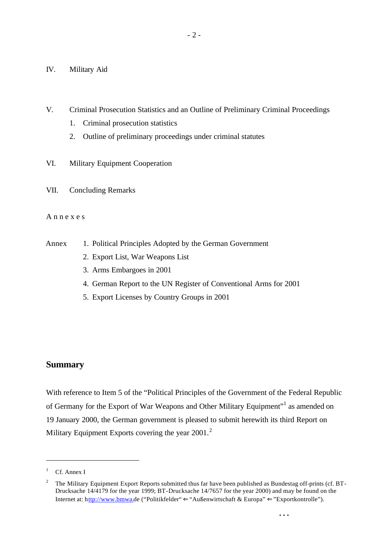- IV. Military Aid
- V. Criminal Prosecution Statistics and an Outline of Preliminary Criminal Proceedings
	- 1. Criminal prosecution statistics
	- 2. Outline of preliminary proceedings under criminal statutes
- VI. Military Equipment Cooperation

VII. Concluding Remarks

#### A n n e x e s

- Annex 1. Political Principles Adopted by the German Government
	- 2. Export List, War Weapons List
	- 3. Arms Embargoes in 2001
	- 4. German Report to the UN Register of Conventional Arms for 2001
	- 5. Export Licenses by Country Groups in 2001

### **Summary**

With reference to Item 5 of the "Political Principles of the Government of the Federal Republic of Germany for the Export of War Weapons and Other Military Equipment"<sup>1</sup> as amended on 19 January 2000, the German government is pleased to submit herewith its third Report on Military Equipment Exports covering the year  $2001<sup>2</sup>$ 

 $1$  Cf. Annex I

<sup>2</sup> The Military Equipment Export Reports submitted thus far have been published as Bundestag off-prints (cf. BT-Drucksache 14/4179 for the year 1999; BT-Drucksache 14/7657 for the year 2000) and may be found on the Internet at: http://www.bmwa.de ("Politikfelder" ⇐"Außenwirtschaft & Europa" ⇐"Exportkontrolle").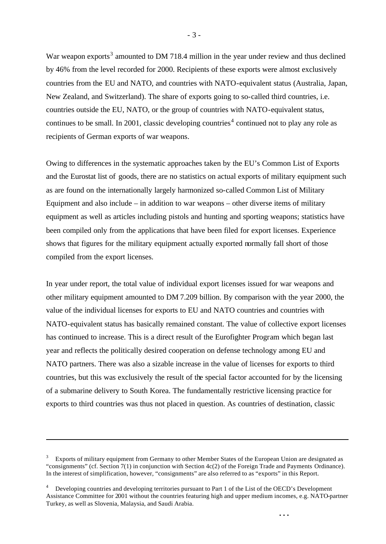War weapon exports<sup>3</sup> amounted to DM 718.4 million in the year under review and thus declined by 46% from the level recorded for 2000. Recipients of these exports were almost exclusively countries from the EU and NATO, and countries with NATO-equivalent status (Australia, Japan, New Zealand, and Switzerland). The share of exports going to so-called third countries, i.e. countries outside the EU, NATO, or the group of countries with NATO-equivalent status, continues to be small. In 2001, classic developing countries<sup>4</sup> continued not to play any role as recipients of German exports of war weapons.

Owing to differences in the systematic approaches taken by the EU's Common List of Exports and the Eurostat list of goods, there are no statistics on actual exports of military equipment such as are found on the internationally largely harmonized so-called Common List of Military Equipment and also include – in addition to war weapons – other diverse items of military equipment as well as articles including pistols and hunting and sporting weapons; statistics have been compiled only from the applications that have been filed for export licenses. Experience shows that figures for the military equipment actually exported normally fall short of those compiled from the export licenses.

In year under report, the total value of individual export licenses issued for war weapons and other military equipment amounted to DM 7.209 billion. By comparison with the year 2000, the value of the individual licenses for exports to EU and NATO countries and countries with NATO-equivalent status has basically remained constant. The value of collective export licenses has continued to increase. This is a direct result of the Eurofighter Program which began last year and reflects the politically desired cooperation on defense technology among EU and NATO partners. There was also a sizable increase in the value of licenses for exports to third countries, but this was exclusively the result of the special factor accounted for by the licensing of a submarine delivery to South Korea. The fundamentally restrictive licensing practice for exports to third countries was thus not placed in question. As countries of destination, classic

l

**. . .**

- 3 -

<sup>3</sup> Exports of military equipment from Germany to other Member States of the European Union are designated as "consignments" (cf. Section 7(1) in conjunction with Section 4c(2) of the Foreign Trade and Payments Ordinance). In the interest of simplification, however, "consignments" are also referred to as "exports" in this Report.

 $4$  Developing countries and developing territories pursuant to Part 1 of the List of the OECD's Development Assistance Committee for 2001 without the countries featuring high and upper medium incomes, e.g. NATO-partner Turkey, as well as Slovenia, Malaysia, and Saudi Arabia.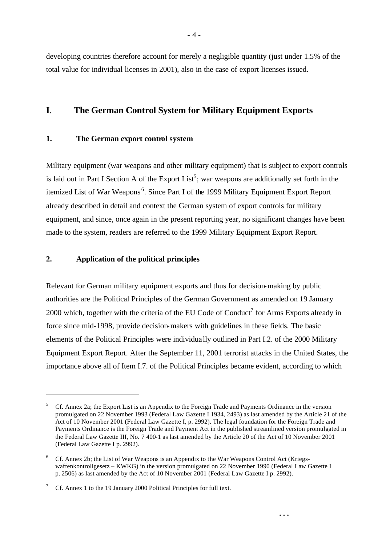developing countries therefore account for merely a negligible quantity (just under 1.5% of the total value for individual licenses in 2001), also in the case of export licenses issued.

## **I**. **The German Control System for Military Equipment Exports**

#### **1. The German export control system**

Military equipment (war weapons and other military equipment) that is subject to export controls is laid out in Part I Section A of the Export List<sup>5</sup>; war weapons are additionally set forth in the itemized List of War Weapons<sup>6</sup>. Since Part I of the 1999 Military Equipment Export Report already described in detail and context the German system of export controls for military equipment, and since, once again in the present reporting year, no significant changes have been made to the system, readers are referred to the 1999 Military Equipment Export Report.

#### **2. Application of the political principles**

l

Relevant for German military equipment exports and thus for decision-making by public authorities are the Political Principles of the German Government as amended on 19 January 2000 which, together with the criteria of the EU Code of Conduct<sup>7</sup> for Arms Exports already in force since mid-1998, provide decision-makers with guidelines in these fields. The basic elements of the Political Principles were individua lly outlined in Part I.2. of the 2000 Military Equipment Export Report. After the September 11, 2001 terrorist attacks in the United States, the importance above all of Item I.7. of the Political Principles became evident, according to which

<sup>5</sup> Cf. Annex 2a; the Export List is an Appendix to the Foreign Trade and Payments Ordinance in the version promulgated on 22 November 1993 (Federal Law Gazette I 1934, 2493) as last amended by the Article 21 of the Act of 10 November 2001 (Federal Law Gazette I, p. 2992). The legal foundation for the Foreign Trade and Payments Ordinance is the Foreign Trade and Payment Act in the published streamlined version promulgated in the Federal Law Gazette III, No. 7 400-1 as last amended by the Article 20 of the Act of 10 November 2001 (Federal Law Gazette I p. 2992).

 $6$  Cf. Annex 2b; the List of War Weapons is an Appendix to the War Weapons Control Act (Kriegswaffenkontrollgesetz – KWKG) in the version promulgated on 22 November 1990 (Federal Law Gazette I p. 2506) as last amended by the Act of 10 November 2001 (Federal Law Gazette I p. 2992).

<sup>&</sup>lt;sup>7</sup> Cf. Annex 1 to the 19 January 2000 Political Principles for full text.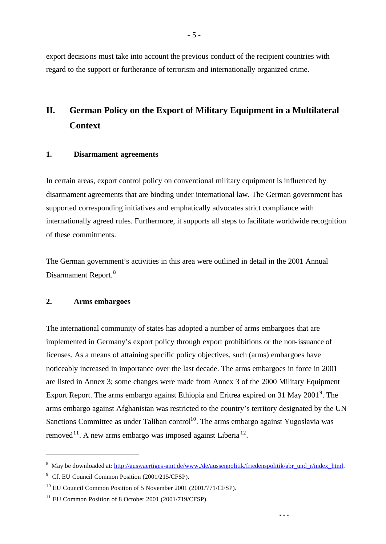export decisions must take into account the previous conduct of the recipient countries with regard to the support or furtherance of terrorism and internationally organized crime.

# **II. German Policy on the Export of Military Equipment in a Multilateral Context**

#### **1. Disarmament agreements**

In certain areas, export control policy on conventional military equipment is influenced by disarmament agreements that are binding under international law. The German government has supported corresponding initiatives and emphatically advocates strict compliance with internationally agreed rules. Furthermore, it supports all steps to facilitate worldwide recognition of these commitments.

The German government's activities in this area were outlined in detail in the 2001 Annual Disarmament Report.<sup>8</sup>

#### **2. Arms embargoes**

l

The international community of states has adopted a number of arms embargoes that are implemented in Germany's export policy through export prohibitions or the non-issuance of licenses. As a means of attaining specific policy objectives, such (arms) embargoes have noticeably increased in importance over the last decade. The arms embargoes in force in 2001 are listed in Annex 3; some changes were made from Annex 3 of the 2000 Military Equipment Export Report. The arms embargo against Ethiopia and Eritrea expired on 31 May 2001<sup>9</sup>. The arms embargo against Afghanistan was restricted to the country's territory designated by the UN Sanctions Committee as under Taliban control<sup>10</sup>. The arms embargo against Yugoslavia was removed  $11$ . A new arms embargo was imposed against Liberia  $12$ .

<sup>&</sup>lt;sup>8</sup> May be downloaded at: http://auswaertiges-amt.de/www./de/aussenpolitik/friedenspolitik/abr\_und\_r/index\_html.

<sup>&</sup>lt;sup>9</sup> Cf. EU Council Common Position (2001/215/CFSP).

<sup>&</sup>lt;sup>10</sup> EU Council Common Position of 5 November 2001 (2001/771/CFSP).

 $11$  EU Common Position of 8 October 2001 (2001/719/CFSP).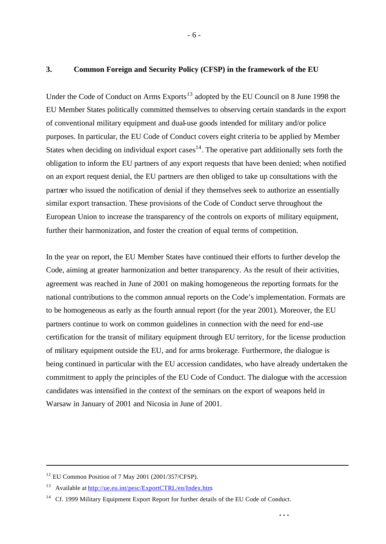#### **3. Common Foreign and Security Policy (CFSP) in the framework of the EU**

Under the Code of Conduct on Arms Exports<sup>13</sup> adopted by the EU Council on 8 June 1998 the EU Member States politically committed themselves to observing certain standards in the export of conventional military equipment and dual-use goods intended for military and/or police purposes. In particular, the EU Code of Conduct covers eight criteria to be applied by Member States when deciding on individual export cases<sup>14</sup>. The operative part additionally sets forth the obligation to inform the EU partners of any export requests that have been denied; when notified on an export request denial, the EU partners are then obliged to take up consultations with the partner who issued the notification of denial if they themselves seek to authorize an essentially similar export transaction. These provisions of the Code of Conduct serve throughout the European Union to increase the transparency of the controls on exports of military equipment, further their harmonization, and foster the creation of equal terms of competition.

In the year on report, the EU Member States have continued their efforts to further develop the Code, aiming at greater harmonization and better transparency. As the result of their activities, agreement was reached in June of 2001 on making homogeneous the reporting formats for the national contributions to the common annual reports on the Code's implementation. Formats are to be homogeneous as early as the fourth annual report (for the year 2001). Moreover, the EU partners continue to work on common guidelines in connection with the need for end-use certification for the transit of military equipment through EU territory, for the license production of military equipment outside the EU, and for arms brokerage. Furthermore, the dialogue is being continued in particular with the EU accession candidates, who have already undertaken the commitment to apply the principles of the EU Code of Conduct. The dialogue with the accession candidates was intensified in the context of the seminars on the export of weapons held in Warsaw in January of 2001 and Nicosia in June of 2001.

l

<sup>12</sup> EU Common Position of 7 May 2001 (2001/357/CFSP).

<sup>13</sup> Available at http://ue.eu.int/pesc/ExportCTRL/en/Index.htm.

<sup>&</sup>lt;sup>14</sup> Cf. 1999 Military Equipment Export Report for further details of the EU Code of Conduct.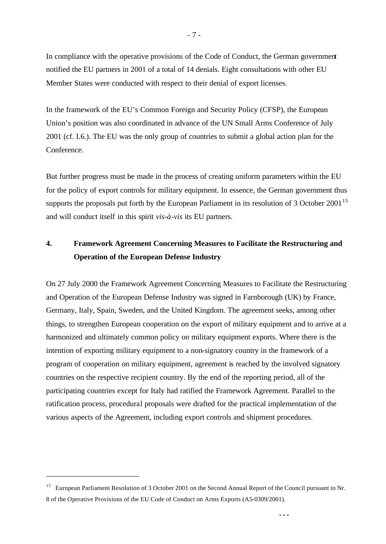In compliance with the operative provisions of the Code of Conduct, the German government notified the EU partners in 2001 of a total of 14 denials. Eight consultations with other EU Member States were conducted with respect to their denial of export licenses.

In the framework of the EU's Common Foreign and Security Policy (CFSP), the European Union's position was also coordinated in advance of the UN Small Arms Conference of July 2001 (cf. I.6.). The EU was the only group of countries to submit a global action plan for the Conference.

But further progress must be made in the process of creating uniform parameters within the EU for the policy of export controls for military equipment. In essence, the German government thus supports the proposals put forth by the European Parliament in its resolution of 3 October 2001<sup>15</sup> and will conduct itself in this spirit *vis-à-vis* its EU partners.

## **4. Framework Agreement Concerning Measures to Facilitate the Restructuring and Operation of the European Defense Industry**

On 27 July 2000 the Framework Agreement Concerning Measures to Facilitate the Restructuring and Operation of the European Defense Industry was signed in Farnborough (UK) by France, Germany, Italy, Spain, Sweden, and the United Kingdom. The agreement seeks, among other things, to strengthen European cooperation on the export of military equipment and to arrive at a harmonized and ultimately common policy on military equipment exports. Where there is the intention of exporting military equipment to a non-signatory country in the framework of a program of cooperation on military equipment, agreement is reached by the involved signatory countries on the respective recipient country. By the end of the reporting period, all of the participating countries except for Italy had ratified the Framework Agreement. Parallel to the ratification process, procedural proposals were drafted for the practical implementation of the various aspects of the Agreement, including export controls and shipment procedures.

l

**. . .**

- 7 -

<sup>&</sup>lt;sup>15</sup> European Parliament Resolution of 3 October 2001 on the Second Annual Report of the Council pursuant to Nr. 8 of the Operative Provisions of the EU Code of Conduct on Arms Exports (A5-0309/2001).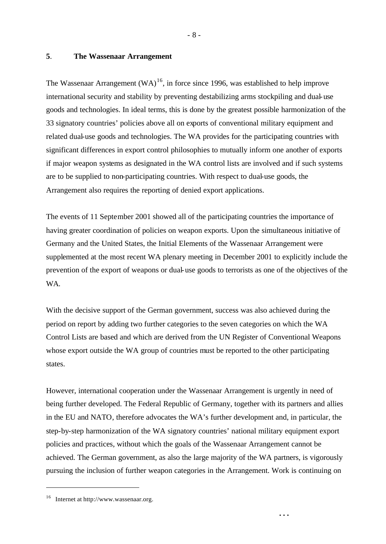#### **5**. **The Wassenaar Arrangement**

The Wassenaar Arrangement  $(WA)^{16}$ , in force since 1996, was established to help improve international security and stability by preventing destabilizing arms stockpiling and dual-use goods and technologies. In ideal terms, this is done by the greatest possible harmonization of the 33 signatory countries' policies above all on exports of conventional military equipment and related dual-use goods and technologies. The WA provides for the participating countries with significant differences in export control philosophies to mutually inform one another of exports if major weapon systems as designated in the WA control lists are involved and if such systems are to be supplied to non-participating countries. With respect to dual-use goods, the Arrangement also requires the reporting of denied export applications.

The events of 11 September 2001 showed all of the participating countries the importance of having greater coordination of policies on weapon exports. Upon the simultaneous initiative of Germany and the United States, the Initial Elements of the Wassenaar Arrangement were supplemented at the most recent WA plenary meeting in December 2001 to explicitly include the prevention of the export of weapons or dual-use goods to terrorists as one of the objectives of the WA.

With the decisive support of the German government, success was also achieved during the period on report by adding two further categories to the seven categories on which the WA Control Lists are based and which are derived from the UN Register of Conventional Weapons whose export outside the WA group of countries must be reported to the other participating states.

However, international cooperation under the Wassenaar Arrangement is urgently in need of being further developed. The Federal Republic of Germany, together with its partners and allies in the EU and NATO, therefore advocates the WA's further development and, in particular, the step-by-step harmonization of the WA signatory countries' national military equipment export policies and practices, without which the goals of the Wassenaar Arrangement cannot be achieved. The German government, as also the large majority of the WA partners, is vigorously pursuing the inclusion of further weapon categories in the Arrangement. Work is continuing on

**. . .**

<sup>16</sup> Internet at http://www.wassenaar.org.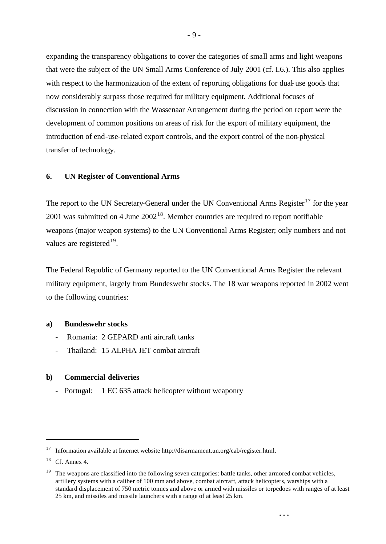expanding the transparency obligations to cover the categories of small arms and light weapons that were the subject of the UN Small Arms Conference of July 2001 (cf. I.6.). This also applies with respect to the harmonization of the extent of reporting obligations for dual-use goods that now considerably surpass those required for military equipment. Additional focuses of discussion in connection with the Wassenaar Arrangement during the period on report were the development of common positions on areas of risk for the export of military equipment, the introduction of end-use-related export controls, and the export control of the non-physical transfer of technology.

#### **6. UN Register of Conventional Arms**

The report to the UN Secretary-General under the UN Conventional Arms Register<sup>17</sup> for the year 2001 was submitted on 4 June  $2002^{18}$ . Member countries are required to report notifiable weapons (major weapon systems) to the UN Conventional Arms Register; only numbers and not values are registered $19$ .

The Federal Republic of Germany reported to the UN Conventional Arms Register the relevant military equipment, largely from Bundeswehr stocks. The 18 war weapons reported in 2002 went to the following countries:

#### **a) Bundeswehr stocks**

- Romania: 2 GEPARD anti aircraft tanks
- Thailand: 15 ALPHA JET combat aircraft

#### **b) Commercial deliveries**

- Portugal: 1 EC 635 attack helicopter without weaponry

l

<sup>&</sup>lt;sup>17</sup> Information available at Internet website http://disarmament.un.org/cab/register.html.

 $18$  Cf. Annex 4.

<sup>&</sup>lt;sup>19</sup> The weapons are classified into the following seven categories: battle tanks, other armored combat vehicles, artillery systems with a caliber of 100 mm and above, combat aircraft, attack helicopters, warships with a standard displacement of 750 metric tonnes and above or armed with missiles or torpedoes with ranges of at least 25 km, and missiles and missile launchers with a range of at least 25 km.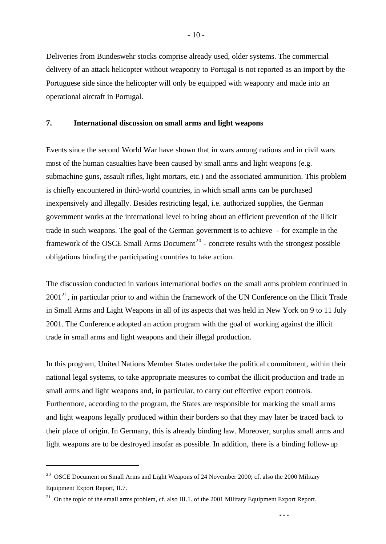Deliveries from Bundeswehr stocks comprise already used, older systems. The commercial delivery of an attack helicopter without weaponry to Portugal is not reported as an import by the Portuguese side since the helicopter will only be equipped with weaponry and made into an operational aircraft in Portugal.

#### **7. International discussion on small arms and light weapons**

Events since the second World War have shown that in wars among nations and in civil wars most of the human casualties have been caused by small arms and light weapons (e.g. submachine guns, assault rifles, light mortars, etc.) and the associated ammunition. This problem is chiefly encountered in third-world countries, in which small arms can be purchased inexpensively and illegally. Besides restricting legal, i.e. authorized supplies, the German government works at the international level to bring about an efficient prevention of the illicit trade in such weapons. The goal of the German government is to achieve - for example in the framework of the OSCE Small Arms Document<sup>20</sup> - concrete results with the strongest possible obligations binding the participating countries to take action.

The discussion conducted in various international bodies on the small arms problem continued in  $2001<sup>21</sup>$ , in particular prior to and within the framework of the UN Conference on the Illicit Trade in Small Arms and Light Weapons in all of its aspects that was held in New York on 9 to 11 July 2001. The Conference adopted an action program with the goal of working against the illicit trade in small arms and light weapons and their illegal production.

In this program, United Nations Member States undertake the political commitment, within their national legal systems, to take appropriate measures to combat the illicit production and trade in small arms and light weapons and, in particular, to carry out effective export controls. Furthermore, according to the program, the States are responsible for marking the small arms and light weapons legally produced within their borders so that they may later be traced back to their place of origin. In Germany, this is already binding law. Moreover, surplus small arms and light weapons are to be destroyed insofar as possible. In addition, there is a binding follow-up

<sup>&</sup>lt;sup>20</sup> OSCE Document on Small Arms and Light Weapons of 24 November 2000; cf. also the 2000 Military Equipment Export Report, II.7.

<sup>&</sup>lt;sup>21</sup> On the topic of the small arms problem, cf. also III.1. of the 2001 Military Equipment Export Report.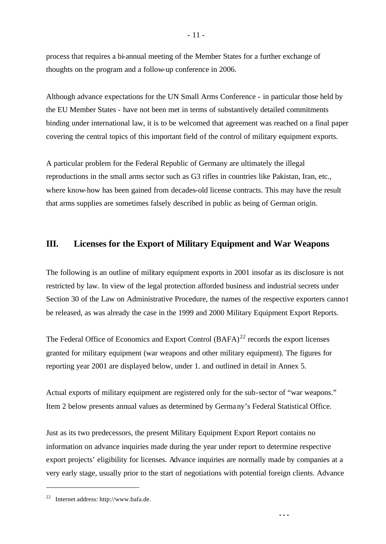process that requires a bi-annual meeting of the Member States for a further exchange of thoughts on the program and a follow-up conference in 2006.

Although advance expectations for the UN Small Arms Conference - in particular those held by the EU Member States - have not been met in terms of substantively detailed commitments binding under international law, it is to be welcomed that agreement was reached on a final paper covering the central topics of this important field of the control of military equipment exports.

A particular problem for the Federal Republic of Germany are ultimately the illegal reproductions in the small arms sector such as G3 rifles in countries like Pakistan, Iran, etc., where know-how has been gained from decades-old license contracts. This may have the result that arms supplies are sometimes falsely described in public as being of German origin.

### **III. Licenses for the Export of Military Equipment and War Weapons**

The following is an outline of military equipment exports in 2001 insofar as its disclosure is not restricted by law. In view of the legal protection afforded business and industrial secrets under Section 30 of the Law on Administrative Procedure, the names of the respective exporters cannot be released, as was already the case in the 1999 and 2000 Military Equipment Export Reports.

The Federal Office of Economics and Export Control  $(BAFA)^{22}$  records the export licenses granted for military equipment (war weapons and other military equipment). The figures for reporting year 2001 are displayed below, under 1. and outlined in detail in Annex 5.

Actual exports of military equipment are registered only for the sub-sector of "war weapons." Item 2 below presents annual values as determined by Germany's Federal Statistical Office.

Just as its two predecessors, the present Military Equipment Export Report contains no information on advance inquiries made during the year under report to determine respective export projects' eligibility for licenses. Advance inquiries are normally made by companies at a very early stage, usually prior to the start of negotiations with potential foreign clients. Advance

**. . .**

<sup>22</sup> Internet address: http://www.bafa.de.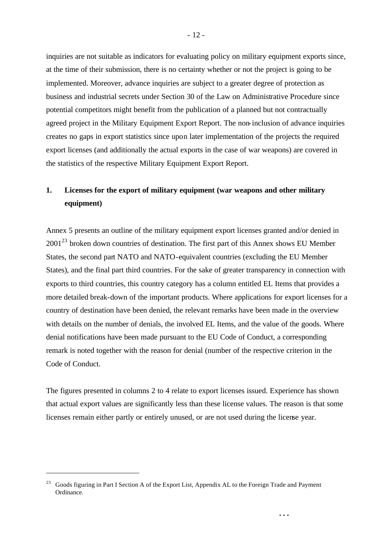inquiries are not suitable as indicators for evaluating policy on military equipment exports since, at the time of their submission, there is no certainty whether or not the project is going to be implemented. Moreover, advance inquiries are subject to a greater degree of protection as business and industrial secrets under Section 30 of the Law on Administrative Procedure since potential competitors might benefit from the publication of a planned but not contractually agreed project in the Military Equipment Export Report. The non-inclusion of advance inquiries creates no gaps in export statistics since upon later implementation of the projects the required export licenses (and additionally the actual exports in the case of war weapons) are covered in the statistics of the respective Military Equipment Export Report.

## **1. Licenses for the export of military equipment (war weapons and other military equipment)**

Annex 5 presents an outline of the military equipment export licenses granted and/or denied in  $2001^{23}$  broken down countries of destination. The first part of this Annex shows EU Member States, the second part NATO and NATO-equivalent countries (excluding the EU Member States), and the final part third countries. For the sake of greater transparency in connection with exports to third countries, this country category has a column entitled EL Items that provides a more detailed break-down of the important products. Where applications for export licenses for a country of destination have been denied, the relevant remarks have been made in the overview with details on the number of denials, the involved EL Items, and the value of the goods. Where denial notifications have been made pursuant to the EU Code of Conduct, a corresponding remark is noted together with the reason for denial (number of the respective criterion in the Code of Conduct.

The figures presented in columns 2 to 4 relate to export licenses issued. Experience has shown that actual export values are significantly less than these license values. The reason is that some licenses remain either partly or entirely unused, or are not used during the license year.

l

<sup>&</sup>lt;sup>23</sup> Goods figuring in Part I Section A of the Export List, Appendix AL to the Foreign Trade and Payment Ordinance.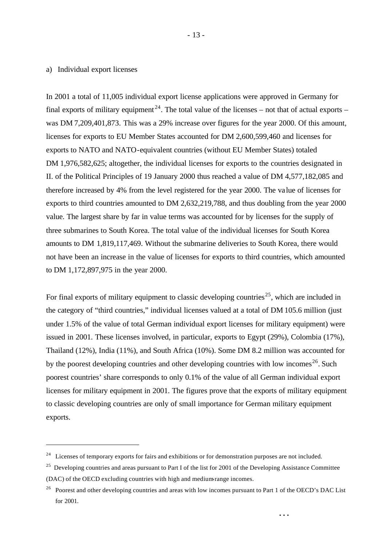#### a) Individual export licenses

l

In 2001 a total of 11,005 individual export license applications were approved in Germany for final exports of military equipment  $24$ . The total value of the licenses – not that of actual exports – was DM 7,209,401,873. This was a 29% increase over figures for the year 2000. Of this amount, licenses for exports to EU Member States accounted for DM 2,600,599,460 and licenses for exports to NATO and NATO-equivalent countries (without EU Member States) totaled DM 1,976,582,625; altogether, the individual licenses for exports to the countries designated in II. of the Political Principles of 19 January 2000 thus reached a value of DM 4,577,182,085 and therefore increased by 4% from the level registered for the year 2000. The va lue of licenses for exports to third countries amounted to DM 2,632,219,788, and thus doubling from the year 2000 value. The largest share by far in value terms was accounted for by licenses for the supply of three submarines to South Korea. The total value of the individual licenses for South Korea amounts to DM 1,819,117,469. Without the submarine deliveries to South Korea, there would not have been an increase in the value of licenses for exports to third countries, which amounted to DM 1,172,897,975 in the year 2000.

For final exports of military equipment to classic developing countries<sup>25</sup>, which are included in the category of "third countries," individual licenses valued at a total of DM 105.6 million (just under 1.5% of the value of total German individual export licenses for military equipment) were issued in 2001. These licenses involved, in particular, exports to Egypt (29%), Colombia (17%), Thailand (12%), India (11%), and South Africa (10%). Some DM 8.2 million was accounted for by the poorest developing countries and other developing countries with low incomes<sup>26</sup>. Such poorest countries' share corresponds to only 0.1% of the value of all German individual export licenses for military equipment in 2001. The figures prove that the exports of military equipment to classic developing countries are only of small importance for German military equipment exports.

<sup>&</sup>lt;sup>24</sup> Licenses of temporary exports for fairs and exhibitions or for demonstration purposes are not included.

<sup>&</sup>lt;sup>25</sup> Developing countries and areas pursuant to Part I of the list for 2001 of the Developing Assistance Committee (DAC) of the OECD excluding countries with high and medium-range incomes.

<sup>&</sup>lt;sup>26</sup> Poorest and other developing countries and areas with low incomes pursuant to Part 1 of the OECD's DAC List for 2001.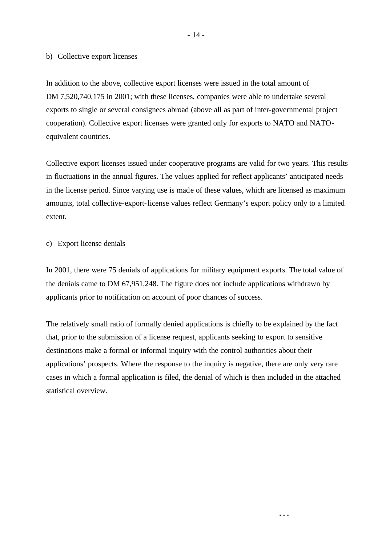#### b) Collective export licenses

In addition to the above, collective export licenses were issued in the total amount of DM 7,520,740,175 in 2001; with these licenses, companies were able to undertake several exports to single or several consignees abroad (above all as part of inter-governmental project cooperation). Collective export licenses were granted only for exports to NATO and NATOequivalent countries.

Collective export licenses issued under cooperative programs are valid for two years. This results in fluctuations in the annual figures. The values applied for reflect applicants' anticipated needs in the license period. Since varying use is made of these values, which are licensed as maximum amounts, total collective-export-license values reflect Germany's export policy only to a limited extent.

#### c) Export license denials

In 2001, there were 75 denials of applications for military equipment exports. The total value of the denials came to DM 67,951,248. The figure does not include applications withdrawn by applicants prior to notification on account of poor chances of success.

The relatively small ratio of formally denied applications is chiefly to be explained by the fact that, prior to the submission of a license request, applicants seeking to export to sensitive destinations make a formal or informal inquiry with the control authorities about their applications' prospects. Where the response to the inquiry is negative, there are only very rare cases in which a formal application is filed, the denial of which is then included in the attached statistical overview.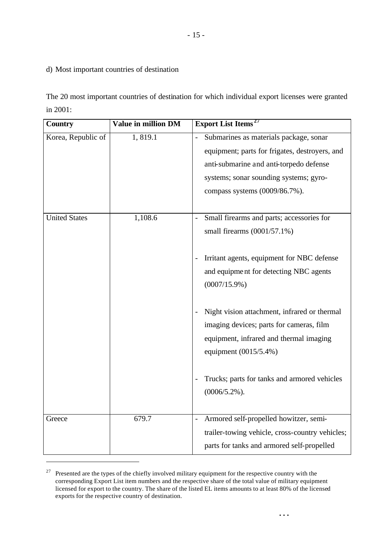## d) Most important countries of destination

| The 20 most important countries of destination for which individual export licenses were granted |  |  |  |
|--------------------------------------------------------------------------------------------------|--|--|--|
| in $2001$ :                                                                                      |  |  |  |

| <b>Country</b>       | <b>Value in million DM</b> | <b>Export List Items</b> <sup>27</sup>                                    |
|----------------------|----------------------------|---------------------------------------------------------------------------|
| Korea, Republic of   | 1,819.1                    | Submarines as materials package, sonar<br>$\overline{a}$                  |
|                      |                            | equipment; parts for frigates, destroyers, and                            |
|                      |                            | anti-submarine and anti-torpedo defense                                   |
|                      |                            | systems; sonar sounding systems; gyro-                                    |
|                      |                            | compass systems (0009/86.7%).                                             |
|                      |                            |                                                                           |
| <b>United States</b> | 1,108.6                    | Small firearms and parts; accessories for<br>$\qquad \qquad \blacksquare$ |
|                      |                            | small firearms $(0001/57.1\%)$                                            |
|                      |                            |                                                                           |
|                      |                            | Irritant agents, equipment for NBC defense                                |
|                      |                            | and equipment for detecting NBC agents                                    |
|                      |                            | $(0007/15.9\%)$                                                           |
|                      |                            |                                                                           |
|                      |                            | Night vision attachment, infrared or thermal                              |
|                      |                            | imaging devices; parts for cameras, film                                  |
|                      |                            | equipment, infrared and thermal imaging                                   |
|                      |                            | equipment (0015/5.4%)                                                     |
|                      |                            |                                                                           |
|                      |                            | Trucks; parts for tanks and armored vehicles                              |
|                      |                            | $(0006/5.2\%)$ .                                                          |
|                      |                            |                                                                           |
| Greece               | 679.7                      | Armored self-propelled howitzer, semi-                                    |
|                      |                            | trailer-towing vehicle, cross-country vehicles;                           |
|                      |                            | parts for tanks and armored self-propelled                                |

<sup>&</sup>lt;sup>27</sup> Presented are the types of the chiefly involved military equipment for the respective country with the corresponding Export List item numbers and the respective share of the total value of military equipment licensed for export to the country. The share of the listed EL items amounts to at least 80% of the licensed exports for the respective country of destination.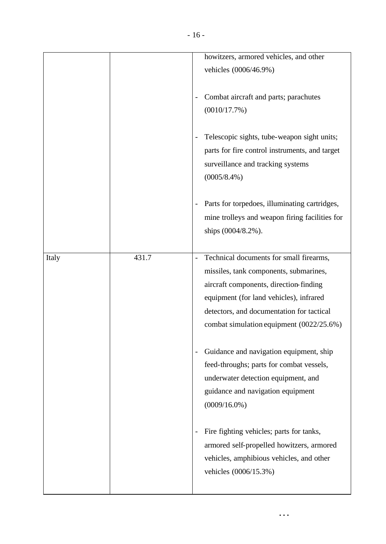|       |       | howitzers, armored vehicles, and other                                  |
|-------|-------|-------------------------------------------------------------------------|
|       |       | vehicles (0006/46.9%)                                                   |
|       |       |                                                                         |
|       |       | Combat aircraft and parts; parachutes                                   |
|       |       | (0010/17.7%)                                                            |
|       |       |                                                                         |
|       |       | Telescopic sights, tube-weapon sight units;                             |
|       |       | parts for fire control instruments, and target                          |
|       |       | surveillance and tracking systems                                       |
|       |       | $(0005/8.4\%)$                                                          |
|       |       |                                                                         |
|       |       | Parts for torpedoes, illuminating cartridges,                           |
|       |       |                                                                         |
|       |       | mine trolleys and weapon firing facilities for                          |
|       |       | ships (0004/8.2%).                                                      |
|       |       |                                                                         |
| Italy | 431.7 | Technical documents for small firearms,<br>$\qquad \qquad \blacksquare$ |
|       |       | missiles, tank components, submarines,                                  |
|       |       | aircraft components, direction-finding                                  |
|       |       | equipment (for land vehicles), infrared                                 |
|       |       |                                                                         |
|       |       | detectors, and documentation for tactical                               |
|       |       |                                                                         |
|       |       | combat simulation equipment (0022/25.6%)                                |
|       |       | Guidance and navigation equipment, ship                                 |
|       |       |                                                                         |
|       |       | feed-throughs; parts for combat vessels,                                |
|       |       | underwater detection equipment, and                                     |
|       |       | guidance and navigation equipment                                       |
|       |       | $(0009/16.0\%)$                                                         |
|       |       |                                                                         |
|       |       | Fire fighting vehicles; parts for tanks,                                |
|       |       | armored self-propelled howitzers, armored                               |
|       |       | vehicles, amphibious vehicles, and other                                |
|       |       | vehicles (0006/15.3%)                                                   |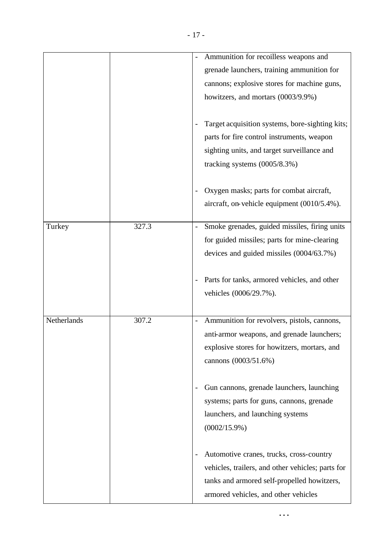|             |       | Ammunition for recoilless weapons and             |
|-------------|-------|---------------------------------------------------|
|             |       | grenade launchers, training ammunition for        |
|             |       | cannons; explosive stores for machine guns,       |
|             |       | howitzers, and mortars (0003/9.9%)                |
|             |       | Target acquisition systems, bore-sighting kits;   |
|             |       | parts for fire control instruments, weapon        |
|             |       | sighting units, and target surveillance and       |
|             |       | tracking systems $(0005/8.3\%)$                   |
|             |       |                                                   |
|             |       | Oxygen masks; parts for combat aircraft,          |
|             |       | aircraft, on vehicle equipment (0010/5.4%).       |
| Turkey      | 327.3 | Smoke grenades, guided missiles, firing units     |
|             |       | for guided missiles; parts for mine-clearing      |
|             |       | devices and guided missiles (0004/63.7%)          |
|             |       |                                                   |
|             |       | Parts for tanks, armored vehicles, and other      |
|             |       | vehicles (0006/29.7%).                            |
|             |       |                                                   |
| Netherlands | 307.2 | Ammunition for revolvers, pistols, cannons,       |
|             |       | anti-armor weapons, and grenade launchers;        |
|             |       | explosive stores for howitzers, mortars, and      |
|             |       | cannons (0003/51.6%)                              |
|             |       | Gun cannons, grenade launchers, launching         |
|             |       | systems; parts for guns, cannons, grenade         |
|             |       | launchers, and launching systems                  |
|             |       | $(0002/15.9\%)$                                   |
|             |       |                                                   |
|             |       | Automotive cranes, trucks, cross-country          |
|             |       | vehicles, trailers, and other vehicles; parts for |
|             |       | tanks and armored self-propelled howitzers,       |
|             |       | armored vehicles, and other vehicles              |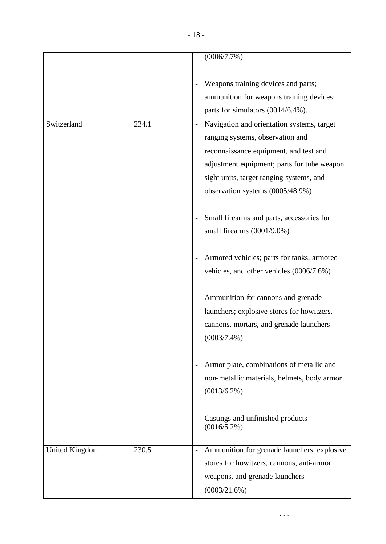|                       |       | $(0006/7.7\%)$                                                |
|-----------------------|-------|---------------------------------------------------------------|
|                       |       |                                                               |
|                       |       | Weapons training devices and parts;                           |
|                       |       | ammunition for weapons training devices;                      |
|                       |       | parts for simulators (0014/6.4%).                             |
| Switzerland           | 234.1 | Navigation and orientation systems, target                    |
|                       |       | ranging systems, observation and                              |
|                       |       | reconnaissance equipment, and test and                        |
|                       |       | adjustment equipment; parts for tube weapon                   |
|                       |       | sight units, target ranging systems, and                      |
|                       |       | observation systems (0005/48.9%)                              |
|                       |       |                                                               |
|                       |       | Small firearms and parts, accessories for                     |
|                       |       | small firearms (0001/9.0%)                                    |
|                       |       |                                                               |
|                       |       | Armored vehicles; parts for tanks, armored                    |
|                       |       | vehicles, and other vehicles (0006/7.6%)                      |
|                       |       |                                                               |
|                       |       | Ammunition for cannons and grenade                            |
|                       |       | launchers; explosive stores for howitzers,                    |
|                       |       | cannons, mortars, and grenade launchers                       |
|                       |       | $(0003/7.4\%)$                                                |
|                       |       |                                                               |
|                       |       | Armor plate, combinations of metallic and                     |
|                       |       | non-metallic materials, helmets, body armor                   |
|                       |       | $(0013/6.2\%)$                                                |
|                       |       |                                                               |
|                       |       | Castings and unfinished products                              |
|                       |       | $(0016/5.2\%)$ .                                              |
|                       |       |                                                               |
| <b>United Kingdom</b> | 230.5 | Ammunition for grenade launchers, explosive<br>$\overline{a}$ |
|                       |       | stores for howitzers, cannons, anti-armor                     |
|                       |       | weapons, and grenade launchers                                |
|                       |       | (0003/21.6%)                                                  |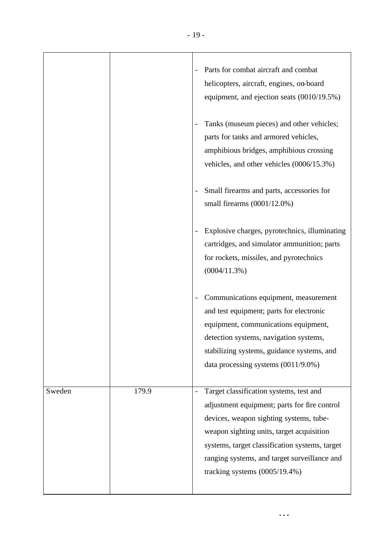|        |       | Parts for combat aircraft and combat<br>helicopters, aircraft, engines, on-board<br>equipment, and ejection seats (0010/19.5%)                                                                                                                                                                                        |
|--------|-------|-----------------------------------------------------------------------------------------------------------------------------------------------------------------------------------------------------------------------------------------------------------------------------------------------------------------------|
|        |       | Tanks (museum pieces) and other vehicles;<br>parts for tanks and armored vehicles,<br>amphibious bridges, amphibious crossing<br>vehicles, and other vehicles (0006/15.3%)                                                                                                                                            |
|        |       | Small firearms and parts, accessories for<br>small firearms (0001/12.0%)                                                                                                                                                                                                                                              |
|        |       | Explosive charges, pyrotechnics, illuminating<br>cartridges, and simulator ammunition; parts<br>for rockets, missiles, and pyrotechnics<br>$(0004/11.3\%)$                                                                                                                                                            |
|        |       | Communications equipment, measurement<br>and test equipment; parts for electronic<br>equipment, communications equipment,<br>detection systems, navigation systems,<br>stabilizing systems, guidance systems, and<br>data processing systems (0011/9.0%)                                                              |
| Sweden | 179.9 | Target classification systems, test and<br>adjustment equipment; parts for fire control<br>devices, weapon sighting systems, tube-<br>weapon sighting units, target acquisition<br>systems, target classification systems, target<br>ranging systems, and target surveillance and<br>tracking systems $(0005/19.4\%)$ |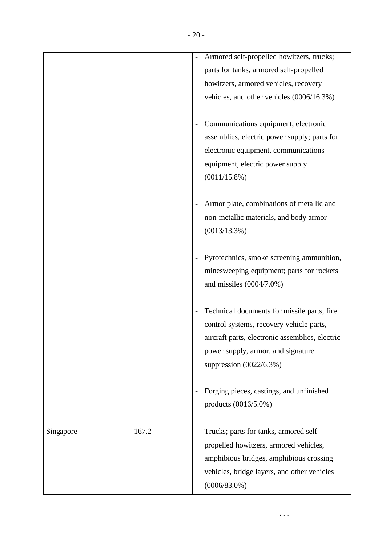|           |       | Armored self-propelled howitzers, trucks;<br>parts for tanks, armored self-propelled<br>howitzers, armored vehicles, recovery                                                                                             |
|-----------|-------|---------------------------------------------------------------------------------------------------------------------------------------------------------------------------------------------------------------------------|
|           |       | vehicles, and other vehicles (0006/16.3%)                                                                                                                                                                                 |
|           |       | Communications equipment, electronic<br>assemblies, electric power supply; parts for<br>electronic equipment, communications<br>equipment, electric power supply<br>$(0011/15.8\%)$                                       |
|           |       | Armor plate, combinations of metallic and<br>non-metallic materials, and body armor<br>$(0013/13.3\%)$                                                                                                                    |
|           |       | Pyrotechnics, smoke screening ammunition,<br>minesweeping equipment; parts for rockets<br>and missiles $(0004/7.0\%)$                                                                                                     |
|           |       | Technical documents for missile parts, fire<br>control systems, recovery vehicle parts,<br>aircraft parts, electronic assemblies, electric<br>power supply, armor, and signature<br>suppression $(0022/6.3%)$             |
|           |       | Forging pieces, castings, and unfinished<br>products (0016/5.0%)                                                                                                                                                          |
| Singapore | 167.2 | Trucks; parts for tanks, armored self-<br>$\overline{\phantom{0}}$<br>propelled howitzers, armored vehicles,<br>amphibious bridges, amphibious crossing<br>vehicles, bridge layers, and other vehicles<br>$(0006/83.0\%)$ |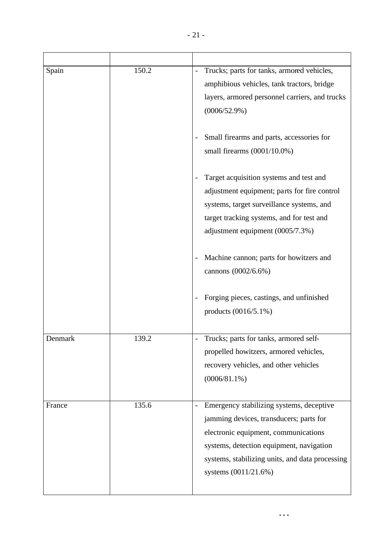| Spain   | 150.2 | Trucks; parts for tanks, armored vehicles,<br>$\overline{\phantom{0}}$<br>amphibious vehicles, tank tractors, bridge<br>layers, armored personnel carriers, and trucks<br>$(0006/52.9\%)$<br>Small firearms and parts, accessories for<br>small firearms $(0001/10.0\%)$<br>Target acquisition systems and test and<br>adjustment equipment; parts for fire control<br>systems, target surveillance systems, and<br>target tracking systems, and for test and<br>adjustment equipment (0005/7.3%)<br>Machine cannon; parts for howitzers and<br>cannons (0002/6.6%)<br>Forging pieces, castings, and unfinished<br>products $(0016/5.1\%)$ |
|---------|-------|--------------------------------------------------------------------------------------------------------------------------------------------------------------------------------------------------------------------------------------------------------------------------------------------------------------------------------------------------------------------------------------------------------------------------------------------------------------------------------------------------------------------------------------------------------------------------------------------------------------------------------------------|
| Denmark | 139.2 | Trucks; parts for tanks, armored self-<br>propelled howitzers, armored vehicles,<br>recovery vehicles, and other vehicles<br>$(0006/81.1\%)$                                                                                                                                                                                                                                                                                                                                                                                                                                                                                               |
| France  | 135.6 | Emergency stabilizing systems, deceptive<br>jamming devices, transducers; parts for<br>electronic equipment, communications<br>systems, detection equipment, navigation<br>systems, stabilizing units, and data processing<br>systems (0011/21.6%)                                                                                                                                                                                                                                                                                                                                                                                         |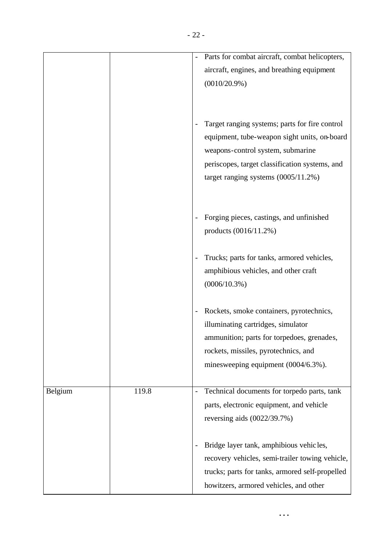|         |       | Parts for combat aircraft, combat helicopters,<br>aircraft, engines, and breathing equipment<br>$(0010/20.9\%)$                                                                                                                |
|---------|-------|--------------------------------------------------------------------------------------------------------------------------------------------------------------------------------------------------------------------------------|
|         |       | Target ranging systems; parts for fire control<br>equipment, tube-weapon sight units, on-board<br>weapons-control system, submarine<br>periscopes, target classification systems, and<br>target ranging systems $(0005/11.2%)$ |
|         |       | Forging pieces, castings, and unfinished<br>products (0016/11.2%)                                                                                                                                                              |
|         |       | Trucks; parts for tanks, armored vehicles,<br>amphibious vehicles, and other craft<br>$(0006/10.3\%)$                                                                                                                          |
|         |       | Rockets, smoke containers, pyrotechnics,<br>illuminating cartridges, simulator<br>ammunition; parts for torpedoes, grenades,<br>rockets, missiles, pyrotechnics, and<br>minesweeping equipment (0004/6.3%).                    |
| Belgium | 119.8 | Technical documents for torpedo parts, tank<br>parts, electronic equipment, and vehicle<br>reversing aids $(0022/39.7%)$                                                                                                       |
|         |       | Bridge layer tank, amphibious vehicles,<br>recovery vehicles, semi-trailer towing vehicle,<br>trucks; parts for tanks, armored self-propelled<br>howitzers, armored vehicles, and other                                        |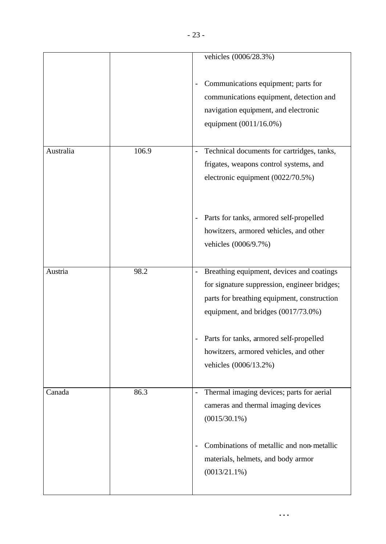|           |       | vehicles (0006/28.3%)                                                                                                                                                                                                                                                                         |
|-----------|-------|-----------------------------------------------------------------------------------------------------------------------------------------------------------------------------------------------------------------------------------------------------------------------------------------------|
|           |       | Communications equipment; parts for<br>communications equipment, detection and<br>navigation equipment, and electronic<br>equipment (0011/16.0%)                                                                                                                                              |
| Australia | 106.9 | Technical documents for cartridges, tanks,<br>frigates, weapons control systems, and<br>electronic equipment (0022/70.5%)                                                                                                                                                                     |
|           |       | Parts for tanks, armored self-propelled<br>howitzers, armored vehicles, and other<br>vehicles (0006/9.7%)                                                                                                                                                                                     |
| Austria   | 98.2  | Breathing equipment, devices and coatings<br>for signature suppression, engineer bridges;<br>parts for breathing equipment, construction<br>equipment, and bridges (0017/73.0%)<br>Parts for tanks, armored self-propelled<br>howitzers, armored vehicles, and other<br>vehicles (0006/13.2%) |
| Canada    | 86.3  | Thermal imaging devices; parts for aerial<br>cameras and thermal imaging devices<br>$(0015/30.1\%)$<br>Combinations of metallic and non-metallic<br>materials, helmets, and body armor<br>$(0013/21.1\%)$                                                                                     |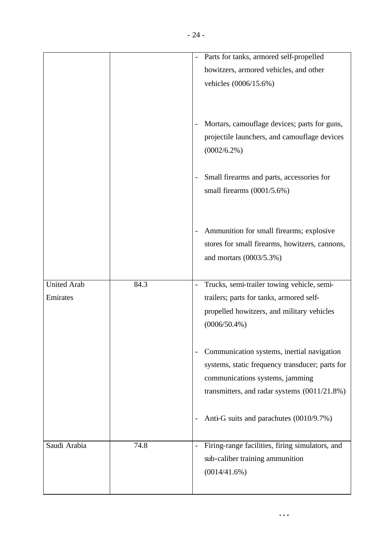|                    |      | Parts for tanks, armored self-propelled         |
|--------------------|------|-------------------------------------------------|
|                    |      |                                                 |
|                    |      | howitzers, armored vehicles, and other          |
|                    |      | vehicles (0006/15.6%)                           |
|                    |      |                                                 |
|                    |      |                                                 |
|                    |      | Mortars, camouflage devices; parts for guns,    |
|                    |      | projectile launchers, and camouflage devices    |
|                    |      | $(0002/6.2\%)$                                  |
|                    |      |                                                 |
|                    |      | Small firearms and parts, accessories for       |
|                    |      | small firearms $(0001/5.6%)$                    |
|                    |      |                                                 |
|                    |      |                                                 |
|                    |      |                                                 |
|                    |      | Ammunition for small firearms; explosive        |
|                    |      | stores for small firearms, howitzers, cannons,  |
|                    |      | and mortars $(0003/5.3%)$                       |
|                    |      |                                                 |
| <b>United Arab</b> | 84.3 | Trucks, semi-trailer towing vehicle, semi-      |
| Emirates           |      | trailers; parts for tanks, armored self-        |
|                    |      | propelled howitzers, and military vehicles      |
|                    |      | $(0006/50.4\%)$                                 |
|                    |      |                                                 |
|                    |      | Communication systems, inertial navigation      |
|                    |      | systems, static frequency transducer; parts for |
|                    |      | communications systems, jamming                 |
|                    |      |                                                 |
|                    |      | transmitters, and radar systems (0011/21.8%)    |
|                    |      |                                                 |
|                    |      | Anti-G suits and parachutes (0010/9.7%)         |
|                    |      |                                                 |
| Saudi Arabia       | 74.8 | Firing-range facilities, firing simulators, and |
|                    |      | sub-caliber training ammunition                 |
|                    |      | $(0014/41.6\%)$                                 |
|                    |      |                                                 |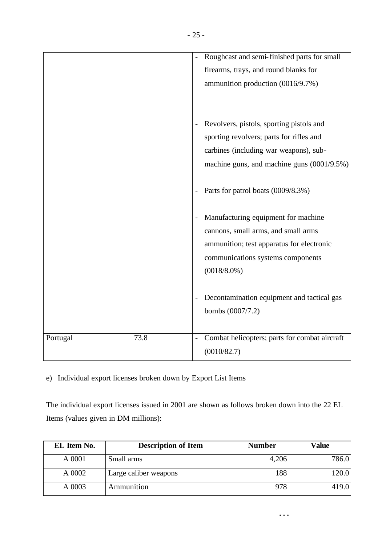|          |      | Roughcast and semi-finished parts for small<br>firearms, trays, and round blanks for<br>ammunition production (0016/9.7%)                                                      |
|----------|------|--------------------------------------------------------------------------------------------------------------------------------------------------------------------------------|
|          |      | Revolvers, pistols, sporting pistols and<br>sporting revolvers; parts for rifles and<br>carbines (including war weapons), sub-<br>machine guns, and machine guns (0001/9.5%)   |
|          |      | Parts for patrol boats (0009/8.3%)                                                                                                                                             |
|          |      | Manufacturing equipment for machine<br>cannons, small arms, and small arms<br>ammunition; test apparatus for electronic<br>communications systems components<br>$(0018/8.0\%)$ |
|          |      | Decontamination equipment and tactical gas<br>bombs (0007/7.2)                                                                                                                 |
| Portugal | 73.8 | Combat helicopters; parts for combat aircraft<br>(0010/82.7)                                                                                                                   |

e) Individual export licenses broken down by Export List Items

The individual export licenses issued in 2001 are shown as follows broken down into the 22 EL Items (values given in DM millions):

| EL Item No. | <b>Description of Item</b> | <b>Number</b> | Value |
|-------------|----------------------------|---------------|-------|
| A 0001      | Small arms                 | 4,206         | 786.0 |
| A 0002      | Large caliber weapons      | 188           | 120.0 |
| A 0003      | Ammunition                 | 978           | 419.0 |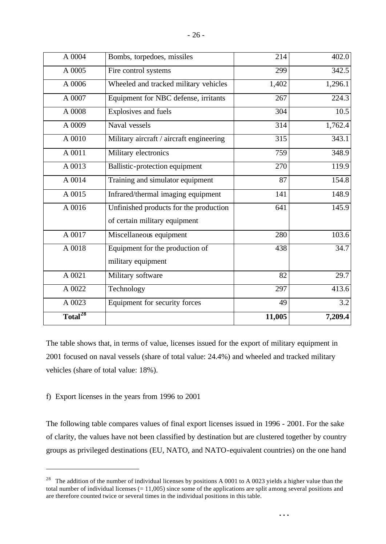| A 0004              | Bombs, torpedoes, missiles                                              | 214              | 402.0   |
|---------------------|-------------------------------------------------------------------------|------------------|---------|
| A 0005              | Fire control systems                                                    | 299              | 342.5   |
| A 0006              | Wheeled and tracked military vehicles                                   | 1,402            | 1,296.1 |
| A 0007              | Equipment for NBC defense, irritants                                    | 267              | 224.3   |
| A 0008              | <b>Explosives and fuels</b>                                             | 304              | 10.5    |
| A 0009              | Naval vessels                                                           | 314              | 1,762.4 |
| A 0010              | Military aircraft / aircraft engineering                                | $\overline{315}$ | 343.1   |
| A 0011              | Military electronics                                                    | 759              | 348.9   |
| A 0013              | <b>Ballistic-protection equipment</b>                                   | 270              | 119.9   |
| A 0014              | Training and simulator equipment                                        | 87               | 154.8   |
| A 0015              | Infrared/thermal imaging equipment                                      | 141              | 148.9   |
| A 0016              | Unfinished products for the production<br>of certain military equipment | 641              | 145.9   |
| A 0017              | Miscellaneous equipment                                                 | 280              | 103.6   |
| A 0018              | Equipment for the production of<br>military equipment                   | 438              | 34.7    |
| A 0021              | Military software                                                       | 82               | 29.7    |
| A 0022              | Technology                                                              | 297              | 413.6   |
| A 0023              | Equipment for security forces                                           | 49               | 3.2     |
| Total <sup>28</sup> |                                                                         | 11,005           | 7,209.4 |

The table shows that, in terms of value, licenses issued for the export of military equipment in 2001 focused on naval vessels (share of total value: 24.4%) and wheeled and tracked military vehicles (share of total value: 18%).

f) Export licenses in the years from 1996 to 2001

l

The following table compares values of final export licenses issued in 1996 - 2001. For the sake of clarity, the values have not been classified by destination but are clustered together by country groups as privileged destinations (EU, NATO, and NATO-equivalent countries) on the one hand

<sup>&</sup>lt;sup>28</sup> The addition of the number of individual licenses by positions A 0001 to A 0023 yields a higher value than the total number of individual licenses (= 11,005) since some of the applications are split among several positions and are therefore counted twice or several times in the individual positions in this table.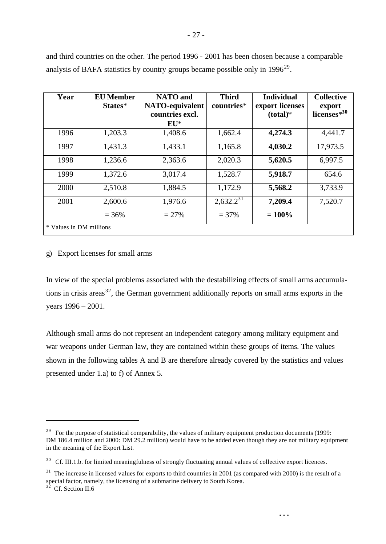| Year                    | <b>EU</b> Member<br>States* | <b>NATO</b> and<br>NATO-equivalent<br>countries excl.<br>$E U^*$ | <b>Third</b><br>countries* | <b>Individual</b><br>export licenses<br>$(total)*$ | <b>Collective</b><br>export<br>licenses $*^{30}$ |
|-------------------------|-----------------------------|------------------------------------------------------------------|----------------------------|----------------------------------------------------|--------------------------------------------------|
| 1996                    | 1,203.3                     | 1,408.6                                                          | 1,662.4                    | 4,274.3                                            | 4,441.7                                          |
| 1997                    | 1,431.3                     | 1,433.1                                                          | 1,165.8                    | 4,030.2                                            | 17,973.5                                         |
| 1998                    | 1,236.6                     | 2,363.6                                                          | 2,020.3                    | 5,620.5                                            | 6,997.5                                          |
| 1999                    | 1,372.6                     | 3,017.4                                                          | 1,528.7                    | 5,918.7                                            | 654.6                                            |
| 2000                    | 2,510.8                     | 1,884.5                                                          | 1,172.9                    | 5,568.2                                            | 3,733.9                                          |
| 2001                    | 2,600.6                     | 1,976.6                                                          | $2,632.2^{31}$             | 7,209.4                                            | 7,520.7                                          |
|                         | $= 36\%$                    | $= 27\%$                                                         | $= 37\%$                   | $= 100\%$                                          |                                                  |
| * Values in DM millions |                             |                                                                  |                            |                                                    |                                                  |

g) Export licenses for small arms

In view of the special problems associated with the destabilizing effects of small arms accumulations in crisis areas<sup>32</sup>, the German government additionally reports on small arms exports in the years 1996 – 2001.

Although small arms do not represent an independent category among military equipment and war weapons under German law, they are contained within these groups of items. The values shown in the following tables A and B are therefore already covered by the statistics and values presented under 1.a) to f) of Annex 5.

<sup>&</sup>lt;sup>29</sup> For the purpose of statistical comparability, the values of military equipment production documents (1999: DM 186.4 million and 2000: DM 29.2 million) would have to be added even though they are not military equipment in the meaning of the Export List.

 $30\,$  Cf. III.1.b. for limited meaningfulness of strongly fluctuating annual values of collective export licences.

 $31$  The increase in licensed values for exports to third countries in 2001 (as compared with 2000) is the result of a special factor, namely, the licensing of a submarine delivery to South Korea.

 $32$  Cf. Section II.6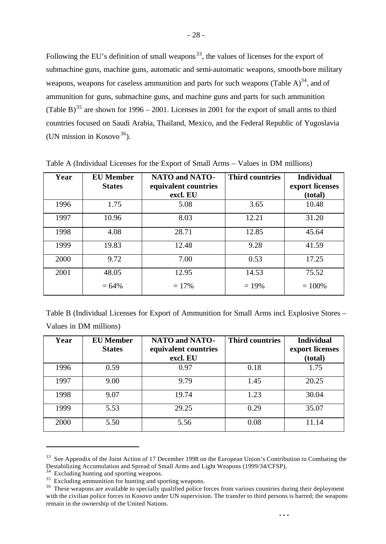Following the EU's definition of small weapons<sup>33</sup>, the values of licenses for the export of submachine guns, machine guns, automatic and semi-automatic weapons, smooth-bore military weapons, weapons for caseless ammunition and parts for such weapons (Table  $A$ )<sup>34</sup>, and of ammunition for guns, submachine guns, and machine guns and parts for such ammunition (Table B)<sup>35</sup> are shown for 1996 – 2001. Licenses in 2001 for the export of small arms to third countries focused on Saudi Arabia, Thailand, Mexico, and the Federal Republic of Yugoslavia (UN mission in Kosovo $36$ ).

| Year | <b>EU</b> Member<br><b>States</b> | <b>NATO and NATO-</b><br>equivalent countries<br>excl. EU | <b>Third countries</b> | <b>Individual</b><br>export licenses<br>(total) |
|------|-----------------------------------|-----------------------------------------------------------|------------------------|-------------------------------------------------|
| 1996 | 1.75                              | 5.08                                                      | 3.65                   | 10.48                                           |
| 1997 | 10.96                             | 8.03                                                      | 12.21                  | 31.20                                           |
| 1998 | 4.08                              | 28.71                                                     | 12.85                  | 45.64                                           |
| 1999 | 19.83                             | 12.48                                                     | 9.28                   | 41.59                                           |
| 2000 | 9.72                              | 7.00                                                      | 0.53                   | 17.25                                           |
| 2001 | 48.05                             | 12.95                                                     | 14.53                  | 75.52                                           |
|      | $= 64\%$                          | $= 17\%$                                                  | $= 19%$                | $= 100\%$                                       |

Table A (Individual Licenses for the Export of Small Arms – Values in DM millions)

Table B (Individual Licenses for Export of Ammunition for Small Arms incl. Explosive Stores – Values in DM millions)

| Year | <b>EU</b> Member<br><b>States</b> | <b>NATO and NATO-</b><br>equivalent countries | <b>Third countries</b> | <b>Individual</b><br>export licenses |
|------|-----------------------------------|-----------------------------------------------|------------------------|--------------------------------------|
|      |                                   | excl. EU                                      |                        | (total)                              |
| 1996 | 0.59                              | 0.97                                          | 0.18                   | 1.75                                 |
| 1997 | 9.00                              | 9.79                                          | 1.45                   | 20.25                                |
| 1998 | 9.07                              | 19.74                                         | 1.23                   | 30.04                                |
| 1999 | 5.53                              | 29.25                                         | 0.29                   | 35.07                                |
| 2000 | 5.50                              | 5.56                                          | 0.08                   | 11.14                                |

<sup>&</sup>lt;sup>33</sup> See Appendix of the Joint Action of 17 December 1998 on the European Union's Contribution to Combating the Destabilizing Accumulation and Spread of Small Arms and Light Weapons (1999/34/CFSP).

 $34$  Excluding hunting and sporting weapons.

 $35$  Excluding ammunition for hunting and sporting weapons.

<sup>&</sup>lt;sup>36</sup> These weapons are available to specially qualified police forces from various countries during their deployment with the civilian police forces in Kosovo under UN supervision. The transfer to third persons is barred; the weapons remain in the ownership of the United Nations.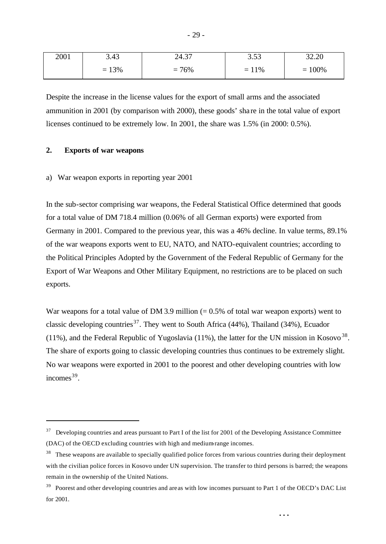| 2001 | 3.43    | $\gamma$<br>24.JT | 3.53     | 32.20     |
|------|---------|-------------------|----------|-----------|
|      | $= 13%$ | $= 76%$           | $= 11\%$ | $= 100\%$ |

Despite the increase in the license values for the export of small arms and the associated ammunition in 2001 (by comparison with 2000), these goods' sha re in the total value of export licenses continued to be extremely low. In 2001, the share was 1.5% (in 2000: 0.5%).

#### **2. Exports of war weapons**

l

#### a) War weapon exports in reporting year 2001

In the sub-sector comprising war weapons, the Federal Statistical Office determined that goods for a total value of DM 718.4 million (0.06% of all German exports) were exported from Germany in 2001. Compared to the previous year, this was a 46% decline. In value terms, 89.1% of the war weapons exports went to EU, NATO, and NATO-equivalent countries; according to the Political Principles Adopted by the Government of the Federal Republic of Germany for the Export of War Weapons and Other Military Equipment, no restrictions are to be placed on such exports.

War weapons for a total value of DM 3.9 million  $(= 0.5\%$  of total war weapon exports) went to classic developing countries<sup>37</sup>. They went to South Africa (44%), Thailand (34%), Ecuador (11%), and the Federal Republic of Yugoslavia (11%), the latter for the UN mission in Kosovo<sup>38</sup>. The share of exports going to classic developing countries thus continues to be extremely slight. No war weapons were exported in 2001 to the poorest and other developing countries with low incomes $^{39}$ .

 $37$  Developing countries and areas pursuant to Part I of the list for 2001 of the Developing Assistance Committee (DAC) of the OECD excluding countries with high and medium-range incomes.

 $38$  These weapons are available to specially qualified police forces from various countries during their deployment with the civilian police forces in Kosovo under UN supervision. The transfer to third persons is barred; the weapons remain in the ownership of the United Nations.

<sup>&</sup>lt;sup>39</sup> Poorest and other developing countries and areas with low incomes pursuant to Part 1 of the OECD's DAC List for 2001.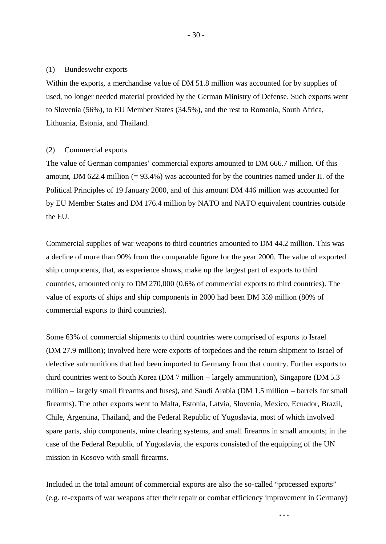#### (1) Bundeswehr exports

Within the exports, a merchandise va lue of DM 51.8 million was accounted for by supplies of used, no longer needed material provided by the German Ministry of Defense. Such exports went to Slovenia (56%), to EU Member States (34.5%), and the rest to Romania, South Africa, Lithuania, Estonia, and Thailand.

#### (2) Commercial exports

The value of German companies' commercial exports amounted to DM 666.7 million. Of this amount, DM 622.4 million  $(= 93.4\%)$  was accounted for by the countries named under II. of the Political Principles of 19 January 2000, and of this amount DM 446 million was accounted for by EU Member States and DM 176.4 million by NATO and NATO equivalent countries outside the EU.

Commercial supplies of war weapons to third countries amounted to DM 44.2 million. This was a decline of more than 90% from the comparable figure for the year 2000. The value of exported ship components, that, as experience shows, make up the largest part of exports to third countries, amounted only to DM 270,000 (0.6% of commercial exports to third countries). The value of exports of ships and ship components in 2000 had been DM 359 million (80% of commercial exports to third countries).

Some 63% of commercial shipments to third countries were comprised of exports to Israel (DM 27.9 million); involved here were exports of torpedoes and the return shipment to Israel of defective submunitions that had been imported to Germany from that country. Further exports to third countries went to South Korea (DM 7 million – largely ammunition), Singapore (DM 5.3 million – largely small firearms and fuses), and Saudi Arabia (DM 1.5 million – barrels for small firearms). The other exports went to Malta, Estonia, Latvia, Slovenia, Mexico, Ecuador, Brazil, Chile, Argentina, Thailand, and the Federal Republic of Yugoslavia, most of which involved spare parts, ship components, mine clearing systems, and small firearms in small amounts; in the case of the Federal Republic of Yugoslavia, the exports consisted of the equipping of the UN mission in Kosovo with small firearms.

Included in the total amount of commercial exports are also the so-called "processed exports" (e.g. re-exports of war weapons after their repair or combat efficiency improvement in Germany)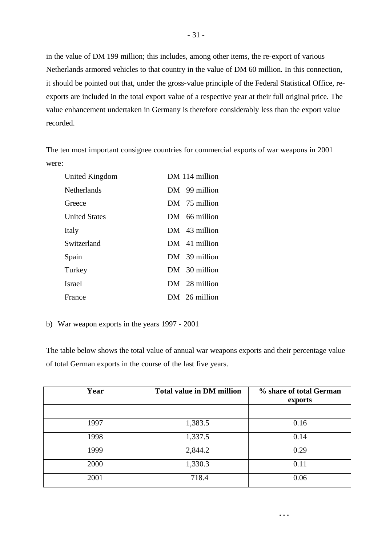in the value of DM 199 million; this includes, among other items, the re-export of various Netherlands armored vehicles to that country in the value of DM 60 million. In this connection, it should be pointed out that, under the gross-value principle of the Federal Statistical Office, reexports are included in the total export value of a respective year at their full original price. The value enhancement undertaken in Germany is therefore considerably less than the export value recorded.

The ten most important consignee countries for commercial exports of war weapons in 2001 were:

| United Kingdom       | DM 114 million  |
|----------------------|-----------------|
| <b>Netherlands</b>   | DM 99 million   |
| Greece               | DM 75 million   |
| <b>United States</b> | DM 66 million   |
| Italy                | DM 43 million   |
| Switzerland          | DM 41 million   |
| Spain                | DM 39 million   |
| Turkey               | DM 30 million   |
| <b>Israel</b>        | $DM$ 28 million |
| France               | DM 26 million   |

#### b) War weapon exports in the years 1997 - 2001

The table below shows the total value of annual war weapons exports and their percentage value of total German exports in the course of the last five years.

| Year | <b>Total value in DM million</b> | % share of total German<br>exports |
|------|----------------------------------|------------------------------------|
|      |                                  |                                    |
| 1997 | 1,383.5                          | 0.16                               |
| 1998 | 1,337.5                          | 0.14                               |
| 1999 | 2,844.2                          | 0.29                               |
| 2000 | 1,330.3                          | 0.11                               |
| 2001 | 718.4                            | 0.06                               |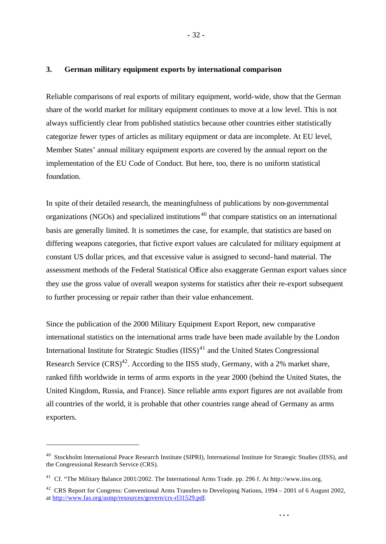#### **3. German military equipment exports by international comparison**

Reliable comparisons of real exports of military equipment, world-wide, show that the German share of the world market for military equipment continues to move at a low level. This is not always sufficiently clear from published statistics because other countries either statistically categorize fewer types of articles as military equipment or data are incomplete. At EU level, Member States' annual military equipment exports are covered by the annual report on the implementation of the EU Code of Conduct. But here, too, there is no uniform statistical foundation.

In spite of their detailed research, the meaningfulness of publications by non-governmental organizations (NGOs) and specialized institutions<sup>40</sup> that compare statistics on an international basis are generally limited. It is sometimes the case, for example, that statistics are based on differing weapons categories, that fictive export values are calculated for military equipment at constant US dollar prices, and that excessive value is assigned to second-hand material. The assessment methods of the Federal Statistical Office also exaggerate German export values since they use the gross value of overall weapon systems for statistics after their re-export subsequent to further processing or repair rather than their value enhancement.

Since the publication of the 2000 Military Equipment Export Report, new comparative international statistics on the international arms trade have been made available by the London International Institute for Strategic Studies  $(IISS)^{41}$  and the United States Congressional Research Service  $(CRS)^{42}$ . According to the IISS study, Germany, with a 2% market share, ranked fifth worldwide in terms of arms exports in the year 2000 (behind the United States, the United Kingdom, Russia, and France). Since reliable arms export figures are not available from all countries of the world, it is probable that other countries range ahead of Germany as arms exporters.

<sup>&</sup>lt;sup>40</sup> Stockholm International Peace Research Institute (SIPRI), International Institute for Strategic Studies (IISS), and the Congressional Research Service (CRS).

 $^{41}$  Cf. "The Military Balance 2001/2002. The International Arms Trade. pp. 296 f. At http://www.iiss.org.

<sup>&</sup>lt;sup>42</sup> CRS Report for Congress: Conventional Arms Transfers to Developing Nations, 1994 – 2001 of 6 August 2002, at http://www.fas.org/asmp/resources/govern/crs-rl31529.pdf.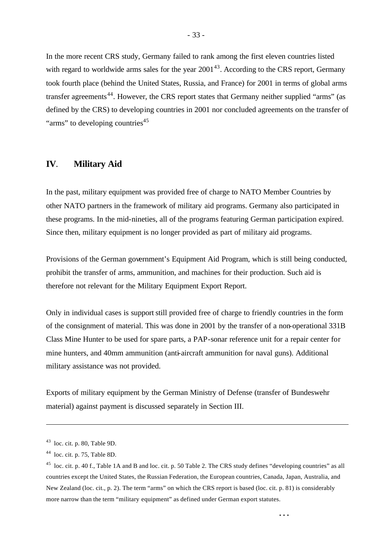In the more recent CRS study, Germany failed to rank among the first eleven countries listed with regard to worldwide arms sales for the year  $2001^{43}$ . According to the CRS report, Germany took fourth place (behind the United States, Russia, and France) for 2001 in terms of global arms transfer agreements<sup>44</sup>. However, the CRS report states that Germany neither supplied "arms" (as defined by the CRS) to developing countries in 2001 nor concluded agreements on the transfer of "arms" to developing countries<sup>45</sup>

#### **IV**. **Military Aid**

In the past, military equipment was provided free of charge to NATO Member Countries by other NATO partners in the framework of military aid programs. Germany also participated in these programs. In the mid-nineties, all of the programs featuring German participation expired. Since then, military equipment is no longer provided as part of military aid programs.

Provisions of the German government's Equipment Aid Program, which is still being conducted, prohibit the transfer of arms, ammunition, and machines for their production. Such aid is therefore not relevant for the Military Equipment Export Report.

Only in individual cases is support still provided free of charge to friendly countries in the form of the consignment of material. This was done in 2001 by the transfer of a non-operational 331B Class Mine Hunter to be used for spare parts, a PAP-sonar reference unit for a repair center for mine hunters, and 40mm ammunition (anti-aircraft ammunition for naval guns). Additional military assistance was not provided.

Exports of military equipment by the German Ministry of Defense (transfer of Bundeswehr material) against payment is discussed separately in Section III.

l

 $43$  loc. cit. p. 80. Table 9D.

 $44$  loc. cit. p. 75, Table 8D.

 $^{45}$  loc. cit. p. 40 f., Table 1A and B and loc. cit. p. 50 Table 2. The CRS study defines "developing countries" as all countries except the United States, the Russian Federation, the European countries, Canada, Japan, Australia, and New Zealand (loc. cit., p. 2). The term "arms" on which the CRS report is based (loc. cit. p. 81) is considerably more narrow than the term "military equipment" as defined under German export statutes.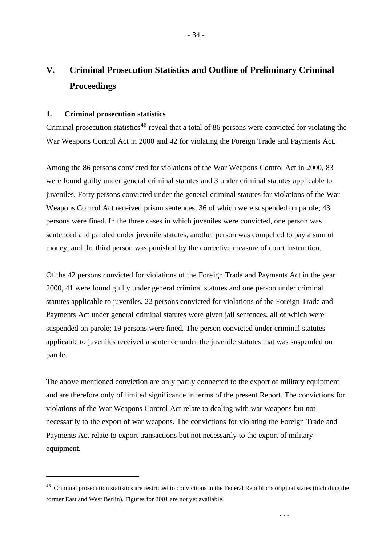# **V. Criminal Prosecution Statistics and Outline of Preliminary Criminal Proceedings**

#### **1. Criminal prosecution statistics**

l

Criminal prosecution statistics<sup>46</sup> reveal that a total of 86 persons were convicted for violating the War Weapons Control Act in 2000 and 42 for violating the Foreign Trade and Payments Act.

Among the 86 persons convicted for violations of the War Weapons Control Act in 2000, 83 were found guilty under general criminal statutes and 3 under criminal statutes applicable to juveniles. Forty persons convicted under the general criminal statutes for violations of the War Weapons Control Act received prison sentences, 36 of which were suspended on parole; 43 persons were fined. In the three cases in which juveniles were convicted, one person was sentenced and paroled under juvenile statutes, another person was compelled to pay a sum of money, and the third person was punished by the corrective measure of court instruction.

Of the 42 persons convicted for violations of the Foreign Trade and Payments Act in the year 2000, 41 were found guilty under general criminal statutes and one person under criminal statutes applicable to juveniles. 22 persons convicted for violations of the Foreign Trade and Payments Act under general criminal statutes were given jail sentences, all of which were suspended on parole; 19 persons were fined. The person convicted under criminal statutes applicable to juveniles received a sentence under the juvenile statutes that was suspended on parole.

The above mentioned conviction are only partly connected to the export of military equipment and are therefore only of limited significance in terms of the present Report. The convictions for violations of the War Weapons Control Act relate to dealing with war weapons but not necessarily to the export of war weapons. The convictions for violating the Foreign Trade and Payments Act relate to export transactions but not necessarily to the export of military equipment.

<sup>&</sup>lt;sup>46</sup> Criminal prosecution statistics are restricted to convictions in the Federal Republic's original states (including the former East and West Berlin). Figures for 2001 are not yet available.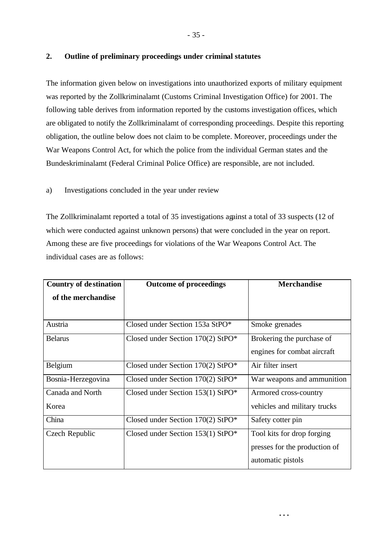#### **2. Outline of preliminary proceedings under criminal statutes**

The information given below on investigations into unauthorized exports of military equipment was reported by the Zollkriminalamt (Customs Criminal Investigation Office) for 2001. The following table derives from information reported by the customs investigation offices, which are obligated to notify the Zollkriminalamt of corresponding proceedings. Despite this reporting obligation, the outline below does not claim to be complete. Moreover, proceedings under the War Weapons Control Act, for which the police from the individual German states and the Bundeskriminalamt (Federal Criminal Police Office) are responsible, are not included.

a) Investigations concluded in the year under review

The Zollkriminalamt reported a total of 35 investigations against a total of 33 suspects (12 of which were conducted against unknown persons) that were concluded in the year on report. Among these are five proceedings for violations of the War Weapons Control Act. The individual cases are as follows:

| <b>Country of destination</b> | <b>Outcome of proceedings</b>                 | <b>Merchandise</b>            |
|-------------------------------|-----------------------------------------------|-------------------------------|
| of the merchandise            |                                               |                               |
|                               |                                               |                               |
| Austria                       | Closed under Section $153a$ StPO <sup>*</sup> | Smoke grenades                |
| <b>Belarus</b>                | Closed under Section $170(2)$ StPO*           | Brokering the purchase of     |
|                               |                                               | engines for combat aircraft   |
| Belgium                       | Closed under Section $170(2)$ StPO*           | Air filter insert             |
| Bosnia-Herzegovina            | Closed under Section $170(2)$ StPO*           | War weapons and ammunition    |
| Canada and North              | Closed under Section $153(1)$ StPO*           | Armored cross-country         |
| Korea                         |                                               | vehicles and military trucks  |
| China                         | Closed under Section $170(2)$ StPO*           | Safety cotter pin             |
| Czech Republic                | Closed under Section $153(1)$ StPO*           | Tool kits for drop forging    |
|                               |                                               | presses for the production of |
|                               |                                               | automatic pistols             |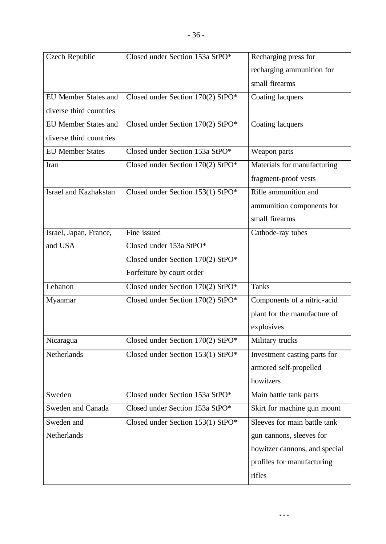| Czech Republic              | Closed under Section 153a StPO*   | Recharging press for          |
|-----------------------------|-----------------------------------|-------------------------------|
|                             |                                   | recharging ammunition for     |
|                             |                                   | small firearms                |
| <b>EU Member States and</b> | Closed under Section 170(2) StPO* | Coating lacquers              |
| diverse third countries     |                                   |                               |
| <b>EU Member States and</b> | Closed under Section 170(2) StPO* | Coating lacquers              |
| diverse third countries     |                                   |                               |
| <b>EU Member States</b>     | Closed under Section 153a StPO*   | Weapon parts                  |
| Iran                        | Closed under Section 170(2) StPO* | Materials for manufacturing   |
|                             |                                   | fragment-proof vests          |
| Israel and Kazhakstan       | Closed under Section 153(1) StPO* | Rifle ammunition and          |
|                             |                                   | ammunition components for     |
|                             |                                   | small firearms                |
| Israel, Japan, France,      | Fine issued                       | Cathode-ray tubes             |
| and USA                     | Closed under 153a StPO*           |                               |
|                             | Closed under Section 170(2) StPO* |                               |
|                             | Forfeiture by court order         |                               |
| Lebanon                     | Closed under Section 170(2) StPO* | <b>Tanks</b>                  |
| Myanmar                     | Closed under Section 170(2) StPO* | Components of a nitric-acid   |
|                             |                                   | plant for the manufacture of  |
|                             |                                   | explosives                    |
| Nicaragua                   | Closed under Section 170(2) StPO* | Military trucks               |
| Netherlands                 | Closed under Section 153(1) StPO* | Investment casting parts for  |
|                             |                                   | armored self-propelled        |
|                             |                                   | howitzers                     |
| Sweden                      | Closed under Section 153a StPO*   | Main battle tank parts        |
| Sweden and Canada           | Closed under Section 153a StPO*   | Skirt for machine gun mount   |
| Sweden and                  | Closed under Section 153(1) StPO* | Sleeves for main battle tank  |
| Netherlands                 |                                   | gun cannons, sleeves for      |
|                             |                                   | howitzer cannons, and special |
|                             |                                   | profiles for manufacturing    |
|                             |                                   | rifles                        |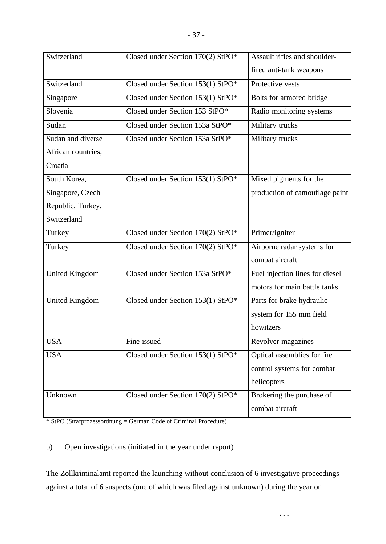| Switzerland           | Closed under Section 170(2) StPO* | Assault rifles and shoulder-    |
|-----------------------|-----------------------------------|---------------------------------|
|                       |                                   | fired anti-tank weapons         |
| Switzerland           | Closed under Section 153(1) StPO* | Protective vests                |
| Singapore             | Closed under Section 153(1) StPO* | Bolts for armored bridge        |
| Slovenia              | Closed under Section 153 StPO*    | Radio monitoring systems        |
| Sudan                 | Closed under Section 153a StPO*   | Military trucks                 |
| Sudan and diverse     | Closed under Section 153a StPO*   | Military trucks                 |
| African countries,    |                                   |                                 |
| Croatia               |                                   |                                 |
| South Korea,          | Closed under Section 153(1) StPO* | Mixed pigments for the          |
| Singapore, Czech      |                                   | production of camouflage paint  |
| Republic, Turkey,     |                                   |                                 |
| Switzerland           |                                   |                                 |
| Turkey                | Closed under Section 170(2) StPO* | Primer/igniter                  |
| Turkey                | Closed under Section 170(2) StPO* | Airborne radar systems for      |
|                       |                                   | combat aircraft                 |
| <b>United Kingdom</b> | Closed under Section 153a StPO*   | Fuel injection lines for diesel |
|                       |                                   | motors for main battle tanks    |
| <b>United Kingdom</b> | Closed under Section 153(1) StPO* | Parts for brake hydraulic       |
|                       |                                   | system for 155 mm field         |
|                       |                                   | howitzers                       |
| <b>USA</b>            | Fine issued                       | Revolver magazines              |
| <b>USA</b>            | Closed under Section 153(1) StPO* | Optical assemblies for fire     |
|                       |                                   | control systems for combat      |
|                       |                                   | helicopters                     |
| Unknown               | Closed under Section 170(2) StPO* | Brokering the purchase of       |
|                       |                                   | combat aircraft                 |

\* StPO (Strafprozessordnung = German Code of Criminal Procedure)

# b) Open investigations (initiated in the year under report)

The Zollkriminalamt reported the launching without conclusion of 6 investigative proceedings against a total of 6 suspects (one of which was filed against unknown) during the year on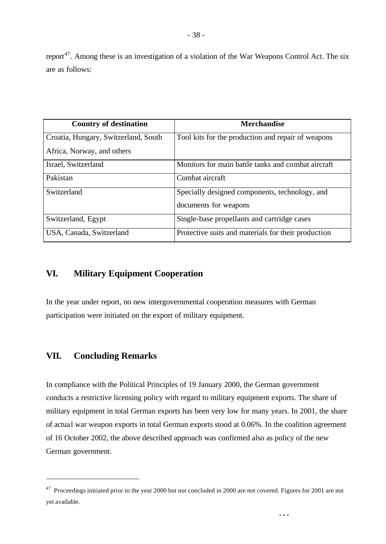report<sup>47</sup>. Among these is an investigation of a violation of the War Weapons Control Act. The six are as follows:

| <b>Country of destination</b>        | <b>Merchandise</b>                                  |
|--------------------------------------|-----------------------------------------------------|
| Croatia, Hungary, Switzerland, South | Tool kits for the production and repair of weapons  |
| Africa, Norway, and others           |                                                     |
| Israel, Switzerland                  | Monitors for main battle tanks and combat aircraft  |
| Pakistan                             | Combat aircraft                                     |
| Switzerland                          | Specially designed components, technology, and      |
|                                      | documents for weapons                               |
| Switzerland, Egypt                   | Single-base propellants and cartridge cases         |
| USA, Canada, Switzerland             | Protective suits and materials for their production |

# **VI. Military Equipment Cooperation**

In the year under report, no new intergovernmental cooperation measures with German participation were initiated on the export of military equipment.

# **VII. Concluding Remarks**

l

In compliance with the Political Principles of 19 January 2000, the German government conducts a restrictive licensing policy with regard to military equipment exports. The share of military equipment in total German exports has been very low for many years. In 2001, the share of actual war weapon exports in total German exports stood at 0.06%. In the coalition agreement of 16 October 2002, the above described approach was confirmed also as policy of the new German government.

 $47$  Proceedings initiated prior to the year 2000 but not concluded in 2000 are not covered. Figures for 2001 are not yet available.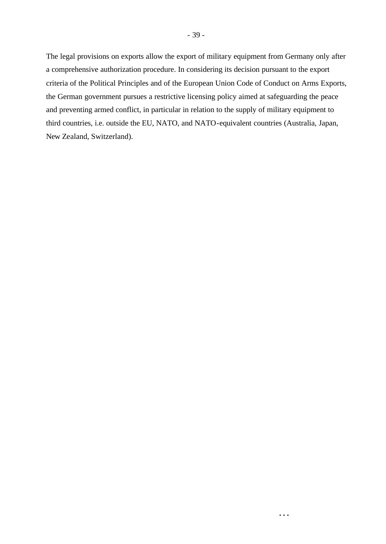The legal provisions on exports allow the export of military equipment from Germany only after a comprehensive authorization procedure. In considering its decision pursuant to the export criteria of the Political Principles and of the European Union Code of Conduct on Arms Exports, the German government pursues a restrictive licensing policy aimed at safeguarding the peace and preventing armed conflict, in particular in relation to the supply of military equipment to third countries, i.e. outside the EU, NATO, and NATO-equivalent countries (Australia, Japan, New Zealand, Switzerland).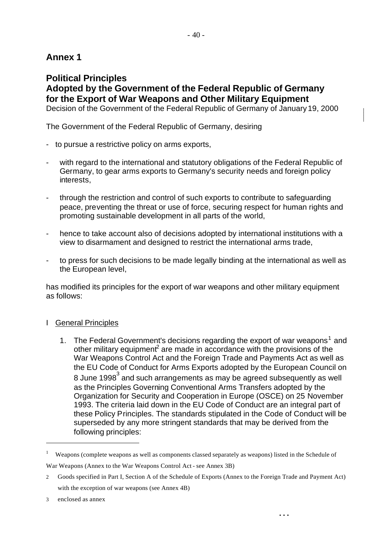# **Annex 1**

# **Political Principles Adopted by the Government of the Federal Republic of Germany for the Export of War Weapons and Other Military Equipment**

Decision of the Government of the Federal Republic of Germany of January19, 2000

The Government of the Federal Republic of Germany, desiring

- to pursue a restrictive policy on arms exports,
- with regard to the international and statutory obligations of the Federal Republic of Germany, to gear arms exports to Germany's security needs and foreign policy interests,
- through the restriction and control of such exports to contribute to safeguarding peace, preventing the threat or use of force, securing respect for human rights and promoting sustainable development in all parts of the world,
- hence to take account also of decisions adopted by international institutions with a view to disarmament and designed to restrict the international arms trade,
- to press for such decisions to be made legally binding at the international as well as the European level,

has modified its principles for the export of war weapons and other military equipment as follows:

## I General Principles

1. The Federal Government's decisions regarding the export of war weapons<sup>1</sup> and other military equipment<sup>2</sup> are made in accordance with the provisions of the War Weapons Control Act and the Foreign Trade and Payments Act as well as the EU Code of Conduct for Arms Exports adopted by the European Council on 8 June 1998 $^3$  and such arrangements as may be agreed subsequently as well as the Principles Governing Conventional Arms Transfers adopted by the Organization for Security and Cooperation in Europe (OSCE) on 25 November 1993. The criteria laid down in the EU Code of Conduct are an integral part of these Policy Principles. The standards stipulated in the Code of Conduct will be superseded by any more stringent standards that may be derived from the following principles:

l

<sup>&</sup>lt;sup>1</sup> Weapons (complete weapons as well as components classed separately as weapons) listed in the Schedule of War Weapons (Annex to the War Weapons Control Act - see Annex 3B)

<sup>2</sup> Goods specified in Part I, Section A of the Schedule of Exports (Annex to the Foreign Trade and Payment Act) with the exception of war weapons (see Annex 4B)

<sup>3</sup> enclosed as annex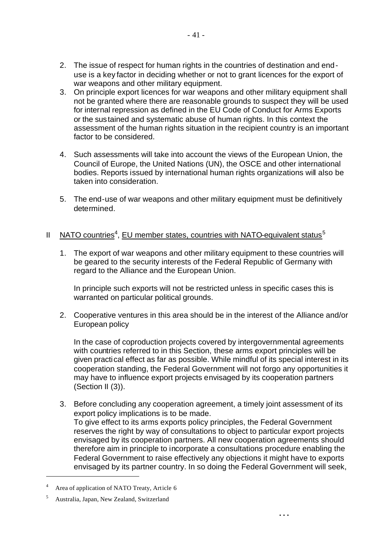- 2. The issue of respect for human rights in the countries of destination and enduse is a key factor in deciding whether or not to grant licences for the export of war weapons and other military equipment.
- 3. On principle export licences for war weapons and other military equipment shall not be granted where there are reasonable grounds to suspect they will be used for internal repression as defined in the EU Code of Conduct for Arms Exports or the sustained and systematic abuse of human rights. In this context the assessment of the human rights situation in the recipient country is an important factor to be considered.
- 4. Such assessments will take into account the views of the European Union, the Council of Europe, the United Nations (UN), the OSCE and other international bodies. Reports issued by international human rights organizations will also be taken into consideration.
- 5. The end-use of war weapons and other military equipment must be definitively determined.

# II NATO countries<sup>4</sup>, EU member states, countries with NATO-equivalent status<sup>5</sup>

1. The export of war weapons and other military equipment to these countries will be geared to the security interests of the Federal Republic of Germany with regard to the Alliance and the European Union.

In principle such exports will not be restricted unless in specific cases this is warranted on particular political grounds.

2. Cooperative ventures in this area should be in the interest of the Alliance and/or European policy

In the case of coproduction projects covered by intergovernmental agreements with countries referred to in this Section, these arms export principles will be given practical effect as far as possible. While mindful of its special interest in its cooperation standing, the Federal Government will not forgo any opportunities it may have to influence export projects envisaged by its cooperation partners (Section II (3)).

3. Before concluding any cooperation agreement, a timely joint assessment of its export policy implications is to be made. To give effect to its arms exports policy principles, the Federal Government reserves the right by way of consultations to object to particular export projects envisaged by its cooperation partners. All new cooperation agreements should therefore aim in principle to incorporate a consultations procedure enabling the Federal Government to raise effectively any objections it might have to exports envisaged by its partner country. In so doing the Federal Government will seek,

l

Area of application of NATO Treaty, Article 6

<sup>5</sup> Australia, Japan, New Zealand, Switzerland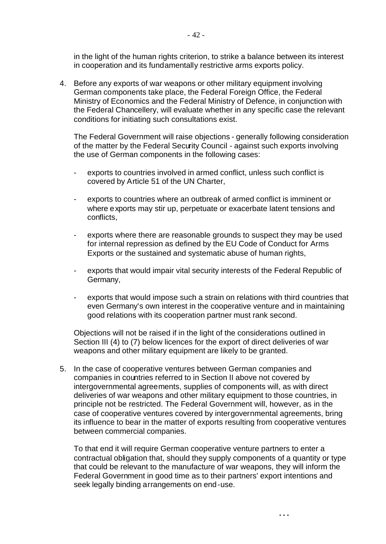in the light of the human rights criterion, to strike a balance between its interest in cooperation and its fundamentally restrictive arms exports policy.

4. Before any exports of war weapons or other military equipment involving German components take place, the Federal Foreign Office, the Federal Ministry of Economics and the Federal Ministry of Defence, in conjunction with the Federal Chancellery, will evaluate whether in any specific case the relevant conditions for initiating such consultations exist.

The Federal Government will raise objections - generally following consideration of the matter by the Federal Security Council - against such exports involving the use of German components in the following cases:

- exports to countries involved in armed conflict, unless such conflict is covered by Article 51 of the UN Charter,
- exports to countries where an outbreak of armed conflict is imminent or where exports may stir up, perpetuate or exacerbate latent tensions and conflicts,
- exports where there are reasonable grounds to suspect they may be used for internal repression as defined by the EU Code of Conduct for Arms Exports or the sustained and systematic abuse of human rights,
- exports that would impair vital security interests of the Federal Republic of Germany,
- exports that would impose such a strain on relations with third countries that even Germany's own interest in the cooperative venture and in maintaining good relations with its cooperation partner must rank second.

Objections will not be raised if in the light of the considerations outlined in Section III (4) to (7) below licences for the export of direct deliveries of war weapons and other military equipment are likely to be granted.

5. In the case of cooperative ventures between German companies and companies in countries referred to in Section II above not covered by intergovernmental agreements, supplies of components will, as with direct deliveries of war weapons and other military equipment to those countries, in principle not be restricted. The Federal Government will, however, as in the case of cooperative ventures covered by intergovernmental agreements, bring its influence to bear in the matter of exports resulting from cooperative ventures between commercial companies.

To that end it will require German cooperative venture partners to enter a contractual obligation that, should they supply components of a quantity or type that could be relevant to the manufacture of war weapons, they will inform the Federal Government in good time as to their partners' export intentions and seek legally binding arrangements on end-use.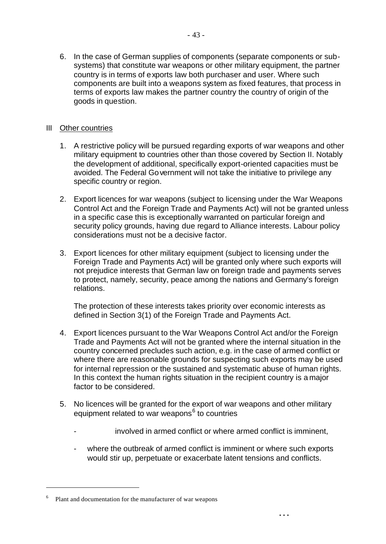6. In the case of German supplies of components (separate components or subsystems) that constitute war weapons or other military equipment, the partner country is in terms of exports law both purchaser and user. Where such components are built into a weapons system as fixed features, that process in terms of exports law makes the partner country the country of origin of the goods in question.

## III Other countries

- 1. A restrictive policy will be pursued regarding exports of war weapons and other military equipment to countries other than those covered by Section II. Notably the development of additional, specifically export-oriented capacities must be avoided. The Federal Government will not take the initiative to privilege any specific country or region.
- 2. Export licences for war weapons (subject to licensing under the War Weapons Control Act and the Foreign Trade and Payments Act) will not be granted unless in a specific case this is exceptionally warranted on particular foreign and security policy grounds, having due regard to Alliance interests. Labour policy considerations must not be a decisive factor.
- 3. Export licences for other military equipment (subject to licensing under the Foreign Trade and Payments Act) will be granted only where such exports will not prejudice interests that German law on foreign trade and payments serves to protect, namely, security, peace among the nations and Germany's foreign relations.

The protection of these interests takes priority over economic interests as defined in Section 3(1) of the Foreign Trade and Payments Act.

- 4. Export licences pursuant to the War Weapons Control Act and/or the Foreign Trade and Payments Act will not be granted where the internal situation in the country concerned precludes such action, e.g. in the case of armed conflict or where there are reasonable grounds for suspecting such exports may be used for internal repression or the sustained and systematic abuse of human rights. In this context the human rights situation in the recipient country is a major factor to be considered.
- 5. No licences will be granted for the export of war weapons and other military equipment related to war weapons<sup>6</sup> to countries
	- involved in armed conflict or where armed conflict is imminent,
	- where the outbreak of armed conflict is imminent or where such exports would stir up, perpetuate or exacerbate latent tensions and conflicts.

l

<sup>6</sup> Plant and documentation for the manufacturer of war weapons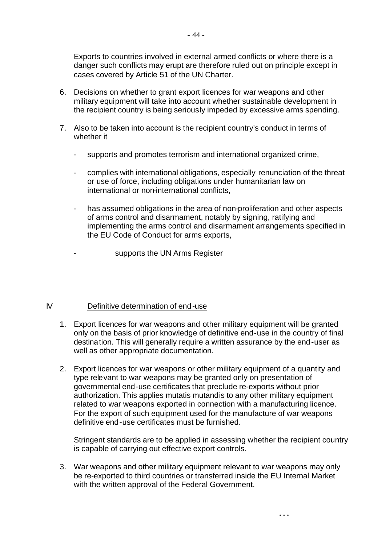Exports to countries involved in external armed conflicts or where there is a danger such conflicts may erupt are therefore ruled out on principle except in cases covered by Article 51 of the UN Charter.

- 6. Decisions on whether to grant export licences for war weapons and other military equipment will take into account whether sustainable development in the recipient country is being seriously impeded by excessive arms spending.
- 7. Also to be taken into account is the recipient country's conduct in terms of whether it
	- supports and promotes terrorism and international organized crime,
	- complies with international obligations, especially renunciation of the threat or use of force, including obligations under humanitarian law on international or non-international conflicts,
	- has assumed obligations in the area of non-proliferation and other aspects of arms control and disarmament, notably by signing, ratifying and implementing the arms control and disarmament arrangements specified in the EU Code of Conduct for arms exports,
	- supports the UN Arms Register

#### IV Definitive determination of end-use

- 1. Export licences for war weapons and other military equipment will be granted only on the basis of prior knowledge of definitive end-use in the country of final destination. This will generally require a written assurance by the end-user as well as other appropriate documentation.
- 2. Export licences for war weapons or other military equipment of a quantity and type relevant to war weapons may be granted only on presentation of governmental end-use certificates that preclude re-exports without prior authorization. This applies mutatis mutandis to any other military equipment related to war weapons exported in connection with a manufacturing licence. For the export of such equipment used for the manufacture of war weapons definitive end-use certificates must be furnished.

Stringent standards are to be applied in assessing whether the recipient country is capable of carrying out effective export controls.

**. . .**

3. War weapons and other military equipment relevant to war weapons may only be re-exported to third countries or transferred inside the EU Internal Market with the written approval of the Federal Government.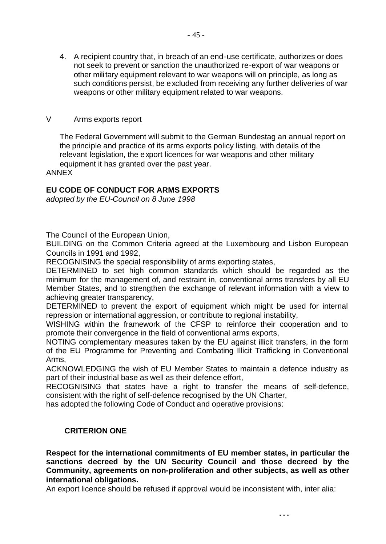4. A recipient country that, in breach of an end-use certificate, authorizes or does not seek to prevent or sanction the unauthorized re-export of war weapons or other military equipment relevant to war weapons will on principle, as long as such conditions persist, be excluded from receiving any further deliveries of war weapons or other military equipment related to war weapons.

## V Arms exports report

The Federal Government will submit to the German Bundestag an annual report on the principle and practice of its arms exports policy listing, with details of the relevant legislation, the export licences for war weapons and other military equipment it has granted over the past year.

ANNEX

# **EU CODE OF CONDUCT FOR ARMS EXPORTS**

*adopted by the EU-Council on 8 June 1998* 

The Council of the European Union,

BUILDING on the Common Criteria agreed at the Luxembourg and Lisbon European Councils in 1991 and 1992,

RECOGNISING the special responsibility of arms exporting states,

DETERMINED to set high common standards which should be regarded as the minimum for the management of, and restraint in, conventional arms transfers by all EU Member States, and to strengthen the exchange of relevant information with a view to achieving greater transparency,

DETERMINED to prevent the export of equipment which might be used for internal repression or international aggression, or contribute to regional instability,

WISHING within the framework of the CFSP to reinforce their cooperation and to promote their convergence in the field of conventional arms exports,

NOTING complementary measures taken by the EU against illicit transfers, in the form of the EU Programme for Preventing and Combating Illicit Trafficking in Conventional Arms,

ACKNOWLEDGING the wish of EU Member States to maintain a defence industry as part of their industrial base as well as their defence effort,

RECOGNISING that states have a right to transfer the means of self-defence, consistent with the right of self-defence recognised by the UN Charter,

has adopted the following Code of Conduct and operative provisions:

## **CRITERION ONE**

**Respect for the international commitments of EU member states, in particular the sanctions decreed by the UN Security Council and those decreed by the Community, agreements on non-proliferation and other subjects, as well as other international obligations.**

**. . .**

An export licence should be refused if approval would be inconsistent with, inter alia: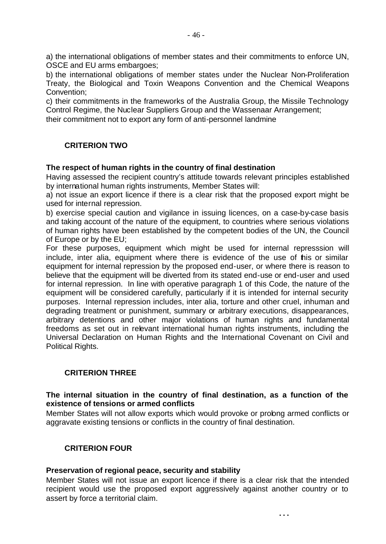a) the international obligations of member states and their commitments to enforce UN, OSCE and EU arms embargoes;

b) the international obligations of member states under the Nuclear Non-Proliferation Treaty, the Biological and Toxin Weapons Convention and the Chemical Weapons Convention;

c) their commitments in the frameworks of the Australia Group, the Missile Technology Control Regime, the Nuclear Suppliers Group and the Wassenaar Arrangement;

their commitment not to export any form of anti-personnel landmine

## **CRITERION TWO**

#### **The respect of human rights in the country of final destination**

Having assessed the recipient country's attitude towards relevant principles established by international human rights instruments, Member States will:

a) not issue an export licence if there is a clear risk that the proposed export might be used for internal repression.

b) exercise special caution and vigilance in issuing licences, on a case-by-case basis and taking account of the nature of the equipment, to countries where serious violations of human rights have been established by the competent bodies of the UN, the Council of Europe or by the EU;

For these purposes, equipment which might be used for internal represssion will include, inter alia, equipment where there is evidence of the use of this or similar equipment for internal repression by the proposed end-user, or where there is reason to believe that the equipment will be diverted from its stated end-use or end-user and used for internal repression. In line with operative paragraph 1 of this Code, the nature of the equipment will be considered carefully, particularly if it is intended for internal security purposes. Internal repression includes, inter alia, torture and other cruel, inhuman and degrading treatment or punishment, summary or arbitrary executions, disappearances, arbitrary detentions and other major violations of human rights and fundamental freedoms as set out in relevant international human rights instruments, including the Universal Declaration on Human Rights and the International Covenant on Civil and Political Rights.

#### **CRITERION THREE**

### **The internal situation in the country of final destination, as a function of the existence of tensions or armed conflicts**

Member States will not allow exports which would provoke or prolong armed conflicts or aggravate existing tensions or conflicts in the country of final destination.

## **CRITERION FOUR**

#### **Preservation of regional peace, security and stability**

Member States will not issue an export licence if there is a clear risk that the intended recipient would use the proposed export aggressively against another country or to assert by force a territorial claim.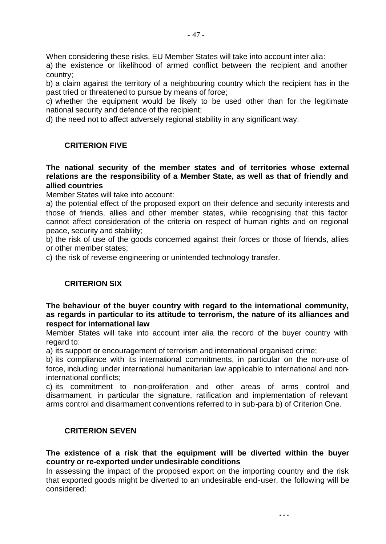When considering these risks, EU Member States will take into account inter alia:

a) the existence or likelihood of armed conflict between the recipient and another country;

b) a claim against the territory of a neighbouring country which the recipient has in the past tried or threatened to pursue by means of force;

c) whether the equipment would be likely to be used other than for the legitimate national security and defence of the recipient;

d) the need not to affect adversely regional stability in any significant way.

# **CRITERION FIVE**

## **The national security of the member states and of territories whose external relations are the responsibility of a Member State, as well as that of friendly and allied countries**

Member States will take into account:

a) the potential effect of the proposed export on their defence and security interests and those of friends, allies and other member states, while recognising that this factor cannot affect consideration of the criteria on respect of human rights and on regional peace, security and stability;

b) the risk of use of the goods concerned against their forces or those of friends, allies or other member states;

c) the risk of reverse engineering or unintended technology transfer.

## **CRITERION SIX**

**The behaviour of the buyer country with regard to the international community, as regards in particular to its attitude to terrorism, the nature of its alliances and respect for international law**

Member States will take into account inter alia the record of the buyer country with regard to:

a) its support or encouragement of terrorism and international organised crime;

b) its compliance with its international commitments, in particular on the non-use of force, including under international humanitarian law applicable to international and noninternational conflicts;

c) its commitment to non-proliferation and other areas of arms control and disarmament, in particular the signature, ratification and implementation of relevant arms control and disarmament conventions referred to in sub-para b) of Criterion One.

## **CRITERION SEVEN**

### **The existence of a risk that the equipment will be diverted within the buyer country or re-exported under undesirable conditions**

In assessing the impact of the proposed export on the importing country and the risk that exported goods might be diverted to an undesirable end-user, the following will be considered: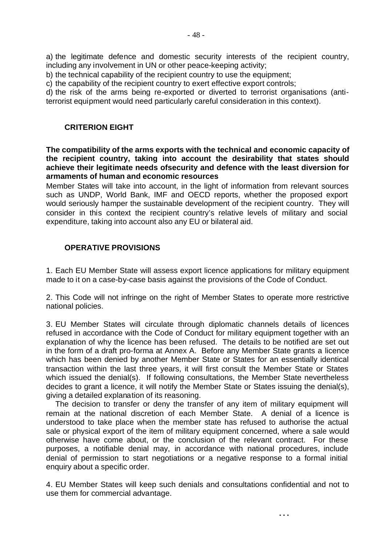a) the legitimate defence and domestic security interests of the recipient country, including any involvement in UN or other peace-keeping activity;

b) the technical capability of the recipient country to use the equipment;

c) the capability of the recipient country to exert effective export controls;

d) the risk of the arms being re-exported or diverted to terrorist organisations (antiterrorist equipment would need particularly careful consideration in this context).

### **CRITERION EIGHT**

**The compatibility of the arms exports with the technical and economic capacity of the recipient country, taking into account the desirability that states should achieve their legitimate needs ofsecurity and defence with the least diversion for armaments of human and economic resources**

Member States will take into account, in the light of information from relevant sources such as UNDP, World Bank, IMF and OECD reports, whether the proposed export would seriously hamper the sustainable development of the recipient country. They will consider in this context the recipient country's relative levels of military and social expenditure, taking into account also any EU or bilateral aid.

# **OPERATIVE PROVISIONS**

1. Each EU Member State will assess export licence applications for military equipment made to it on a case-by-case basis against the provisions of the Code of Conduct.

2. This Code will not infringe on the right of Member States to operate more restrictive national policies.

3. EU Member States will circulate through diplomatic channels details of licences refused in accordance with the Code of Conduct for military equipment together with an explanation of why the licence has been refused. The details to be notified are set out in the form of a draft pro-forma at Annex A. Before any Member State grants a licence which has been denied by another Member State or States for an essentially identical transaction within the last three years, it will first consult the Member State or States which issued the denial(s). If following consultations, the Member State nevertheless decides to grant a licence, it will notify the Member State or States issuing the denial(s), giving a detailed explanation of its reasoning.

The decision to transfer or deny the transfer of any item of military equipment will remain at the national discretion of each Member State. A denial of a licence is understood to take place when the member state has refused to authorise the actual sale or physical export of the item of military equipment concerned, where a sale would otherwise have come about, or the conclusion of the relevant contract. For these purposes, a notifiable denial may, in accordance with national procedures, include denial of permission to start negotiations or a negative response to a formal initial enquiry about a specific order.

4. EU Member States will keep such denials and consultations confidential and not to use them for commercial advantage.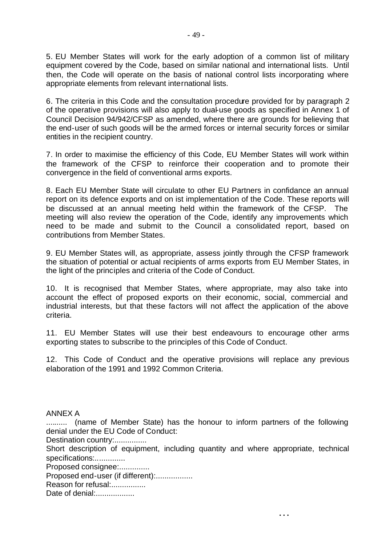5. EU Member States will work for the early adoption of a common list of military equipment covered by the Code, based on similar national and international lists. Until then, the Code will operate on the basis of national control lists incorporating where appropriate elements from relevant international lists.

6. The criteria in this Code and the consultation procedure provided for by paragraph 2 of the operative provisions will also apply to dual-use goods as specified in Annex 1 of Council Decision 94/942/CFSP as amended, where there are grounds for believing that the end-user of such goods will be the armed forces or internal security forces or similar entities in the recipient country.

7. In order to maximise the efficiency of this Code, EU Member States will work within the framework of the CFSP to reinforce their cooperation and to promote their convergence in the field of conventional arms exports.

8. Each EU Member State will circulate to other EU Partners in confidance an annual report on its defence exports and on ist implementation of the Code. These reports will be discussed at an annual meeting held within the framework of the CFSP. The meeting will also review the operation of the Code, identify any improvements which need to be made and submit to the Council a consolidated report, based on contributions from Member States.

9. EU Member States will, as appropriate, assess jointly through the CFSP framework the situation of potential or actual recipients of arms exports from EU Member States, in the light of the principles and criteria of the Code of Conduct.

10. It is recognised that Member States, where appropriate, may also take into account the effect of proposed exports on their economic, social, commercial and industrial interests, but that these factors will not affect the application of the above criteria.

11. EU Member States will use their best endeavours to encourage other arms exporting states to subscribe to the principles of this Code of Conduct.

12. This Code of Conduct and the operative provisions will replace any previous elaboration of the 1991 and 1992 Common Criteria.

#### ANNEX A

.......... (name of Member State) has the honour to inform partners of the following denial under the EU Code of Conduct:

Destination country:...............

Short description of equipment, including quantity and where appropriate, technical specifications:..............

**. . .**

Proposed consignee:.............. Proposed end-user (if different):................. Reason for refusal:................. Date of denial:..................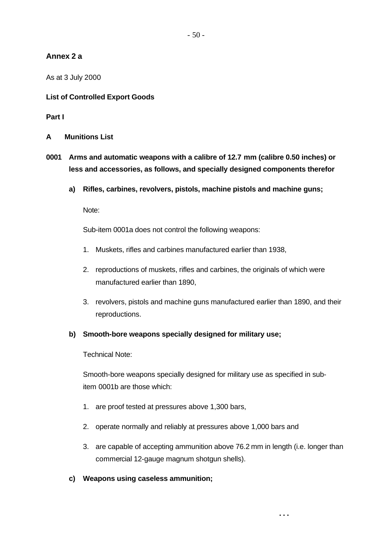# **Annex 2 a**

As at 3 July 2000

# **List of Controlled Export Goods**

## **Part I**

# **A Munitions List**

- **0001 Arms and automatic weapons with a calibre of 12.7 mm (calibre 0.50 inches) or less and accessories, as follows, and specially designed components therefor**
	- **a) Rifles, carbines, revolvers, pistols, machine pistols and machine guns;**

Note:

Sub-item 0001a does not control the following weapons:

- 1. Muskets, rifles and carbines manufactured earlier than 1938,
- 2. reproductions of muskets, rifles and carbines, the originals of which were manufactured earlier than 1890,
- 3. revolvers, pistols and machine guns manufactured earlier than 1890, and their reproductions.

## **b) Smooth-bore weapons specially designed for military use;**

Technical Note:

Smooth-bore weapons specially designed for military use as specified in subitem 0001b are those which:

- 1. are proof tested at pressures above 1,300 bars,
- 2. operate normally and reliably at pressures above 1,000 bars and
- 3. are capable of accepting ammunition above 76.2 mm in length (i.e. longer than commercial 12-gauge magnum shotgun shells).
- **c) Weapons using caseless ammunition;**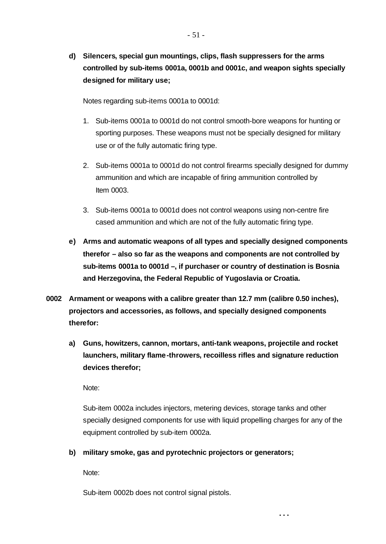**d) Silencers, special gun mountings, clips, flash suppressers for the arms controlled by sub-items 0001a, 0001b and 0001c, and weapon sights specially designed for military use;**

Notes regarding sub-items 0001a to 0001d:

- 1. Sub-items 0001a to 0001d do not control smooth-bore weapons for hunting or sporting purposes. These weapons must not be specially designed for military use or of the fully automatic firing type.
- 2. Sub-items 0001a to 0001d do not control firearms specially designed for dummy ammunition and which are incapable of firing ammunition controlled by Item 0003.
- 3. Sub-items 0001a to 0001d does not control weapons using non-centre fire cased ammunition and which are not of the fully automatic firing type.
- **e) Arms and automatic weapons of all types and specially designed components therefor – also so far as the weapons and components are not controlled by sub-items 0001a to 0001d –, if purchaser or country of destination is Bosnia and Herzegovina, the Federal Republic of Yugoslavia or Croatia.**
- **0002 Armament or weapons with a calibre greater than 12.7 mm (calibre 0.50 inches), projectors and accessories, as follows, and specially designed components therefor:**
	- **a) Guns, howitzers, cannon, mortars, anti-tank weapons, projectile and rocket launchers, military flame-throwers, recoilless rifles and signature reduction devices therefor;**

Note:

Sub-item 0002a includes injectors, metering devices, storage tanks and other specially designed components for use with liquid propelling charges for any of the equipment controlled by sub-item 0002a.

**. . .**

**b) military smoke, gas and pyrotechnic projectors or generators;**

Note:

Sub-item 0002b does not control signal pistols.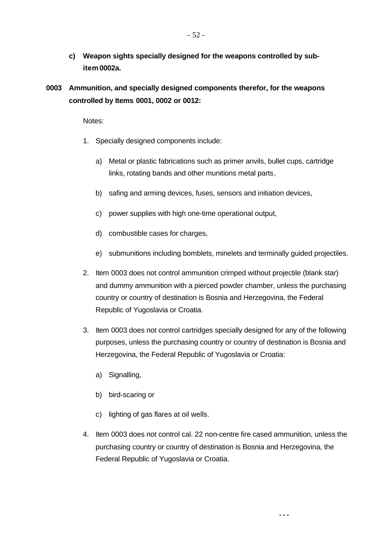**c) Weapon sights specially designed for the weapons controlled by subitem 0002a.**

**0003 Ammunition, and specially designed components therefor, for the weapons controlled by Items 0001, 0002 or 0012:**

Notes:

- 1. Specially designed components include:
	- a) Metal or plastic fabrications such as primer anvils, bullet cups, cartridge links, rotating bands and other munitions metal parts,
	- b) safing and arming devices, fuses, sensors and initiation devices,
	- c) power supplies with high one-time operational output,
	- d) combustible cases for charges,
	- e) submunitions including bomblets, minelets and terminally guided projectiles.
- 2. Item 0003 does not control ammunition crimped without projectile (blank star) and dummy ammunition with a pierced powder chamber, unless the purchasing country or country of destination is Bosnia and Herzegovina, the Federal Republic of Yugoslavia or Croatia.
- 3. Item 0003 does not control cartridges specially designed for any of the following purposes, unless the purchasing country or country of destination is Bosnia and Herzegovina, the Federal Republic of Yugoslavia or Croatia:
	- a) Signalling,
	- b) bird-scaring or
	- c) lighting of gas flares at oil wells.
- 4. Item 0003 does not control cal. 22 non-centre fire cased ammunition, unless the purchasing country or country of destination is Bosnia and Herzegovina, the Federal Republic of Yugoslavia or Croatia.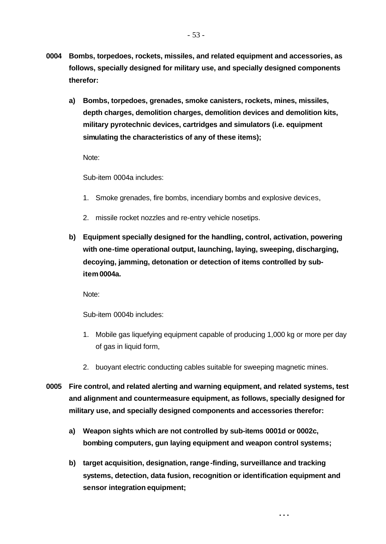- **0004 Bombs, torpedoes, rockets, missiles, and related equipment and accessories, as follows, specially designed for military use, and specially designed components therefor:**
	- **a) Bombs, torpedoes, grenades, smoke canisters, rockets, mines, missiles, depth charges, demolition charges, demolition devices and demolition kits, military pyrotechnic devices, cartridges and simulators (i.e. equipment simulating the characteristics of any of these items);**

Note:

Sub-item 0004a includes:

- 1. Smoke grenades, fire bombs, incendiary bombs and explosive devices,
- 2. missile rocket nozzles and re-entry vehicle nosetips.
- **b) Equipment specially designed for the handling, control, activation, powering with one-time operational output, launching, laying, sweeping, discharging, decoying, jamming, detonation or detection of items controlled by subitem 0004a.**

Note:

Sub-item 0004b includes:

- 1. Mobile gas liquefying equipment capable of producing 1,000 kg or more per day of gas in liquid form,
- 2. buoyant electric conducting cables suitable for sweeping magnetic mines.
- **0005 Fire control, and related alerting and warning equipment, and related systems, test and alignment and countermeasure equipment, as follows, specially designed for military use, and specially designed components and accessories therefor:**
	- **a) Weapon sights which are not controlled by sub-items 0001d or 0002c, bombing computers, gun laying equipment and weapon control systems;**
	- **b) target acquisition, designation, range-finding, surveillance and tracking systems, detection, data fusion, recognition or identification equipment and sensor integration equipment;**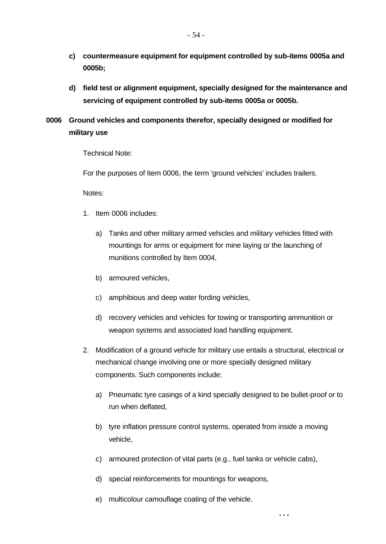- **c) countermeasure equipment for equipment controlled by sub-items 0005a and 0005b;**
- **d) field test or alignment equipment, specially designed for the maintenance and servicing of equipment controlled by sub-items 0005a or 0005b.**

# **0006 Ground vehicles and components therefor, specially designed or modified for military use**

Technical Note:

For the purposes of Item 0006, the term 'ground vehicles' includes trailers.

Notes:

- 1. Item 0006 includes:
	- a) Tanks and other military armed vehicles and military vehicles fitted with mountings for arms or equipment for mine laying or the launching of munitions controlled by Item 0004,
	- b) armoured vehicles,
	- c) amphibious and deep water fording vehicles,
	- d) recovery vehicles and vehicles for towing or transporting ammunition or weapon systems and associated load handling equipment.
- 2. Modification of a ground vehicle for military use entails a structural, electrical or mechanical change involving one or more specially designed military components. Such components include:
	- a) Pneumatic tyre casings of a kind specially designed to be bullet-proof or to run when deflated,

- b) tyre inflation pressure control systems, operated from inside a moving vehicle,
- c) armoured protection of vital parts (e.g., fuel tanks or vehicle cabs),
- d) special reinforcements for mountings for weapons,
- e) multicolour camouflage coating of the vehicle.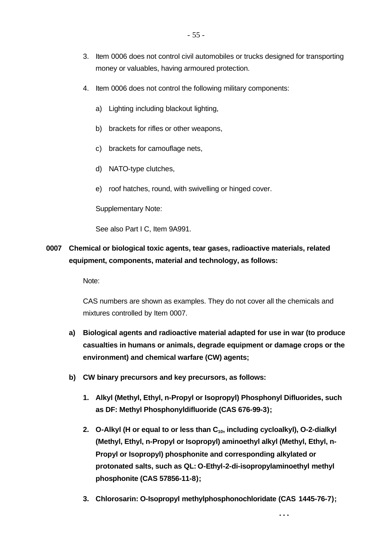- 3. Item 0006 does not control civil automobiles or trucks designed for transporting money or valuables, having armoured protection.
- 4. Item 0006 does not control the following military components:
	- a) Lighting including blackout lighting,
	- b) brackets for rifles or other weapons,
	- c) brackets for camouflage nets,
	- d) NATO-type clutches,
	- e) roof hatches, round, with swivelling or hinged cover.

Supplementary Note:

See also Part I C, Item 9A991.

**0007 Chemical or biological toxic agents, tear gases, radioactive materials, related equipment, components, material and technology, as follows:**

Note:

CAS numbers are shown as examples. They do not cover all the chemicals and mixtures controlled by Item 0007.

- **a) Biological agents and radioactive material adapted for use in war (to produce casualties in humans or animals, degrade equipment or damage crops or the environment) and chemical warfare (CW) agents;**
- **b) CW binary precursors and key precursors, as follows:**
	- **1. Alkyl (Methyl, Ethyl, n-Propyl or Isopropyl) Phosphonyl Difluorides, such as DF: Methyl Phosphonyldifluoride (CAS 676-99-3);**
	- **2. O-Alkyl (H or equal to or less than C10, including cycloalkyl), O-2-dialkyl (Methyl, Ethyl, n-Propyl or Isopropyl) aminoethyl alkyl (Methyl, Ethyl, n-Propyl or Isopropyl) phosphonite and corresponding alkylated or protonated salts, such as QL: O-Ethyl-2-di-isopropylaminoethyl methyl phosphonite (CAS 57856-11-8);**
	- **3. Chlorosarin: O-Isopropyl methylphosphonochloridate (CAS 1445-76-7);**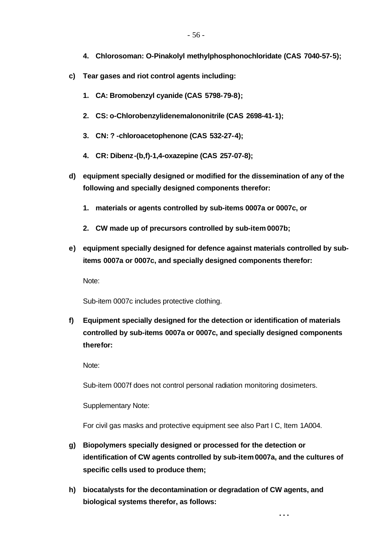- **4. Chlorosoman: O-Pinakolyl methylphosphonochloridate (CAS 7040-57-5);**
- **c) Tear gases and riot control agents including:**
	- **1. CA: Bromobenzyl cyanide (CAS 5798-79-8);**
	- **2. CS: o-Chlorobenzylidenemalononitrile (CAS 2698-41-1);**
	- **3. CN: ? -chloroacetophenone (CAS 532-27-4);**
	- **4. CR: Dibenz-(b,f)-1,4-oxazepine (CAS 257-07-8);**
- **d) equipment specially designed or modified for the dissemination of any of the following and specially designed components therefor:**
	- **1. materials or agents controlled by sub-items 0007a or 0007c, or**
	- **2. CW made up of precursors controlled by sub-item 0007b;**
- **e) equipment specially designed for defence against materials controlled by subitems 0007a or 0007c, and specially designed components therefor:**

Note:

Sub-item 0007c includes protective clothing.

**f) Equipment specially designed for the detection or identification of materials controlled by sub-items 0007a or 0007c, and specially designed components therefor:**

Note:

Sub-item 0007f does not control personal radiation monitoring dosimeters.

Supplementary Note:

For civil gas masks and protective equipment see also Part I C, Item 1A004.

- **g) Biopolymers specially designed or processed for the detection or identification of CW agents controlled by sub-item 0007a, and the cultures of specific cells used to produce them;**
- **h) biocatalysts for the decontamination or degradation of CW agents, and biological systems therefor, as follows:**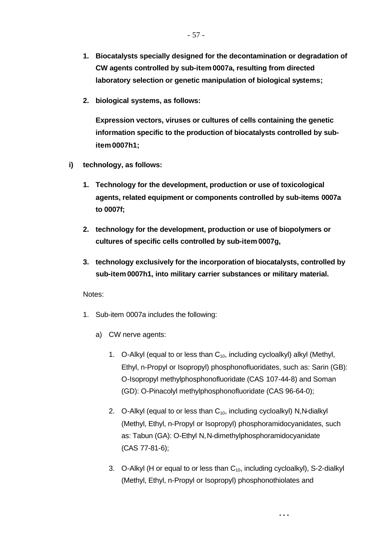**2. biological systems, as follows:**

**Expression vectors, viruses or cultures of cells containing the genetic information specific to the production of biocatalysts controlled by subitem 0007h1;**

- **i) technology, as follows:**
	- **1. Technology for the development, production or use of toxicological agents, related equipment or components controlled by sub-items 0007a to 0007f;**
	- **2. technology for the development, production or use of biopolymers or cultures of specific cells controlled by sub-item 0007g,**
	- **3. technology exclusively for the incorporation of biocatalysts, controlled by sub-item 0007h1, into military carrier substances or military material.**

Notes:

- 1. Sub-item 0007a includes the following:
	- a) CW nerve agents:
		- 1. O-Alkyl (equal to or less than  $C_{10}$ , including cycloalkyl) alkyl (Methyl, Ethyl, n-Propyl or Isopropyl) phosphonofluoridates, such as: Sarin (GB): O-Isopropyl methylphosphonofluoridate (CAS 107-44-8) and Soman (GD): O-Pinacolyl methylphosphonofluoridate (CAS 96-64-0);
		- 2. O-Alkyl (equal to or less than  $C_{10}$ , including cycloalkyl) N, N-dialkyl (Methyl, Ethyl, n-Propyl or Isopropyl) phosphoramidocyanidates, such as: Tabun (GA): O-Ethyl N, N-dimethylphosphoramidocyanidate (CAS 77-81-6);
		- 3. O-Alkyl (H or equal to or less than  $C_{10}$ , including cycloalkyl), S-2-dialkyl (Methyl, Ethyl, n-Propyl or Isopropyl) phosphonothiolates and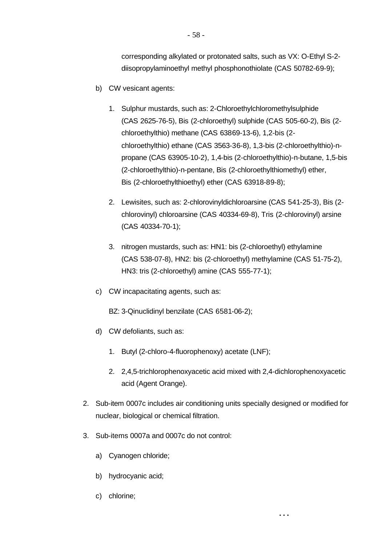corresponding alkylated or protonated salts, such as VX: O-Ethyl S-2 diisopropylaminoethyl methyl phosphonothiolate (CAS 50782-69-9);

- b) CW vesicant agents:
	- 1. Sulphur mustards, such as: 2-Chloroethylchloromethylsulphide (CAS 2625-76-5), Bis (2-chloroethyl) sulphide (CAS 505-60-2), Bis (2 chloroethylthio) methane (CAS 63869-13-6), 1,2-bis (2 chloroethylthio) ethane (CAS 3563-36-8), 1,3-bis (2-chloroethylthio)-npropane (CAS 63905-10-2), 1,4-bis (2-chloroethylthio)-n-butane, 1,5-bis (2-chloroethylthio)-n-pentane, Bis (2-chloroethylthiomethyl) ether, Bis (2-chloroethylthioethyl) ether (CAS 63918-89-8);
	- 2. Lewisites, such as: 2-chlorovinyldichloroarsine (CAS 541-25-3), Bis (2 chlorovinyl) chloroarsine (CAS 40334-69-8), Tris (2-chlorovinyl) arsine (CAS 40334-70-1);
	- 3. nitrogen mustards, such as: HN1: bis (2-chloroethyl) ethylamine (CAS 538-07-8), HN2: bis (2-chloroethyl) methylamine (CAS 51-75-2), HN3: tris (2-chloroethyl) amine (CAS 555-77-1);
- c) CW incapacitating agents, such as:

BZ: 3-Qinuclidinyl benzilate (CAS 6581-06-2);

- d) CW defoliants, such as:
	- 1. Butyl (2-chloro-4-fluorophenoxy) acetate (LNF);
	- 2. 2,4,5-trichlorophenoxyacetic acid mixed with 2,4-dichlorophenoxyacetic acid (Agent Orange).

- 2. Sub-item 0007c includes air conditioning units specially designed or modified for nuclear, biological or chemical filtration.
- 3. Sub-items 0007a and 0007c do not control:
	- a) Cyanogen chloride;
	- b) hydrocyanic acid;
	- c) chlorine;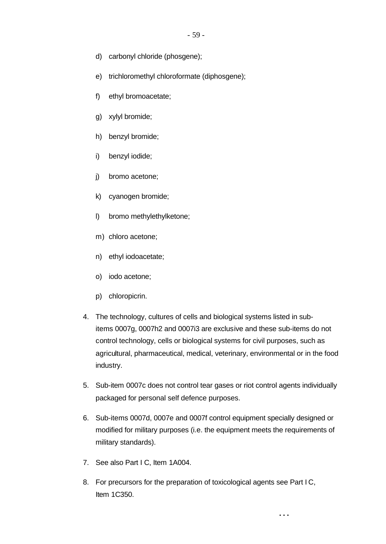- d) carbonyl chloride (phosgene);
- e) trichloromethyl chloroformate (diphosgene);
- f) ethyl bromoacetate;
- g) xylyl bromide;
- h) benzyl bromide;
- i) benzyl iodide;
- j) bromo acetone;
- k) cyanogen bromide;
- l) bromo methylethylketone;
- m) chloro acetone;
- n) ethyl iodoacetate;
- o) iodo acetone;
- p) chloropicrin.
- 4. The technology, cultures of cells and biological systems listed in subitems 0007g, 0007h2 and 0007i3 are exclusive and these sub-items do not control technology, cells or biological systems for civil purposes, such as agricultural, pharmaceutical, medical, veterinary, environmental or in the food industry.
- 5. Sub-item 0007c does not control tear gases or riot control agents individually packaged for personal self defence purposes.
- 6. Sub-items 0007d, 0007e and 0007f control equipment specially designed or modified for military purposes (i.e. the equipment meets the requirements of military standards).
- 7. See also Part I C, Item 1A004.
- 8. For precursors for the preparation of toxicological agents see Part I C, Item 1C350.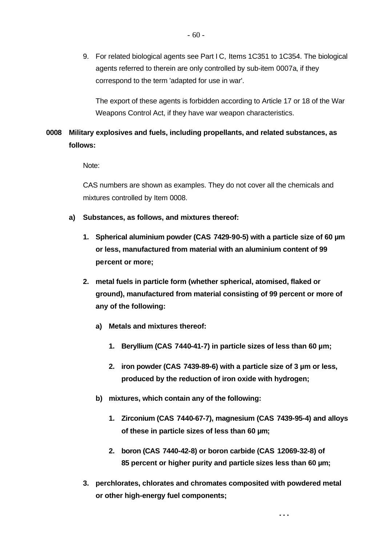9. For related biological agents see Part I C, Items 1C351 to 1C354. The biological agents referred to therein are only controlled by sub-item 0007a, if they correspond to the term 'adapted for use in war'.

The export of these agents is forbidden according to Article 17 or 18 of the War Weapons Control Act, if they have war weapon characteristics.

# **0008 Military explosives and fuels, including propellants, and related substances, as follows:**

Note:

CAS numbers are shown as examples. They do not cover all the chemicals and mixtures controlled by Item 0008.

- **a) Substances, as follows, and mixtures thereof:**
	- **1. Spherical aluminium powder (CAS 7429-90-5) with a particle size of 60 µm or less, manufactured from material with an aluminium content of 99 percent or more;**
	- **2. metal fuels in particle form (whether spherical, atomised, flaked or ground), manufactured from material consisting of 99 percent or more of any of the following:**
		- **a) Metals and mixtures thereof:**
			- **1. Beryllium (CAS 7440-41-7) in particle sizes of less than 60 µm;**
			- **2. iron powder (CAS 7439-89-6) with a particle size of 3 µm or less, produced by the reduction of iron oxide with hydrogen;**
		- **b) mixtures, which contain any of the following:**
			- **1. Zirconium (CAS 7440-67-7), magnesium (CAS 7439-95-4) and alloys of these in particle sizes of less than 60 µm;**

- **2. boron (CAS 7440-42-8) or boron carbide (CAS 12069-32-8) of 85 percent or higher purity and particle sizes less than 60 µm;**
- **3. perchlorates, chlorates and chromates composited with powdered metal or other high-energy fuel components;**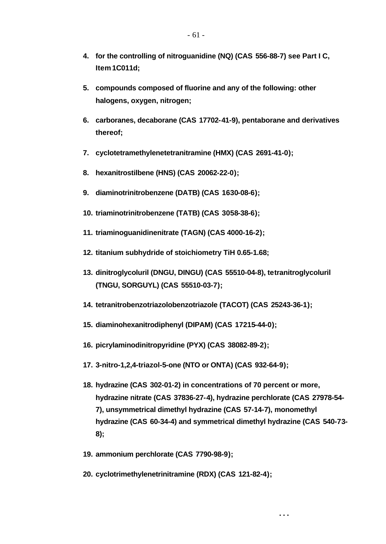- **5. compounds composed of fluorine and any of the following: other halogens, oxygen, nitrogen;**
- **6. carboranes, decaborane (CAS 17702-41-9), pentaborane and derivatives thereof;**
- **7. cyclotetramethylenetetranitramine (HMX) (CAS 2691-41-0);**
- **8. hexanitrostilbene (HNS) (CAS 20062-22-0);**
- **9. diaminotrinitrobenzene (DATB) (CAS 1630-08-6);**
- **10. triaminotrinitrobenzene (TATB) (CAS 3058-38-6);**
- **11. triaminoguanidinenitrate (TAGN) (CAS 4000-16-2);**
- **12. titanium subhydride of stoichiometry TiH 0.65-1.68;**
- **13. dinitroglycoluril (DNGU, DINGU) (CAS 55510-04-8), tetranitroglycoluril (TNGU, SORGUYL) (CAS 55510-03-7);**
- **14. tetranitrobenzotriazolobenzotriazole (TACOT) (CAS 25243-36-1);**
- **15. diaminohexanitrodiphenyl (DIPAM) (CAS 17215-44-0);**
- **16. picrylaminodinitropyridine (PYX) (CAS 38082-89-2);**
- **17. 3-nitro-1,2,4-triazol-5-one (NTO or ONTA) (CAS 932-64-9);**
- **18. hydrazine (CAS 302-01-2) in concentrations of 70 percent or more, hydrazine nitrate (CAS 37836-27-4), hydrazine perchlorate (CAS 27978-54- 7), unsymmetrical dimethyl hydrazine (CAS 57-14-7), monomethyl hydrazine (CAS 60-34-4) and symmetrical dimethyl hydrazine (CAS 540-73- 8);**

- **19. ammonium perchlorate (CAS 7790-98-9);**
- **20. cyclotrimethylenetrinitramine (RDX) (CAS 121-82-4);**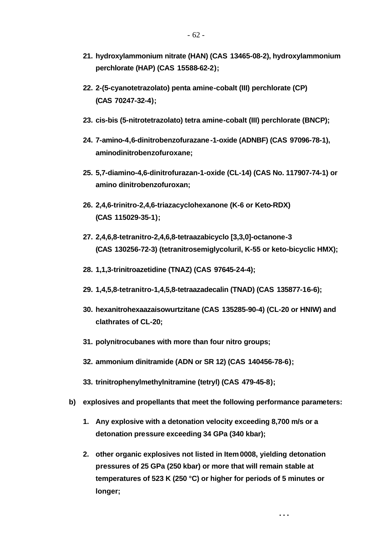- **22. 2-(5-cyanotetrazolato) penta amine-cobalt (III) perchlorate (CP) (CAS 70247-32-4);**
- **23. cis-bis (5-nitrotetrazolato) tetra amine-cobalt (III) perchlorate (BNCP);**
- **24. 7-amino-4,6-dinitrobenzofurazane-1-oxide (ADNBF) (CAS 97096-78-1), aminodinitrobenzofuroxane;**
- **25. 5,7-diamino-4,6-dinitrofurazan-1-oxide (CL-14) (CAS No. 117907-74-1) or amino dinitrobenzofuroxan;**
- **26. 2,4,6-trinitro-2,4,6-triazacyclohexanone (K-6 or Keto-RDX) (CAS 115029-35-1);**
- **27. 2,4,6,8-tetranitro-2,4,6,8-tetraazabicyclo [3,3,0]-octanone-3 (CAS 130256-72-3) (tetranitrosemiglycoluril, K-55 or keto-bicyclic HMX);**
- **28. 1,1,3-trinitroazetidine (TNAZ) (CAS 97645-24-4);**
- **29. 1,4,5,8-tetranitro-1,4,5,8-tetraazadecalin (TNAD) (CAS 135877-16-6);**
- **30. hexanitrohexaazaisowurtzitane (CAS 135285-90-4) (CL-20 or HNIW) and clathrates of CL-20;**
- **31. polynitrocubanes with more than four nitro groups;**
- **32. ammonium dinitramide (ADN or SR 12) (CAS 140456-78-6);**
- **33. trinitrophenylmethylnitramine (tetryl) (CAS 479-45-8);**
- **b) explosives and propellants that meet the following performance parameters:**
	- **1. Any explosive with a detonation velocity exceeding 8,700 m/s or a detonation pressure exceeding 34 GPa (340 kbar);**
	- **2. other organic explosives not listed in Item0008, yielding detonation pressures of 25 GPa (250 kbar) or more that will remain stable at temperatures of 523 K (250 °C) or higher for periods of 5 minutes or longer;**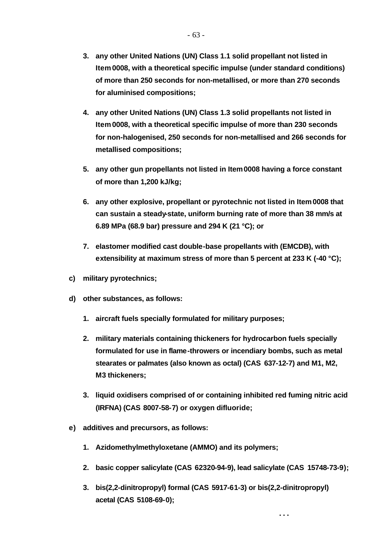- **4. any other United Nations (UN) Class 1.3 solid propellants not listed in Item 0008, with a theoretical specific impulse of more than 230 seconds for non-halogenised, 250 seconds for non-metallised and 266 seconds for metallised compositions;**
- **5. any other gun propellants not listed in Item0008 having a force constant of more than 1,200 kJ/kg;**
- **6. any other explosive, propellant or pyrotechnic not listed in Item0008 that can sustain a steady-state, uniform burning rate of more than 38 mm/s at 6.89 MPa (68.9 bar) pressure and 294 K (21 °C); or**
- **7. elastomer modified cast double-base propellants with (EMCDB), with extensibility at maximum stress of more than 5 percent at 233 K (-40 °C);**
- **c) military pyrotechnics;**
- **d) other substances, as follows:**
	- **1. aircraft fuels specially formulated for military purposes;**
	- **2. military materials containing thickeners for hydrocarbon fuels specially formulated for use in flame-throwers or incendiary bombs, such as metal stearates or palmates (also known as octal) (CAS 637-12-7) and M1, M2, M3 thickeners;**
	- **3. liquid oxidisers comprised of or containing inhibited red fuming nitric acid (IRFNA) (CAS 8007-58-7) or oxygen difluoride;**
- **e) additives and precursors, as follows:**
	- **1. Azidomethylmethyloxetane (AMMO) and its polymers;**
	- **2. basic copper salicylate (CAS 62320-94-9), lead salicylate (CAS 15748-73-9);**

**3. bis(2,2-dinitropropyl) formal (CAS 5917-61-3) or bis(2,2-dinitropropyl) acetal (CAS 5108-69-0);**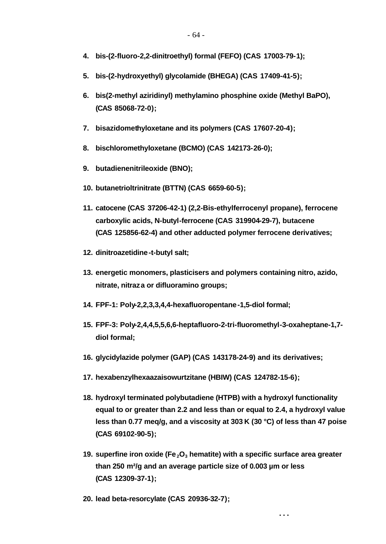- **4. bis-(2-fluoro-2,2-dinitroethyl) formal (FEFO) (CAS 17003-79-1);**
- **5. bis-(2-hydroxyethyl) glycolamide (BHEGA) (CAS 17409-41-5);**
- **6. bis(2-methyl aziridinyl) methylamino phosphine oxide (Methyl BaPO), (CAS 85068-72-0);**
- **7. bisazidomethyloxetane and its polymers (CAS 17607-20-4);**
- **8. bischloromethyloxetane (BCMO) (CAS 142173-26-0);**
- **9. butadienenitrileoxide (BNO);**
- **10. butanetrioltrinitrate (BTTN) (CAS 6659-60-5);**
- **11. catocene (CAS 37206-42-1) (2,2-Bis-ethylferrocenyl propane), ferrocene carboxylic acids, N-butyl-ferrocene (CAS 319904-29-7), butacene (CAS 125856-62-4) and other adducted polymer ferrocene derivatives;**
- **12. dinitroazetidine-t-butyl salt;**
- **13. energetic monomers, plasticisers and polymers containing nitro, azido, nitrate, nitraza or difluoramino groups;**
- **14. FPF-1: Poly-2,2,3,3,4,4-hexafluoropentane-1,5-diol formal;**
- **15. FPF-3: Poly-2,4,4,5,5,6,6-heptafluoro-2-tri-fluoromethyl-3-oxaheptane-1,7 diol formal;**
- **16. glycidylazide polymer (GAP) (CAS 143178-24-9) and its derivatives;**
- **17. hexabenzylhexaazaisowurtzitane (HBIW) (CAS 124782-15-6);**
- **18. hydroxyl terminated polybutadiene (HTPB) with a hydroxyl functionality equal to or greater than 2.2 and less than or equal to 2.4, a hydroxyl value less than 0.77 meq/g, and a viscosity at 303 K (30 °C) of less than 47 poise (CAS 69102-90-5);**
- **19. superfine iron oxide (Fe2O3 hematite) with a specific surface area greater than 250 m²/g and an average particle size of 0.003 µm or less (CAS 12309-37-1);**

**20. lead beta-resorcylate (CAS 20936-32-7);**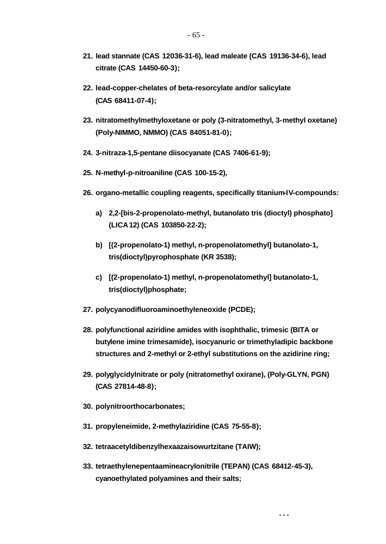- **21. lead stannate (CAS 12036-31-6), lead maleate (CAS 19136-34-6), lead citrate (CAS 14450-60-3);**
- **22. lead-copper-chelates of beta-resorcylate and/or salicylate (CAS 68411-07-4);**
- **23. nitratomethylmethyloxetane or poly (3-nitratomethyl, 3-methyl oxetane) (Poly-NIMMO, NMMO) (CAS 84051-81-0);**
- **24. 3-nitraza-1,5-pentane diisocyanate (CAS 7406-61-9);**
- **25. N-methyl-p-nitroaniline (CAS 100-15-2),**
- **26. organo-metallic coupling reagents, specifically titanium-IV-compounds:**
	- **a) 2,2-[bis-2-propenolato-methyl, butanolato tris (dioctyl) phosphato] (LICA12) (CAS 103850-22-2);**
	- **b) [(2-propenolato-1) methyl, n-propenolatomethyl] butanolato-1, tris(dioctyl)pyrophosphate (KR 3538);**
	- **c) [(2-propenolato-1) methyl, n-propenolatomethyl] butanolato-1, tris(dioctyl)phosphate;**
- **27. polycyanodifluoroaminoethyleneoxide (PCDE);**
- **28. polyfunctional aziridine amides with isophthalic, trimesic (BITA or butylene imine trimesamide), isocyanuric or trimethyladipic backbone structures and 2-methyl or 2-ethyl substitutions on the azidirine ring;**
- **29. polyglycidylnitrate or poly (nitratomethyl oxirane), (Poly-GLYN, PGN) (CAS 27814-48-8);**
- **30. polynitroorthocarbonates;**
- **31. propyleneimide, 2-methylaziridine (CAS 75-55-8);**
- **32. tetraacetyldibenzylhexaazaisowurtzitane (TAIW);**
- **33. tetraethylenepentaamineacrylonitrile (TEPAN) (CAS 68412-45-3), cyanoethylated polyamines and their salts;**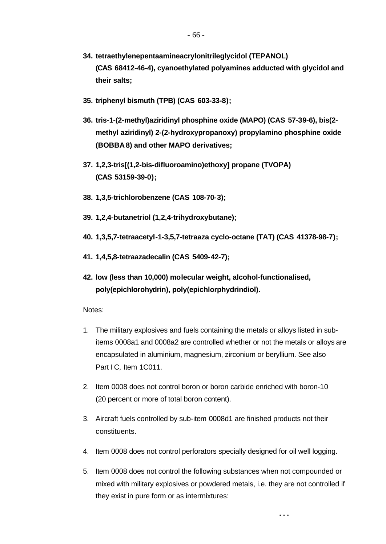- **34. tetraethylenepentaamineacrylonitrileglycidol (TEPANOL) (CAS 68412-46-4), cyanoethylated polyamines adducted with glycidol and their salts;**
- **35. triphenyl bismuth (TPB) (CAS 603-33-8);**
- **36. tris-1-(2-methyl)aziridinyl phosphine oxide (MAPO) (CAS 57-39-6), bis(2 methyl aziridinyl) 2-(2-hydroxypropanoxy) propylamino phosphine oxide (BOBBA8) and other MAPO derivatives;**
- **37. 1,2,3-tris[(1,2-bis-difluoroamino)ethoxy] propane (TVOPA) (CAS 53159-39-0);**
- **38. 1,3,5-trichlorobenzene (CAS 108-70-3);**
- **39. 1,2,4-butanetriol (1,2,4-trihydroxybutane);**
- **40. 1,3,5,7-tetraacetyl-1-3,5,7-tetraaza cyclo-octane (TAT) (CAS 41378-98-7);**
- **41. 1,4,5,8-tetraazadecalin (CAS 5409-42-7);**
- **42. low (less than 10,000) molecular weight, alcohol-functionalised, poly(epichlorohydrin), poly(epichlorphydrindiol).**

Notes:

- 1. The military explosives and fuels containing the metals or alloys listed in subitems 0008a1 and 0008a2 are controlled whether or not the metals or alloys are encapsulated in aluminium, magnesium, zirconium or beryllium. See also Part I C, Item 1C011.
- 2. Item 0008 does not control boron or boron carbide enriched with boron-10 (20 percent or more of total boron content).
- 3. Aircraft fuels controlled by sub-item 0008d1 are finished products not their constituents.
- 4. Item 0008 does not control perforators specially designed for oil well logging.
- 5. Item 0008 does not control the following substances when not compounded or mixed with military explosives or powdered metals, i.e. they are not controlled if they exist in pure form or as intermixtures: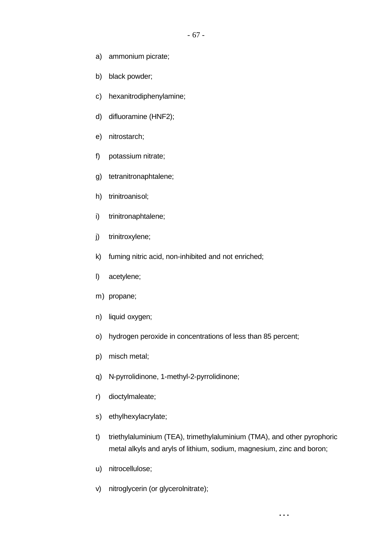- a) ammonium picrate;
- b) black powder;
- c) hexanitrodiphenylamine;
- d) difluoramine (HNF2);
- e) nitrostarch;
- f) potassium nitrate;
- g) tetranitronaphtalene;
- h) trinitroanisol;
- i) trinitronaphtalene;
- j) trinitroxylene;
- k) fuming nitric acid, non-inhibited and not enriched;
- l) acetylene;
- m) propane;
- n) liquid oxygen;
- o) hydrogen peroxide in concentrations of less than 85 percent;
- p) misch metal;
- q) N-pyrrolidinone, 1-methyl-2-pyrrolidinone;
- r) dioctylmaleate;
- s) ethylhexylacrylate;
- t) triethylaluminium (TEA), trimethylaluminium (TMA), and other pyrophoric metal alkyls and aryls of lithium, sodium, magnesium, zinc and boron;
- u) nitrocellulose;
- v) nitroglycerin (or glycerolnitrate);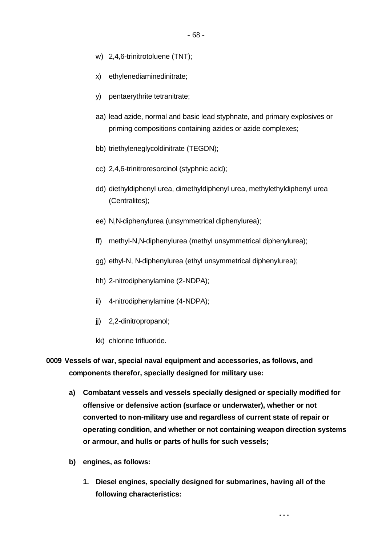- w) 2,4,6-trinitrotoluene (TNT);
- x) ethylenediaminedinitrate;
- y) pentaerythrite tetranitrate;
- aa) lead azide, normal and basic lead styphnate, and primary explosives or priming compositions containing azides or azide complexes;
- bb) triethyleneglycoldinitrate (TEGDN);
- cc) 2,4,6-trinitroresorcinol (styphnic acid);
- dd) diethyldiphenyl urea, dimethyldiphenyl urea, methylethyldiphenyl urea (Centralites);
- ee) N,N-diphenylurea (unsymmetrical diphenylurea);
- ff) methyl-N,N-diphenylurea (methyl unsymmetrical diphenylurea);
- gg) ethyl-N, N-diphenylurea (ethyl unsymmetrical diphenylurea);
- hh) 2-nitrodiphenylamine (2-NDPA);
- ii) 4-nitrodiphenylamine (4-NDPA);
- jj) 2,2-dinitropropanol;
- kk) chlorine trifluoride.
- **0009 Vessels of war, special naval equipment and accessories, as follows, and components therefor, specially designed for military use:**
	- **a) Combatant vessels and vessels specially designed or specially modified for offensive or defensive action (surface or underwater), whether or not converted to non-military use and regardless of current state of repair or operating condition, and whether or not containing weapon direction systems or armour, and hulls or parts of hulls for such vessels;**
	- **b) engines, as follows:**
		- **1. Diesel engines, specially designed for submarines, having all of the following characteristics:**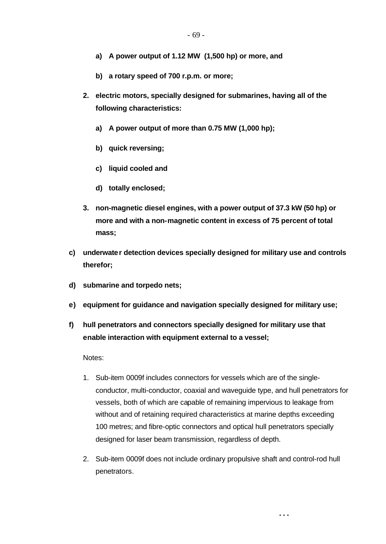- **a) A power output of 1.12 MW (1,500 hp) or more, and**
- **b) a rotary speed of 700 r.p.m. or more;**
- **2. electric motors, specially designed for submarines, having all of the following characteristics:**
	- **a) A power output of more than 0.75 MW (1,000 hp);**
	- **b) quick reversing;**
	- **c) liquid cooled and**
	- **d) totally enclosed;**
- **3. non-magnetic diesel engines, with a power output of 37.3 kW (50 hp) or more and with a non-magnetic content in excess of 75 percent of total mass;**
- **c) underwater detection devices specially designed for military use and controls therefor;**
- **d) submarine and torpedo nets;**
- **e) equipment for guidance and navigation specially designed for military use;**
- **f) hull penetrators and connectors specially designed for military use that enable interaction with equipment external to a vessel;**

Notes:

- 1. Sub-item 0009f includes connectors for vessels which are of the singleconductor, multi-conductor, coaxial and waveguide type, and hull penetrators for vessels, both of which are capable of remaining impervious to leakage from without and of retaining required characteristics at marine depths exceeding 100 metres; and fibre-optic connectors and optical hull penetrators specially designed for laser beam transmission, regardless of depth.
- 2. Sub-item 0009f does not include ordinary propulsive shaft and control-rod hull penetrators.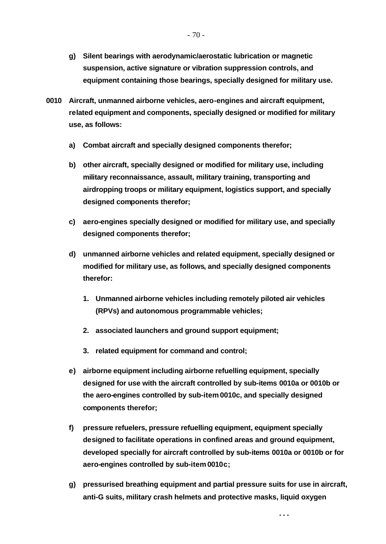- **g) Silent bearings with aerodynamic/aerostatic lubrication or magnetic suspension, active signature or vibration suppression controls, and equipment containing those bearings, specially designed for military use.**
- **0010 Aircraft, unmanned airborne vehicles, aero-engines and aircraft equipment, related equipment and components, specially designed or modified for military use, as follows:**
	- **a) Combat aircraft and specially designed components therefor;**
	- **b) other aircraft, specially designed or modified for military use, including military reconnaissance, assault, military training, transporting and airdropping troops or military equipment, logistics support, and specially designed components therefor;**
	- **c) aero-engines specially designed or modified for military use, and specially designed components therefor;**
	- **d) unmanned airborne vehicles and related equipment, specially designed or modified for military use, as follows, and specially designed components therefor:**
		- **1. Unmanned airborne vehicles including remotely piloted air vehicles (RPVs) and autonomous programmable vehicles;**
		- **2. associated launchers and ground support equipment;**
		- **3. related equipment for command and control;**
	- **e) airborne equipment including airborne refuelling equipment, specially designed for use with the aircraft controlled by sub-items 0010a or 0010b or the aero-engines controlled by sub-item 0010c, and specially designed components therefor;**
	- **f) pressure refuelers, pressure refuelling equipment, equipment specially designed to facilitate operations in confined areas and ground equipment, developed specially for aircraft controlled by sub-items 0010a or 0010b or for aero-engines controlled by sub-item 0010c;**
	- **g) pressurised breathing equipment and partial pressure suits for use in aircraft, anti-G suits, military crash helmets and protective masks, liquid oxygen**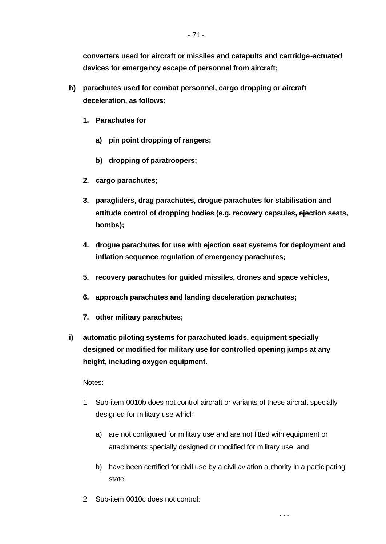**converters used for aircraft or missiles and catapults and cartridge-actuated devices for emergency escape of personnel from aircraft;**

- **h) parachutes used for combat personnel, cargo dropping or aircraft deceleration, as follows:**
	- **1. Parachutes for**
		- **a) pin point dropping of rangers;**
		- **b) dropping of paratroopers;**
	- **2. cargo parachutes;**
	- **3. paragliders, drag parachutes, drogue parachutes for stabilisation and attitude control of dropping bodies (e.g. recovery capsules, ejection seats, bombs);**
	- **4. drogue parachutes for use with ejection seat systems for deployment and inflation sequence regulation of emergency parachutes;**
	- **5. recovery parachutes for guided missiles, drones and space vehicles,**
	- **6. approach parachutes and landing deceleration parachutes;**
	- **7. other military parachutes;**
- **i) automatic piloting systems for parachuted loads, equipment specially designed or modified for military use for controlled opening jumps at any height, including oxygen equipment.**

Notes:

- 1. Sub-item 0010b does not control aircraft or variants of these aircraft specially designed for military use which
	- a) are not configured for military use and are not fitted with equipment or attachments specially designed or modified for military use, and
	- b) have been certified for civil use by a civil aviation authority in a participating state.

**. . .**

2. Sub-item 0010c does not control: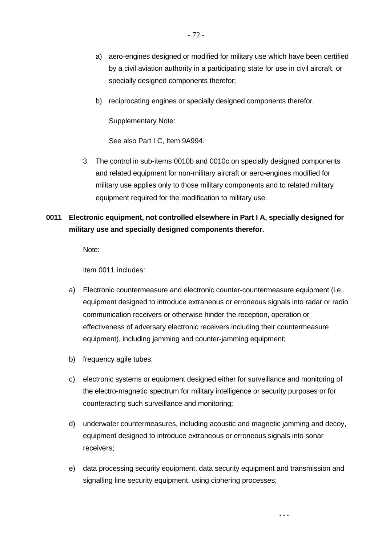- a) aero-engines designed or modified for military use which have been certified by a civil aviation authority in a participating state for use in civil aircraft, or specially designed components therefor;
- b) reciprocating engines or specially designed components therefor.

Supplementary Note:

See also Part I C, Item 9A994.

3. The control in sub-items 0010b and 0010c on specially designed components and related equipment for non-military aircraft or aero-engines modified for military use applies only to those military components and to related military equipment required for the modification to military use.

# **0011 Electronic equipment, not controlled elsewhere in Part I A, specially designed for military use and specially designed components therefor.**

Note:

Item 0011 includes:

- a) Electronic countermeasure and electronic counter-countermeasure equipment (i.e., equipment designed to introduce extraneous or erroneous signals into radar or radio communication receivers or otherwise hinder the reception, operation or effectiveness of adversary electronic receivers including their countermeasure equipment), including jamming and counter-jamming equipment;
- b) frequency agile tubes;
- c) electronic systems or equipment designed either for surveillance and monitoring of the electro-magnetic spectrum for military intelligence or security purposes or for counteracting such surveillance and monitoring;
- d) underwater countermeasures, including acoustic and magnetic jamming and decoy, equipment designed to introduce extraneous or erroneous signals into sonar receivers;
- e) data processing security equipment, data security equipment and transmission and signalling line security equipment, using ciphering processes;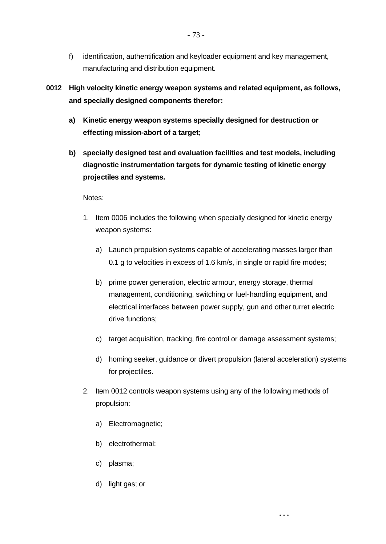- f) identification, authentification and keyloader equipment and key management, manufacturing and distribution equipment.
- **0012 High velocity kinetic energy weapon systems and related equipment, as follows, and specially designed components therefor:**
	- **a) Kinetic energy weapon systems specially designed for destruction or effecting mission-abort of a target;**
	- **b) specially designed test and evaluation facilities and test models, including diagnostic instrumentation targets for dynamic testing of kinetic energy projectiles and systems.**

Notes:

- 1. Item 0006 includes the following when specially designed for kinetic energy weapon systems:
	- a) Launch propulsion systems capable of accelerating masses larger than 0.1 g to velocities in excess of 1.6 km/s, in single or rapid fire modes;
	- b) prime power generation, electric armour, energy storage, thermal management, conditioning, switching or fuel-handling equipment, and electrical interfaces between power supply, gun and other turret electric drive functions;
	- c) target acquisition, tracking, fire control or damage assessment systems;
	- d) homing seeker, guidance or divert propulsion (lateral acceleration) systems for projectiles.

- 2. Item 0012 controls weapon systems using any of the following methods of propulsion:
	- a) Electromagnetic;
	- b) electrothermal;
	- c) plasma;
	- d) light gas; or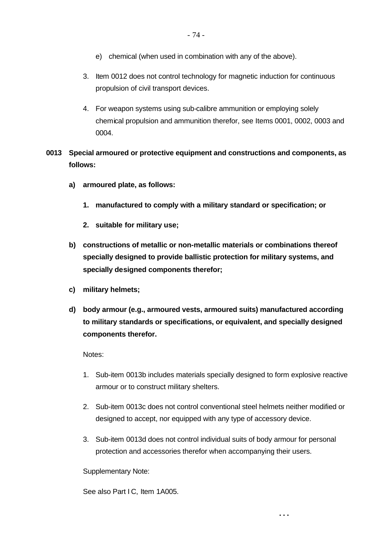- e) chemical (when used in combination with any of the above).
- 3. Item 0012 does not control technology for magnetic induction for continuous propulsion of civil transport devices.
- 4. For weapon systems using sub-calibre ammunition or employing solely chemical propulsion and ammunition therefor, see Items 0001, 0002, 0003 and 0004.

# **0013 Special armoured or protective equipment and constructions and components, as follows:**

- **a) armoured plate, as follows:**
	- **1. manufactured to comply with a military standard or specification; or**
	- **2. suitable for military use;**
- **b) constructions of metallic or non-metallic materials or combinations thereof specially designed to provide ballistic protection for military systems, and specially designed components therefor;**
- **c) military helmets;**
- **d) body armour (e.g., armoured vests, armoured suits) manufactured according to military standards or specifications, or equivalent, and specially designed components therefor.**

Notes:

- 1. Sub-item 0013b includes materials specially designed to form explosive reactive armour or to construct military shelters.
- 2. Sub-item 0013c does not control conventional steel helmets neither modified or designed to accept, nor equipped with any type of accessory device.
- 3. Sub-item 0013d does not control individual suits of body armour for personal protection and accessories therefor when accompanying their users.

**. . .**

#### Supplementary Note:

See also Part I C, Item 1A005.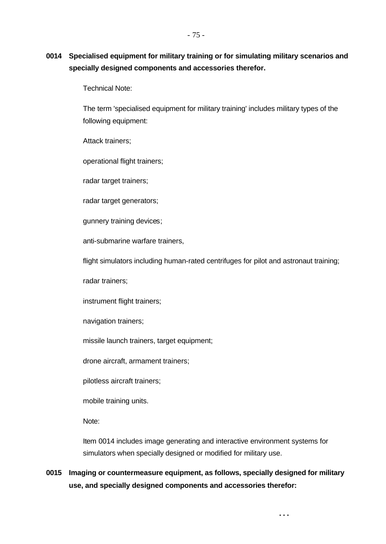## **0014 Specialised equipment for military training or for simulating military scenarios and specially designed components and accessories therefor.**

Technical Note:

The term 'specialised equipment for military training' includes military types of the following equipment:

Attack trainers;

operational flight trainers;

radar target trainers;

radar target generators;

gunnery training devices;

anti-submarine warfare trainers,

flight simulators including human-rated centrifuges for pilot and astronaut training;

radar trainers;

instrument flight trainers;

navigation trainers;

missile launch trainers, target equipment;

drone aircraft, armament trainers;

pilotless aircraft trainers;

mobile training units.

Note:

Item 0014 includes image generating and interactive environment systems for simulators when specially designed or modified for military use.

**. . .**

# **0015 Imaging or countermeasure equipment, as follows, specially designed for military use, and specially designed components and accessories therefor:**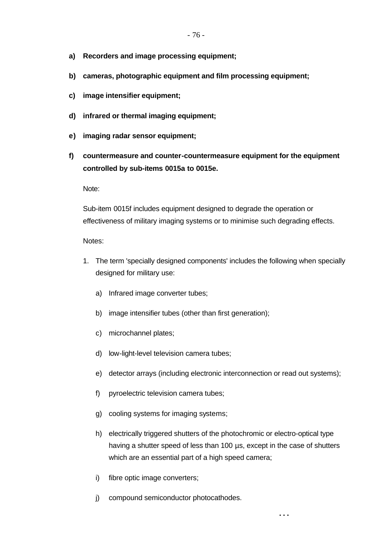- **a) Recorders and image processing equipment;**
- **b) cameras, photographic equipment and film processing equipment;**
- **c) image intensifier equipment;**
- **d) infrared or thermal imaging equipment;**
- **e) imaging radar sensor equipment;**
- **f) countermeasure and counter-countermeasure equipment for the equipment controlled by sub-items 0015a to 0015e.**

Note:

Sub-item 0015f includes equipment designed to degrade the operation or effectiveness of military imaging systems or to minimise such degrading effects.

Notes:

- 1. The term 'specially designed components' includes the following when specially designed for military use:
	- a) Infrared image converter tubes;
	- b) image intensifier tubes (other than first generation);
	- c) microchannel plates;
	- d) low-light-level television camera tubes;
	- e) detector arrays (including electronic interconnection or read out systems);
	- f) pyroelectric television camera tubes;
	- g) cooling systems for imaging systems;
	- h) electrically triggered shutters of the photochromic or electro-optical type having a shutter speed of less than 100 µs, except in the case of shutters which are an essential part of a high speed camera;

- i) fibre optic image converters;
- j) compound semiconductor photocathodes.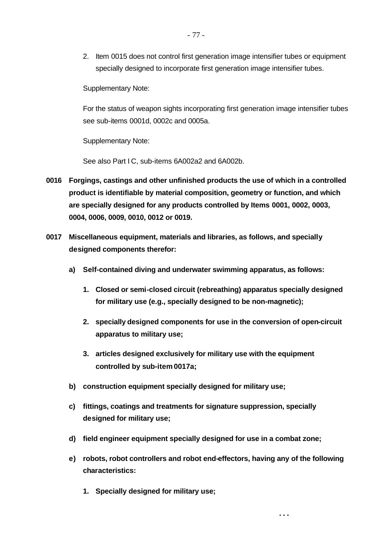2. Item 0015 does not control first generation image intensifier tubes or equipment specially designed to incorporate first generation image intensifier tubes.

Supplementary Note:

For the status of weapon sights incorporating first generation image intensifier tubes see sub-items 0001d, 0002c and 0005a.

Supplementary Note:

See also Part I C, sub-items 6A002a2 and 6A002b.

- **0016 Forgings, castings and other unfinished products the use of which in a controlled product is identifiable by material composition, geometry or function, and which are specially designed for any products controlled by Items 0001, 0002, 0003, 0004, 0006, 0009, 0010, 0012 or 0019.**
- **0017 Miscellaneous equipment, materials and libraries, as follows, and specially designed components therefor:**
	- **a) Self-contained diving and underwater swimming apparatus, as follows:**
		- **1. Closed or semi-closed circuit (rebreathing) apparatus specially designed for military use (e.g., specially designed to be non-magnetic);**
		- **2. specially designed components for use in the conversion of open-circuit apparatus to military use;**
		- **3. articles designed exclusively for military use with the equipment controlled by sub-item 0017a;**
	- **b) construction equipment specially designed for military use;**
	- **c) fittings, coatings and treatments for signature suppression, specially designed for military use;**
	- **d) field engineer equipment specially designed for use in a combat zone;**
	- **e) robots, robot controllers and robot end-effectors, having any of the following characteristics:**

**. . .**

**1. Specially designed for military use;**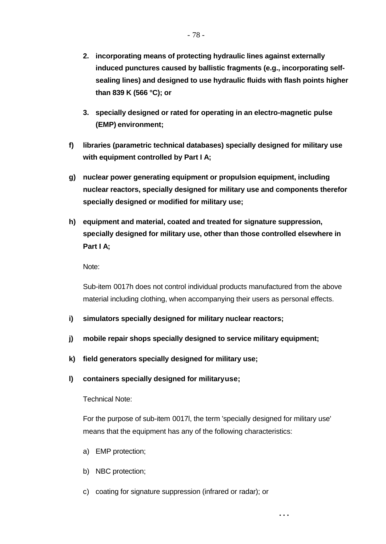- **3. specially designed or rated for operating in an electro-magnetic pulse (EMP) environment;**
- **f) libraries (parametric technical databases) specially designed for military use with equipment controlled by Part I A;**
- **g) nuclear power generating equipment or propulsion equipment, including nuclear reactors, specially designed for military use and components therefor specially designed or modified for military use;**
- **h) equipment and material, coated and treated for signature suppression, specially designed for military use, other than those controlled elsewhere in Part I A;**

Note:

Sub-item 0017h does not control individual products manufactured from the above material including clothing, when accompanying their users as personal effects.

- **i) simulators specially designed for military nuclear reactors;**
- **j) mobile repair shops specially designed to service military equipment;**
- **k) field generators specially designed for military use;**
- **l) containers specially designed for military use;**

Technical Note:

For the purpose of sub-item 0017l, the term 'specially designed for military use' means that the equipment has any of the following characteristics:

- a) EMP protection;
- b) NBC protection;
- c) coating for signature suppression (infrared or radar); or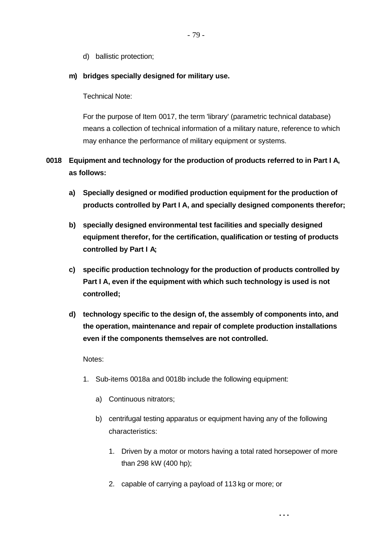d) ballistic protection;

#### **m) bridges specially designed for military use.**

Technical Note:

For the purpose of Item 0017, the term 'library' (parametric technical database) means a collection of technical information of a military nature, reference to which may enhance the performance of military equipment or systems.

## **0018 Equipment and technology for the production of products referred to in Part I A, as follows:**

- **a) Specially designed or modified production equipment for the production of products controlled by Part I A, and specially designed components therefor;**
- **b) specially designed environmental test facilities and specially designed equipment therefor, for the certification, qualification or testing of products controlled by Part I A;**
- **c) specific production technology for the production of products controlled by Part I A, even if the equipment with which such technology is used is not controlled;**
- **d) technology specific to the design of, the assembly of components into, and the operation, maintenance and repair of complete production installations even if the components themselves are not controlled.**

Notes:

- 1. Sub-items 0018a and 0018b include the following equipment:
	- a) Continuous nitrators;
	- b) centrifugal testing apparatus or equipment having any of the following characteristics:
		- 1. Driven by a motor or motors having a total rated horsepower of more than 298 kW (400 hp);

**. . .**

2. capable of carrying a payload of 113 kg or more; or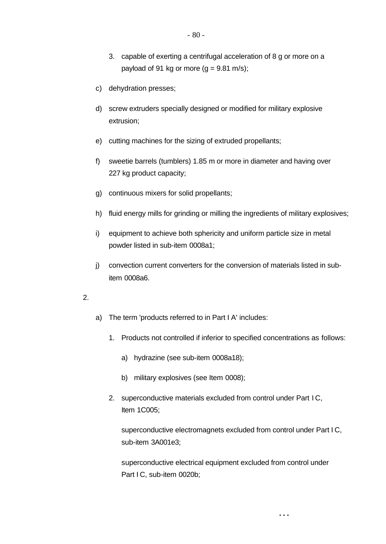- 3. capable of exerting a centrifugal acceleration of 8 g or more on a payload of 91 kg or more  $(q = 9.81 \text{ m/s})$ ;
- c) dehydration presses;
- d) screw extruders specially designed or modified for military explosive extrusion;
- e) cutting machines for the sizing of extruded propellants;
- f) sweetie barrels (tumblers) 1.85 m or more in diameter and having over 227 kg product capacity;
- g) continuous mixers for solid propellants;
- h) fluid energy mills for grinding or milling the ingredients of military explosives;
- i) equipment to achieve both sphericity and uniform particle size in metal powder listed in sub-item 0008a1;
- j) convection current converters for the conversion of materials listed in subitem 0008a6.
- 2.
- a) The term 'products referred to in Part I A' includes:
	- 1. Products not controlled if inferior to specified concentrations as follows:
		- a) hydrazine (see sub-item 0008a18);
		- b) military explosives (see Item 0008);
	- 2. superconductive materials excluded from control under Part I C, Item 1C005;

superconductive electromagnets excluded from control under Part I C, sub-item 3A001e3;

superconductive electrical equipment excluded from control under Part I C, sub-item 0020b;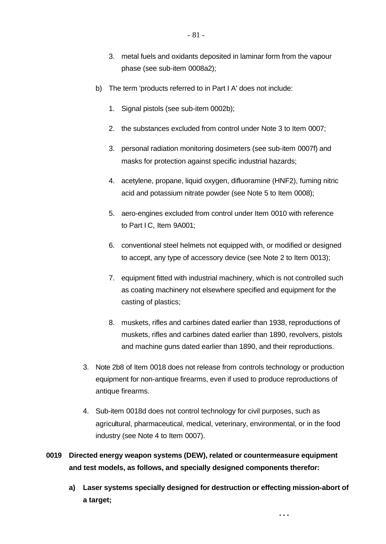- 3. metal fuels and oxidants deposited in laminar form from the vapour phase (see sub-item 0008a2);
- b) The term 'products referred to in Part I A' does not include:
	- 1. Signal pistols (see sub-item 0002b);
	- 2. the substances excluded from control under Note 3 to Item 0007;
	- 3. personal radiation monitoring dosimeters (see sub-item 0007f) and masks for protection against specific industrial hazards;
	- 4. acetylene, propane, liquid oxygen, difluoramine (HNF2), fuming nitric acid and potassium nitrate powder (see Note 5 to Item 0008);
	- 5. aero-engines excluded from control under Item 0010 with reference to Part I C, Item 9A001;
	- 6. conventional steel helmets not equipped with, or modified or designed to accept, any type of accessory device (see Note 2 to Item 0013);
	- 7. equipment fitted with industrial machinery, which is not controlled such as coating machinery not elsewhere specified and equipment for the casting of plastics;
	- 8. muskets, rifles and carbines dated earlier than 1938, reproductions of muskets, rifles and carbines dated earlier than 1890, revolvers, pistols and machine guns dated earlier than 1890, and their reproductions.
- 3. Note 2b8 of Item 0018 does not release from controls technology or production equipment for non-antique firearms, even if used to produce reproductions of antique firearms.
- 4. Sub-item 0018d does not control technology for civil purposes, such as agricultural, pharmaceutical, medical, veterinary, environmental, or in the food industry (see Note 4 to Item 0007).
- **0019 Directed energy weapon systems (DEW), related or countermeasure equipment and test models, as follows, and specially designed components therefor:**
	- **a) Laser systems specially designed for destruction or effecting mission-abort of a target;**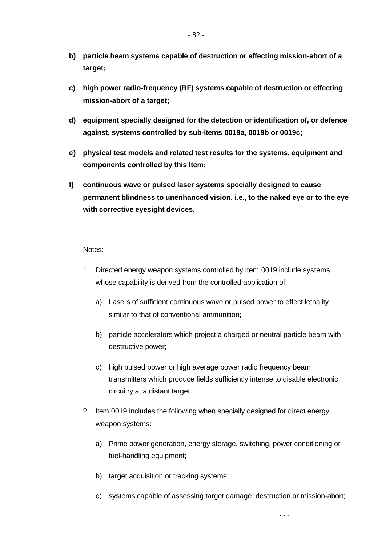- **b) particle beam systems capable of destruction or effecting mission-abort of a target;**
- **c) high power radio-frequency (RF) systems capable of destruction or effecting mission-abort of a target;**
- **d) equipment specially designed for the detection or identification of, or defence against, systems controlled by sub-items 0019a, 0019b or 0019c;**
- **e) physical test models and related test results for the systems, equipment and components controlled by this Item;**
- **f) continuous wave or pulsed laser systems specially designed to cause permanent blindness to unenhanced vision, i.e., to the naked eye or to the eye with corrective eyesight devices.**

#### Notes:

- 1. Directed energy weapon systems controlled by Item 0019 include systems whose capability is derived from the controlled application of:
	- a) Lasers of sufficient continuous wave or pulsed power to effect lethality similar to that of conventional ammunition;
	- b) particle accelerators which project a charged or neutral particle beam with destructive power;
	- c) high pulsed power or high average power radio frequency beam transmitters which produce fields sufficiently intense to disable electronic circuitry at a distant target.
- 2. Item 0019 includes the following when specially designed for direct energy weapon systems:
	- a) Prime power generation, energy storage, switching, power conditioning or fuel-handling equipment;
	- b) target acquisition or tracking systems;
	- c) systems capable of assessing target damage, destruction or mission-abort;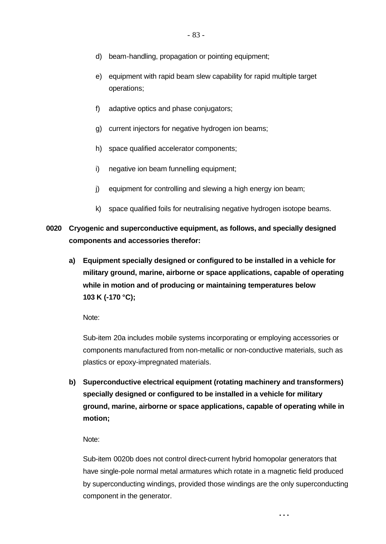- d) beam-handling, propagation or pointing equipment;
- e) equipment with rapid beam slew capability for rapid multiple target operations;
- f) adaptive optics and phase conjugators;
- g) current injectors for negative hydrogen ion beams;
- h) space qualified accelerator components;
- i) negative ion beam funnelling equipment;
- j) equipment for controlling and slewing a high energy ion beam;
- k) space qualified foils for neutralising negative hydrogen isotope beams.
- **0020 Cryogenic and superconductive equipment, as follows, and specially designed components and accessories therefor:**
	- **a) Equipment specially designed or configured to be installed in a vehicle for military ground, marine, airborne or space applications, capable of operating while in motion and of producing or maintaining temperatures below 103 K (-170 °C);**

Note:

Sub-item 20a includes mobile systems incorporating or employing accessories or components manufactured from non-metallic or non-conductive materials, such as plastics or epoxy-impregnated materials.

**b) Superconductive electrical equipment (rotating machinery and transformers) specially designed or configured to be installed in a vehicle for military ground, marine, airborne or space applications, capable of operating while in motion;**

#### Note:

Sub-item 0020b does not control direct-current hybrid homopolar generators that have single-pole normal metal armatures which rotate in a magnetic field produced by superconducting windings, provided those windings are the only superconducting component in the generator.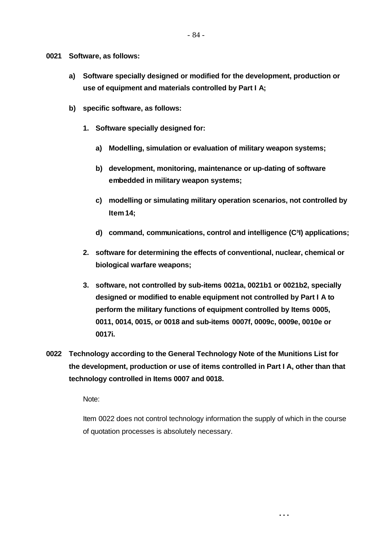- **0021 Software, as follows:**
	- **a) Software specially designed or modified for the development, production or use of equipment and materials controlled by Part I A;**
	- **b) specific software, as follows:**
		- **1. Software specially designed for:**
			- **a) Modelling, simulation or evaluation of military weapon systems;**
			- **b) development, monitoring, maintenance or up-dating of software embedded in military weapon systems;**
			- **c) modelling or simulating military operation scenarios, not controlled by Item 14;**
			- **d) command, communications, control and intelligence (C³I) applications;**
		- **2. software for determining the effects of conventional, nuclear, chemical or biological warfare weapons;**
		- **3. software, not controlled by sub-items 0021a, 0021b1 or 0021b2, specially designed or modified to enable equipment not controlled by Part I A to perform the military functions of equipment controlled by Items 0005, 0011, 0014, 0015, or 0018 and sub-items 0007f, 0009c, 0009e, 0010e or 0017i.**
- **0022 Technology according to the General Technology Note of the Munitions List for the development, production or use of items controlled in Part I A, other than that technology controlled in Items 0007 and 0018.**

Note:

Item 0022 does not control technology information the supply of which in the course of quotation processes is absolutely necessary.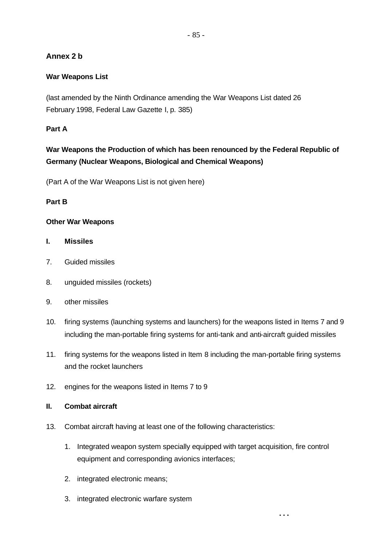### **Annex 2 b**

### **War Weapons List**

(last amended by the Ninth Ordinance amending the War Weapons List dated 26 February 1998, Federal Law Gazette I, p. 385)

### **Part A**

# **War Weapons the Production of which has been renounced by the Federal Republic of Germany (Nuclear Weapons, Biological and Chemical Weapons)**

(Part A of the War Weapons List is not given here)

#### **Part B**

### **Other War Weapons**

- **I. Missiles**
- 7. Guided missiles
- 8. unguided missiles (rockets)
- 9. other missiles
- 10. firing systems (launching systems and launchers) for the weapons listed in Items 7 and 9 including the man-portable firing systems for anti-tank and anti-aircraft guided missiles
- 11. firing systems for the weapons listed in Item 8 including the man-portable firing systems and the rocket launchers
- 12. engines for the weapons listed in Items 7 to 9
- **II. Combat aircraft**
- 13. Combat aircraft having at least one of the following characteristics:
	- 1. Integrated weapon system specially equipped with target acquisition, fire control equipment and corresponding avionics interfaces;

- 2. integrated electronic means;
- 3. integrated electronic warfare system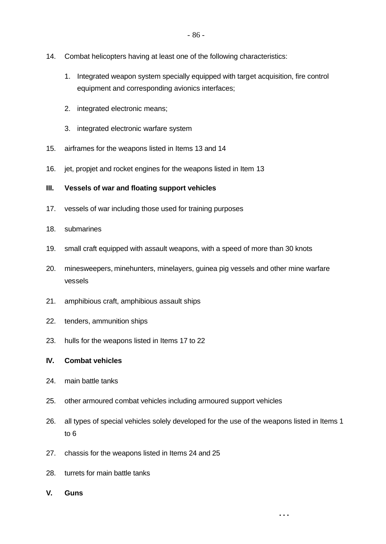- 14. Combat helicopters having at least one of the following characteristics:
	- 1. Integrated weapon system specially equipped with target acquisition, fire control equipment and corresponding avionics interfaces;
	- 2. integrated electronic means;
	- 3. integrated electronic warfare system
- 15. airframes for the weapons listed in Items 13 and 14
- 16. jet, propjet and rocket engines for the weapons listed in Item 13

#### **III. Vessels of war and floating support vehicles**

- 17. vessels of war including those used for training purposes
- 18. submarines
- 19. small craft equipped with assault weapons, with a speed of more than 30 knots
- 20. minesweepers, minehunters, minelayers, guinea pig vessels and other mine warfare vessels
- 21. amphibious craft, amphibious assault ships
- 22. tenders, ammunition ships
- 23. hulls for the weapons listed in Items 17 to 22

#### **IV. Combat vehicles**

- 24. main battle tanks
- 25. other armoured combat vehicles including armoured support vehicles
- 26. all types of special vehicles solely developed for the use of the weapons listed in Items 1 to 6

- 27. chassis for the weapons listed in Items 24 and 25
- 28. turrets for main battle tanks
- **V. Guns**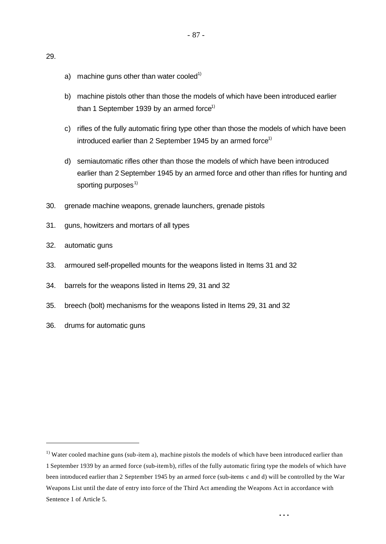- a) machine guns other than water cooled<sup>1)</sup>
- b) machine pistols other than those the models of which have been introduced earlier than 1 September 1939 by an armed force<sup>1)</sup>
- c) rifles of the fully automatic firing type other than those the models of which have been introduced earlier than 2 September 1945 by an armed force<sup>1)</sup>
- d) semiautomatic rifles other than those the models of which have been introduced earlier than 2 September 1945 by an armed force and other than rifles for hunting and sporting purposes $1$
- 30. grenade machine weapons, grenade launchers, grenade pistols
- 31. guns, howitzers and mortars of all types
- 32. automatic guns
- 33. armoured self-propelled mounts for the weapons listed in Items 31 and 32
- 34. barrels for the weapons listed in Items 29, 31 and 32
- 35. breech (bolt) mechanisms for the weapons listed in Items 29, 31 and 32
- 36. drums for automatic guns

l

 $1)$  Water cooled machine guns (sub-item a), machine pistols the models of which have been introduced earlier than 1 September 1939 by an armed force (sub-itemb), rifles of the fully automatic firing type the models of which have been introduced earlier than 2 September 1945 by an armed force (sub-items c and d) will be controlled by the War Weapons List until the date of entry into force of the Third Act amending the Weapons Act in accordance with Sentence 1 of Article 5.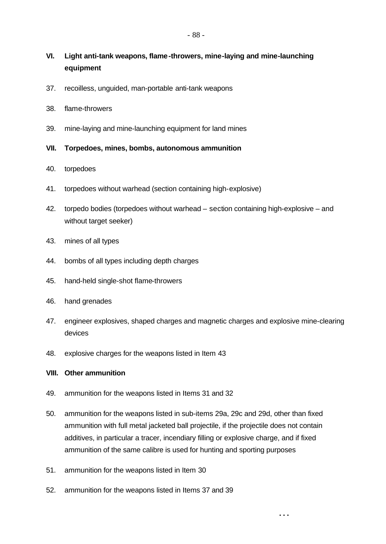- 37. recoilless, unguided, man-portable anti-tank weapons
- 38. flame-throwers
- 39. mine-laying and mine-launching equipment for land mines

#### **VII. Torpedoes, mines, bombs, autonomous ammunition**

- 40. torpedoes
- 41. torpedoes without warhead (section containing high-explosive)
- 42. torpedo bodies (torpedoes without warhead section containing high-explosive and without target seeker)
- 43. mines of all types
- 44. bombs of all types including depth charges
- 45. hand-held single-shot flame-throwers
- 46. hand grenades
- 47. engineer explosives, shaped charges and magnetic charges and explosive mine-clearing devices
- 48. explosive charges for the weapons listed in Item 43

#### **VIII. Other ammunition**

- 49. ammunition for the weapons listed in Items 31 and 32
- 50. ammunition for the weapons listed in sub-items 29a, 29c and 29d, other than fixed ammunition with full metal jacketed ball projectile, if the projectile does not contain additives, in particular a tracer, incendiary filling or explosive charge, and if fixed ammunition of the same calibre is used for hunting and sporting purposes

- 51. ammunition for the weapons listed in Item 30
- 52. ammunition for the weapons listed in Items 37 and 39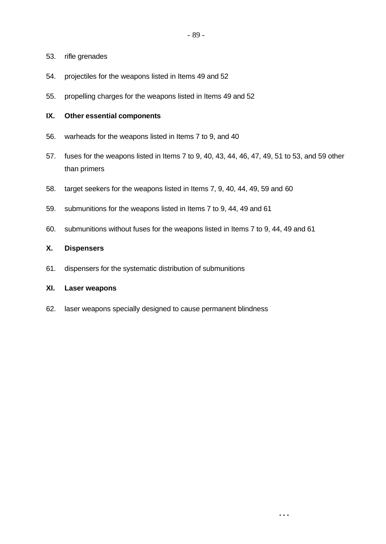- 53. rifle grenades
- 54. projectiles for the weapons listed in Items 49 and 52
- 55. propelling charges for the weapons listed in Items 49 and 52

#### **IX. Other essential components**

- 56. warheads for the weapons listed in Items 7 to 9, and 40
- 57. fuses for the weapons listed in Items 7 to 9, 40, 43, 44, 46, 47, 49, 51 to 53, and 59 other than primers

**. . .**

- 58. target seekers for the weapons listed in Items 7, 9, 40, 44, 49, 59 and 60
- 59. submunitions for the weapons listed in Items 7 to 9, 44, 49 and 61
- 60. submunitions without fuses for the weapons listed in Items 7 to 9, 44, 49 and 61

#### **X. Dispensers**

61. dispensers for the systematic distribution of submunitions

#### **XI. Laser weapons**

62. laser weapons specially designed to cause permanent blindness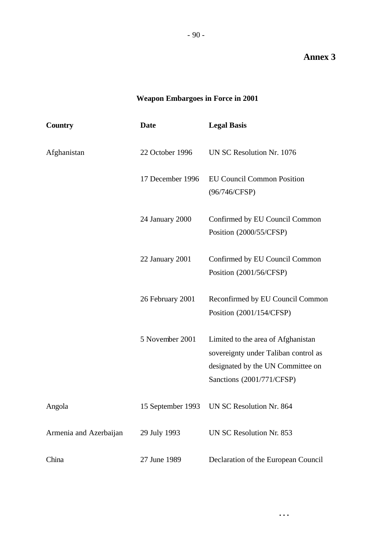# **Annex 3**

**. . .**

# **Weapon Embargoes in Force in 2001**

| <b>Country</b>         | <b>Date</b>       | <b>Legal Basis</b>                                                                                                                           |
|------------------------|-------------------|----------------------------------------------------------------------------------------------------------------------------------------------|
| Afghanistan            | 22 October 1996   | UN SC Resolution Nr. 1076                                                                                                                    |
|                        | 17 December 1996  | <b>EU Council Common Position</b><br>(96/746/CFSP)                                                                                           |
|                        | 24 January 2000   | Confirmed by EU Council Common<br>Position (2000/55/CFSP)                                                                                    |
|                        | 22 January 2001   | Confirmed by EU Council Common<br>Position (2001/56/CFSP)                                                                                    |
|                        | 26 February 2001  | Reconfirmed by EU Council Common<br>Position (2001/154/CFSP)                                                                                 |
|                        | 5 November 2001   | Limited to the area of Afghanistan<br>sovereignty under Taliban control as<br>designated by the UN Committee on<br>Sanctions (2001/771/CFSP) |
| Angola                 | 15 September 1993 | UN SC Resolution Nr. 864                                                                                                                     |
| Armenia and Azerbaijan | 29 July 1993      | UN SC Resolution Nr. 853                                                                                                                     |
| China                  | 27 June 1989      | Declaration of the European Council                                                                                                          |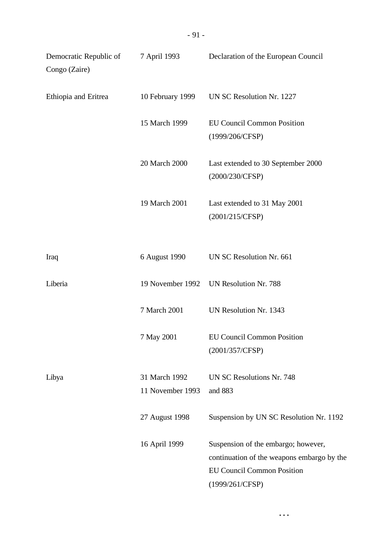| Democratic Republic of<br>Congo (Zaire) | 7 April 1993                      | Declaration of the European Council                                                                                                       |
|-----------------------------------------|-----------------------------------|-------------------------------------------------------------------------------------------------------------------------------------------|
| Ethiopia and Eritrea                    | 10 February 1999                  | UN SC Resolution Nr. 1227                                                                                                                 |
|                                         | 15 March 1999                     | <b>EU Council Common Position</b><br>(1999/206/CFSP)                                                                                      |
|                                         | 20 March 2000                     | Last extended to 30 September 2000<br>(2000/230/CFSP)                                                                                     |
|                                         | 19 March 2001                     | Last extended to 31 May 2001<br>(2001/215/CFSP)                                                                                           |
| Iraq                                    | 6 August 1990                     | UN SC Resolution Nr. 661                                                                                                                  |
| Liberia                                 | 19 November 1992                  | UN Resolution Nr. 788                                                                                                                     |
|                                         | 7 March 2001                      | UN Resolution Nr. 1343                                                                                                                    |
|                                         | 7 May 2001                        | <b>EU Council Common Position</b><br>(2001/357/CFSP)                                                                                      |
| Libya                                   | 31 March 1992<br>11 November 1993 | UN SC Resolutions Nr. 748<br>and 883                                                                                                      |
|                                         | 27 August 1998                    | Suspension by UN SC Resolution Nr. 1192                                                                                                   |
|                                         | 16 April 1999                     | Suspension of the embargo; however,<br>continuation of the weapons embargo by the<br><b>EU Council Common Position</b><br>(1999/261/CFSP) |

- 91 -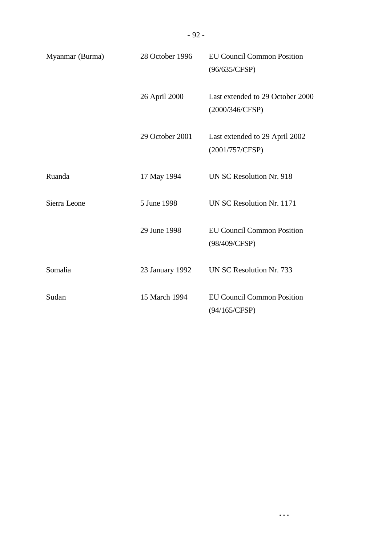| Myanmar (Burma) | 28 October 1996 | <b>EU Council Common Position</b><br>(96/635/CFSP)  |
|-----------------|-----------------|-----------------------------------------------------|
|                 | 26 April 2000   | Last extended to 29 October 2000<br>(2000/346/CFSP) |
|                 | 29 October 2001 | Last extended to 29 April 2002<br>(2001/757/CFSP)   |
| Ruanda          | 17 May 1994     | UN SC Resolution Nr. 918                            |
| Sierra Leone    | 5 June 1998     | UN SC Resolution Nr. 1171                           |
|                 | 29 June 1998    | <b>EU Council Common Position</b><br>(98/409/CFSP)  |
| Somalia         | 23 January 1992 | UN SC Resolution Nr. 733                            |
| Sudan           | 15 March 1994   | <b>EU Council Common Position</b><br>(94/165/CFSP)  |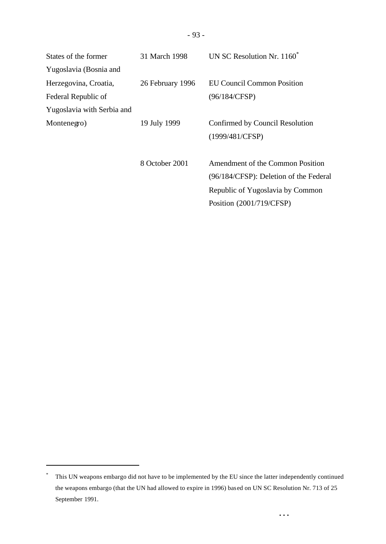| States of the former       | 31 March 1998    | UN SC Resolution Nr. 1160 <sup>*</sup> |
|----------------------------|------------------|----------------------------------------|
| Yugoslavia (Bosnia and     |                  |                                        |
| Herzegovina, Croatia,      | 26 February 1996 | <b>EU Council Common Position</b>      |
| Federal Republic of        |                  | (96/184/CFSP)                          |
| Yugoslavia with Serbia and |                  |                                        |
| Montenegro)                | 19 July 1999     | Confirmed by Council Resolution        |
|                            |                  | (1999/481/CFSP)                        |
|                            |                  |                                        |
|                            | 8 October 2001   | Amendment of the Common Position       |
|                            |                  | (96/184/CFSP): Deletion of the Federal |
|                            |                  | Republic of Yugoslavia by Common       |
|                            |                  | Position (2001/719/CFSP)               |

l

<sup>\*</sup> This UN weapons embargo did not have to be implemented by the EU since the latter independently continued the weapons embargo (that the UN had allowed to expire in 1996) based on UN SC Resolution Nr. 713 of 25 September 1991.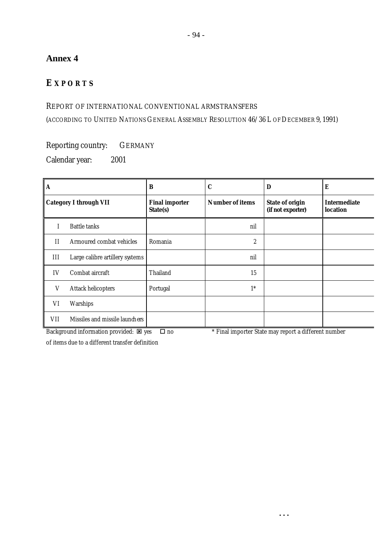# **Annex 4**

# **E XPORTS**

REPORT OF INTERNATIONAL CONVENTIONAL ARMS TRANSFERS (ACCORDING TO UNITED NATIONS GENERAL ASSEMBLY RESOLUTION 46/36 L OF DECEMBER 9, 1991)

### Reporting country: GERMANY

Calendar year: 2001

| $\mathbf{A}$                  |                                 | B                                 | $\mathbf{C}$           | D                                           | E                               |
|-------------------------------|---------------------------------|-----------------------------------|------------------------|---------------------------------------------|---------------------------------|
| <b>Category I through VII</b> |                                 | <b>Final importer</b><br>State(s) | <b>Number of items</b> | <b>State of origin</b><br>(if not exporter) | <b>Intermediate</b><br>location |
| I                             | <b>Battle tanks</b>             |                                   | nil                    |                                             |                                 |
| $\mathbf{H}$                  | Armoured combat vehicles        | Romania                           | 2                      |                                             |                                 |
| III                           | Large calibre artillery systems |                                   | nil                    |                                             |                                 |
| IV                            | Combat aircraft                 | Thailand                          | 15                     |                                             |                                 |
| V                             | Attack helicopters              | Portugal                          | $1*$                   |                                             |                                 |
| VI                            | Warships                        |                                   |                        |                                             |                                 |
| VII                           | Missiles and missile launchers  |                                   |                        |                                             |                                 |

Background information provided:  $\boxtimes$  yes  $\Box$  no  $\Box$  \* Final importer State may report a different number

**. . .**

of items due to a different transfer definition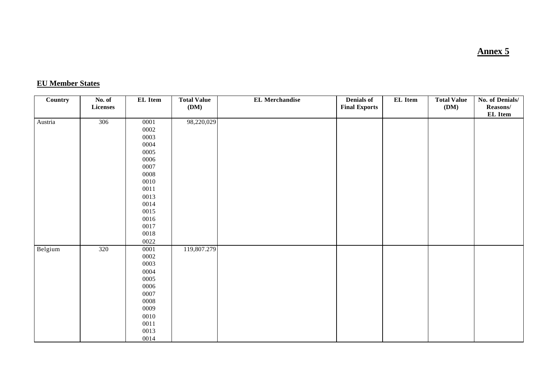# **Annex 5**

### **EU Member States**

| Country | No. of          | EL Item  | <b>Total Value</b> | <b>EL Merchandise</b> | <b>Denials of</b>    | EL Item | <b>Total Value</b> | No. of Denials/ |
|---------|-----------------|----------|--------------------|-----------------------|----------------------|---------|--------------------|-----------------|
|         | <b>Licenses</b> |          | (DM)               |                       | <b>Final Exports</b> |         | (DM)               | Reasons/        |
|         |                 |          |                    |                       |                      |         |                    | EL Item         |
| Austria | 306             | 0001     | 98,220,029         |                       |                      |         |                    |                 |
|         |                 | 0002     |                    |                       |                      |         |                    |                 |
|         |                 | 0003     |                    |                       |                      |         |                    |                 |
|         |                 | 0004     |                    |                       |                      |         |                    |                 |
|         |                 | 0005     |                    |                       |                      |         |                    |                 |
|         |                 | 0006     |                    |                       |                      |         |                    |                 |
|         |                 | $0007\,$ |                    |                       |                      |         |                    |                 |
|         |                 | 0008     |                    |                       |                      |         |                    |                 |
|         |                 | 0010     |                    |                       |                      |         |                    |                 |
|         |                 | 0011     |                    |                       |                      |         |                    |                 |
|         |                 | 0013     |                    |                       |                      |         |                    |                 |
|         |                 | $0014\,$ |                    |                       |                      |         |                    |                 |
|         |                 | 0015     |                    |                       |                      |         |                    |                 |
|         |                 | 0016     |                    |                       |                      |         |                    |                 |
|         |                 | $0017\,$ |                    |                       |                      |         |                    |                 |
|         |                 | $0018\,$ |                    |                       |                      |         |                    |                 |
|         |                 | 0022     |                    |                       |                      |         |                    |                 |
| Belgium | 320             | $0001\,$ | 119,807.279        |                       |                      |         |                    |                 |
|         |                 | 0002     |                    |                       |                      |         |                    |                 |
|         |                 | 0003     |                    |                       |                      |         |                    |                 |
|         |                 | 0004     |                    |                       |                      |         |                    |                 |
|         |                 | 0005     |                    |                       |                      |         |                    |                 |
|         |                 | 0006     |                    |                       |                      |         |                    |                 |
|         |                 | 0007     |                    |                       |                      |         |                    |                 |
|         |                 | 0008     |                    |                       |                      |         |                    |                 |
|         |                 | 0009     |                    |                       |                      |         |                    |                 |
|         |                 | 0010     |                    |                       |                      |         |                    |                 |
|         |                 | $0011\,$ |                    |                       |                      |         |                    |                 |
|         |                 | 0013     |                    |                       |                      |         |                    |                 |
|         |                 | 0014     |                    |                       |                      |         |                    |                 |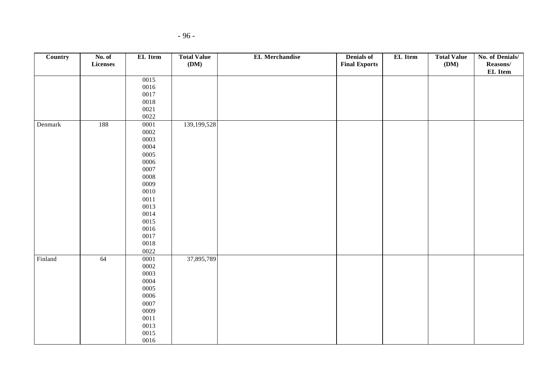| Country | No. of<br>Licenses | EL Item    | <b>Total Value</b><br>(DM) | <b>EL Merchandise</b> | <b>Denials of</b><br><b>Final Exports</b> | EL Item | <b>Total Value</b><br>(DM) | No. of Denials/<br>$\boldsymbol{\mathsf{Reasons}}/$ |
|---------|--------------------|------------|----------------------------|-----------------------|-------------------------------------------|---------|----------------------------|-----------------------------------------------------|
|         |                    | 0015       |                            |                       |                                           |         |                            | EL Item                                             |
|         |                    | 0016       |                            |                       |                                           |         |                            |                                                     |
|         |                    | $0017\,$   |                            |                       |                                           |         |                            |                                                     |
|         |                    | $0018\,$   |                            |                       |                                           |         |                            |                                                     |
|         |                    | 0021       |                            |                       |                                           |         |                            |                                                     |
|         |                    | 0022       |                            |                       |                                           |         |                            |                                                     |
| Denmark | 188                | 0001       | 139, 199, 528              |                       |                                           |         |                            |                                                     |
|         |                    | $\,0002\,$ |                            |                       |                                           |         |                            |                                                     |
|         |                    | 0003       |                            |                       |                                           |         |                            |                                                     |
|         |                    | 0004       |                            |                       |                                           |         |                            |                                                     |
|         |                    | 0005       |                            |                       |                                           |         |                            |                                                     |
|         |                    | 0006       |                            |                       |                                           |         |                            |                                                     |
|         |                    | $0007\,$   |                            |                       |                                           |         |                            |                                                     |
|         |                    | $\,0008\,$ |                            |                       |                                           |         |                            |                                                     |
|         |                    | 0009       |                            |                       |                                           |         |                            |                                                     |
|         |                    | $0010\,$   |                            |                       |                                           |         |                            |                                                     |
|         |                    | $0011\,$   |                            |                       |                                           |         |                            |                                                     |
|         |                    | 0013       |                            |                       |                                           |         |                            |                                                     |
|         |                    | $0014\,$   |                            |                       |                                           |         |                            |                                                     |
|         |                    | 0015       |                            |                       |                                           |         |                            |                                                     |
|         |                    | $0016\,$   |                            |                       |                                           |         |                            |                                                     |
|         |                    | 0017       |                            |                       |                                           |         |                            |                                                     |
|         |                    | $0018\,$   |                            |                       |                                           |         |                            |                                                     |
|         |                    | 0022       |                            |                       |                                           |         |                            |                                                     |
| Finland | 64                 | 0001       | 37,895,789                 |                       |                                           |         |                            |                                                     |
|         |                    | 0002       |                            |                       |                                           |         |                            |                                                     |
|         |                    | 0003       |                            |                       |                                           |         |                            |                                                     |
|         |                    | 0004       |                            |                       |                                           |         |                            |                                                     |
|         |                    | 0005       |                            |                       |                                           |         |                            |                                                     |
|         |                    | 0006       |                            |                       |                                           |         |                            |                                                     |
|         |                    | $0007\,$   |                            |                       |                                           |         |                            |                                                     |
|         |                    | 0009       |                            |                       |                                           |         |                            |                                                     |
|         |                    | $0011\,$   |                            |                       |                                           |         |                            |                                                     |
|         |                    | 0013       |                            |                       |                                           |         |                            |                                                     |
|         |                    | 0015       |                            |                       |                                           |         |                            |                                                     |
|         |                    | 0016       |                            |                       |                                           |         |                            |                                                     |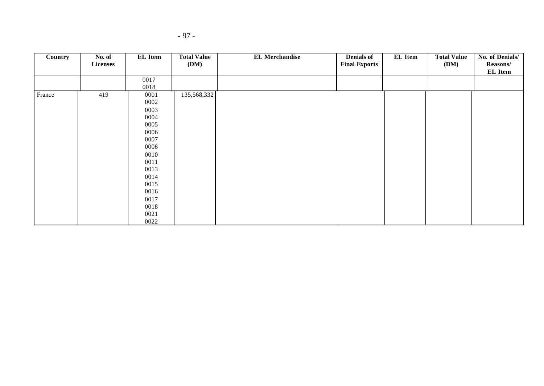| Country | No. of<br><b>Licenses</b> | EL Item | <b>Total Value</b><br><b>(DM)</b> | <b>EL Merchandise</b> | Denials of<br><b>Final Exports</b> | <b>EL</b> Item | <b>Total Value</b><br>(DM) | No. of Denials/<br>Reasons/ |
|---------|---------------------------|---------|-----------------------------------|-----------------------|------------------------------------|----------------|----------------------------|-----------------------------|
|         |                           |         |                                   |                       |                                    |                |                            |                             |
|         |                           |         |                                   |                       |                                    |                |                            | EL Item                     |
|         |                           | 0017    |                                   |                       |                                    |                |                            |                             |
|         |                           | 0018    |                                   |                       |                                    |                |                            |                             |
| France  | 419                       | 0001    | 135,568,332                       |                       |                                    |                |                            |                             |
|         |                           | 0002    |                                   |                       |                                    |                |                            |                             |
|         |                           | 0003    |                                   |                       |                                    |                |                            |                             |
|         |                           | 0004    |                                   |                       |                                    |                |                            |                             |
|         |                           | 0005    |                                   |                       |                                    |                |                            |                             |
|         |                           | 0006    |                                   |                       |                                    |                |                            |                             |
|         |                           | 0007    |                                   |                       |                                    |                |                            |                             |
|         |                           | 0008    |                                   |                       |                                    |                |                            |                             |
|         |                           | 0010    |                                   |                       |                                    |                |                            |                             |
|         |                           | 0011    |                                   |                       |                                    |                |                            |                             |
|         |                           | 0013    |                                   |                       |                                    |                |                            |                             |
|         |                           | 0014    |                                   |                       |                                    |                |                            |                             |
|         |                           |         |                                   |                       |                                    |                |                            |                             |
|         |                           | 0015    |                                   |                       |                                    |                |                            |                             |
|         |                           | 0016    |                                   |                       |                                    |                |                            |                             |
|         |                           | 0017    |                                   |                       |                                    |                |                            |                             |
|         |                           | 0018    |                                   |                       |                                    |                |                            |                             |
|         |                           | 0021    |                                   |                       |                                    |                |                            |                             |
|         |                           | 0022    |                                   |                       |                                    |                |                            |                             |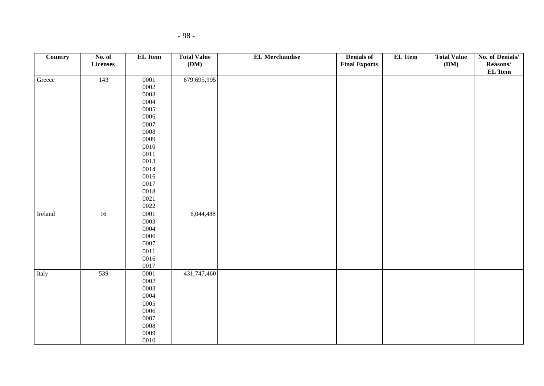| Country | No. of<br>Licenses | EL Item      | <b>Total Value</b><br>(DM) | <b>EL Merchandise</b> | <b>Denials of</b><br><b>Final Exports</b> | EL Item | <b>Total Value</b><br>(DM) | No. of Denials/<br>Reasons/ |
|---------|--------------------|--------------|----------------------------|-----------------------|-------------------------------------------|---------|----------------------------|-----------------------------|
|         |                    |              |                            |                       |                                           |         |                            | EL Item                     |
| Greece  | 143                | 0001         | 679,695,995                |                       |                                           |         |                            |                             |
|         |                    | 0002         |                            |                       |                                           |         |                            |                             |
|         |                    | 0003         |                            |                       |                                           |         |                            |                             |
|         |                    | 0004         |                            |                       |                                           |         |                            |                             |
|         |                    | 0005         |                            |                       |                                           |         |                            |                             |
|         |                    | 0006         |                            |                       |                                           |         |                            |                             |
|         |                    | 0007         |                            |                       |                                           |         |                            |                             |
|         |                    | ${\bf 0008}$ |                            |                       |                                           |         |                            |                             |
|         |                    | 0009         |                            |                       |                                           |         |                            |                             |
|         |                    | 0010         |                            |                       |                                           |         |                            |                             |
|         |                    | $0011\,$     |                            |                       |                                           |         |                            |                             |
|         |                    | 0013         |                            |                       |                                           |         |                            |                             |
|         |                    | $0014\,$     |                            |                       |                                           |         |                            |                             |
|         |                    | 0016         |                            |                       |                                           |         |                            |                             |
|         |                    | 0017         |                            |                       |                                           |         |                            |                             |
|         |                    | 0018         |                            |                       |                                           |         |                            |                             |
|         |                    | 0021         |                            |                       |                                           |         |                            |                             |
|         |                    | $0022\,$     |                            |                       |                                           |         |                            |                             |
| Ireland | 16                 | 0001         | 6,044,488                  |                       |                                           |         |                            |                             |
|         |                    | 0003         |                            |                       |                                           |         |                            |                             |
|         |                    | 0004         |                            |                       |                                           |         |                            |                             |
|         |                    | 0006<br>0007 |                            |                       |                                           |         |                            |                             |
|         |                    |              |                            |                       |                                           |         |                            |                             |
|         |                    | $0011\,$     |                            |                       |                                           |         |                            |                             |
|         |                    | 0016<br>0017 |                            |                       |                                           |         |                            |                             |
| Italy   | 539                | 0001         | 431,747,460                |                       |                                           |         |                            |                             |
|         |                    | 0002         |                            |                       |                                           |         |                            |                             |
|         |                    | 0003         |                            |                       |                                           |         |                            |                             |
|         |                    | 0004         |                            |                       |                                           |         |                            |                             |
|         |                    | 0005         |                            |                       |                                           |         |                            |                             |
|         |                    | 0006         |                            |                       |                                           |         |                            |                             |
|         |                    | 0007         |                            |                       |                                           |         |                            |                             |
|         |                    | ${\bf 0008}$ |                            |                       |                                           |         |                            |                             |
|         |                    |              |                            |                       |                                           |         |                            |                             |
|         |                    | 0009         |                            |                       |                                           |         |                            |                             |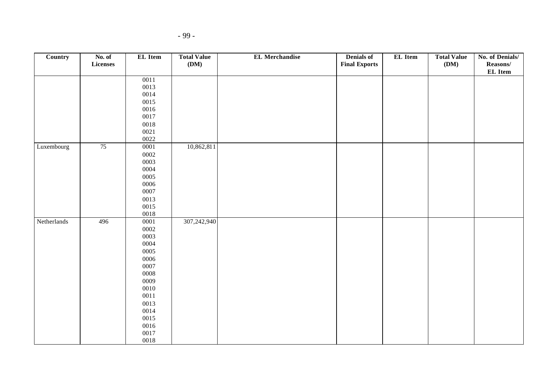| Country     | No. of   | <b>EL</b> Item | <b>Total Value</b> | <b>EL Merchandise</b> | <b>Denials of</b>    | EL Item | <b>Total Value</b> | No. of Denials/ |
|-------------|----------|----------------|--------------------|-----------------------|----------------------|---------|--------------------|-----------------|
|             | Licenses |                | (DM)               |                       | <b>Final Exports</b> |         | (DM)               | Reasons/        |
|             |          | 0011           |                    |                       |                      |         |                    | EL Item         |
|             |          | 0013           |                    |                       |                      |         |                    |                 |
|             |          | 0014           |                    |                       |                      |         |                    |                 |
|             |          | 0015           |                    |                       |                      |         |                    |                 |
|             |          | 0016           |                    |                       |                      |         |                    |                 |
|             |          | 0017           |                    |                       |                      |         |                    |                 |
|             |          | 0018           |                    |                       |                      |         |                    |                 |
|             |          | 0021           |                    |                       |                      |         |                    |                 |
|             |          | 0022           |                    |                       |                      |         |                    |                 |
| Luxembourg  | 75       | 0001           | 10,862,811         |                       |                      |         |                    |                 |
|             |          | 0002           |                    |                       |                      |         |                    |                 |
|             |          | 0003           |                    |                       |                      |         |                    |                 |
|             |          | 0004           |                    |                       |                      |         |                    |                 |
|             |          | 0005           |                    |                       |                      |         |                    |                 |
|             |          | 0006           |                    |                       |                      |         |                    |                 |
|             |          | 0007           |                    |                       |                      |         |                    |                 |
|             |          | 0013           |                    |                       |                      |         |                    |                 |
|             |          | 0015           |                    |                       |                      |         |                    |                 |
| Netherlands | 496      | 0018<br>0001   |                    |                       |                      |         |                    |                 |
|             |          | 0002           | 307,242,940        |                       |                      |         |                    |                 |
|             |          | 0003           |                    |                       |                      |         |                    |                 |
|             |          | $\,0004\,$     |                    |                       |                      |         |                    |                 |
|             |          | 0005           |                    |                       |                      |         |                    |                 |
|             |          | 0006           |                    |                       |                      |         |                    |                 |
|             |          | 0007           |                    |                       |                      |         |                    |                 |
|             |          | $0008\,$       |                    |                       |                      |         |                    |                 |
|             |          | 0009           |                    |                       |                      |         |                    |                 |
|             |          | 0010           |                    |                       |                      |         |                    |                 |
|             |          | $0011\,$       |                    |                       |                      |         |                    |                 |
|             |          | 0013           |                    |                       |                      |         |                    |                 |
|             |          | $0014\,$       |                    |                       |                      |         |                    |                 |
|             |          | 0015           |                    |                       |                      |         |                    |                 |
|             |          | 0016           |                    |                       |                      |         |                    |                 |
|             |          | 0017           |                    |                       |                      |         |                    |                 |
|             |          | $0018\,$       |                    |                       |                      |         |                    |                 |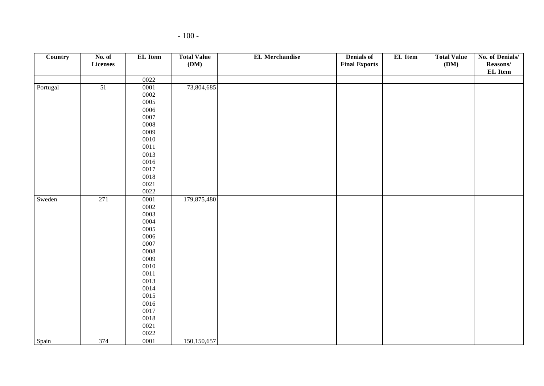| ×<br>×<br>٧<br>٧ |  |
|------------------|--|
|------------------|--|

| Country  | No. of<br><b>Licenses</b> | EL Item          | <b>Total Value</b><br>(DM) | <b>EL Merchandise</b> | <b>Denials of</b><br><b>Final Exports</b> | EL Item | <b>Total Value</b><br>(DM) | No. of Denials/<br>Reasons/<br>EL Item |
|----------|---------------------------|------------------|----------------------------|-----------------------|-------------------------------------------|---------|----------------------------|----------------------------------------|
|          |                           | 0022             |                            |                       |                                           |         |                            |                                        |
| Portugal | 51                        | 0001             | 73,804,685                 |                       |                                           |         |                            |                                        |
|          |                           | $\,0002\,$       |                            |                       |                                           |         |                            |                                        |
|          |                           | 0005             |                            |                       |                                           |         |                            |                                        |
|          |                           | 0006             |                            |                       |                                           |         |                            |                                        |
|          |                           | 0007             |                            |                       |                                           |         |                            |                                        |
|          |                           | $0008\,$         |                            |                       |                                           |         |                            |                                        |
|          |                           | 0009             |                            |                       |                                           |         |                            |                                        |
|          |                           | 0010             |                            |                       |                                           |         |                            |                                        |
|          |                           | $0011\,$         |                            |                       |                                           |         |                            |                                        |
|          |                           | 0013             |                            |                       |                                           |         |                            |                                        |
|          |                           | 0016             |                            |                       |                                           |         |                            |                                        |
|          |                           | $0017\,$         |                            |                       |                                           |         |                            |                                        |
|          |                           | $0018\,$         |                            |                       |                                           |         |                            |                                        |
|          |                           | $0021\,$         |                            |                       |                                           |         |                            |                                        |
|          |                           | 0022             |                            |                       |                                           |         |                            |                                        |
| Sweden   | 271                       | 0001             | 179,875,480                |                       |                                           |         |                            |                                        |
|          |                           | $0002\,$         |                            |                       |                                           |         |                            |                                        |
|          |                           | 0003             |                            |                       |                                           |         |                            |                                        |
|          |                           | 0004             |                            |                       |                                           |         |                            |                                        |
|          |                           | 0005             |                            |                       |                                           |         |                            |                                        |
|          |                           | 0006             |                            |                       |                                           |         |                            |                                        |
|          |                           | $0007\,$         |                            |                       |                                           |         |                            |                                        |
|          |                           | ${\bf 0008}$     |                            |                       |                                           |         |                            |                                        |
|          |                           | 0009             |                            |                       |                                           |         |                            |                                        |
|          |                           | 0010             |                            |                       |                                           |         |                            |                                        |
|          |                           | $0011\,$         |                            |                       |                                           |         |                            |                                        |
|          |                           | 0013             |                            |                       |                                           |         |                            |                                        |
|          |                           | 0014             |                            |                       |                                           |         |                            |                                        |
|          |                           | 0015             |                            |                       |                                           |         |                            |                                        |
|          |                           | 0016             |                            |                       |                                           |         |                            |                                        |
|          |                           | 0017             |                            |                       |                                           |         |                            |                                        |
|          |                           | 0018             |                            |                       |                                           |         |                            |                                        |
|          |                           | $0021\,$<br>0022 |                            |                       |                                           |         |                            |                                        |
| Spain    | 374                       | 0001             | 150,150,657                |                       |                                           |         |                            |                                        |
|          |                           |                  |                            |                       |                                           |         |                            |                                        |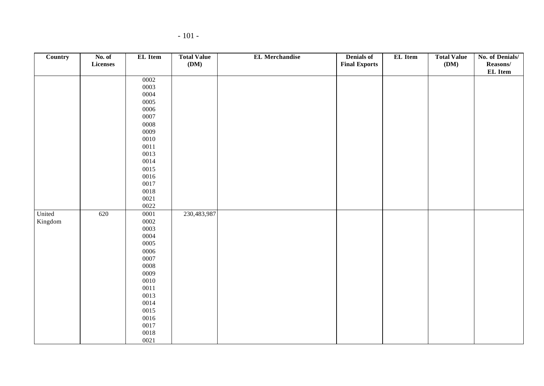| Country | No. of<br>Licenses | EL Item      | <b>Total Value</b><br>(DM) | <b>EL Merchandise</b> | <b>Denials of</b><br><b>Final Exports</b> | EL Item | <b>Total Value</b><br>(DM) | No. of Denials/<br>Reasons/ |
|---------|--------------------|--------------|----------------------------|-----------------------|-------------------------------------------|---------|----------------------------|-----------------------------|
|         |                    |              |                            |                       |                                           |         |                            | EL Item                     |
|         |                    | 0002         |                            |                       |                                           |         |                            |                             |
|         |                    | 0003         |                            |                       |                                           |         |                            |                             |
|         |                    | 0004         |                            |                       |                                           |         |                            |                             |
|         |                    | 0005         |                            |                       |                                           |         |                            |                             |
|         |                    | 0006         |                            |                       |                                           |         |                            |                             |
|         |                    | 0007         |                            |                       |                                           |         |                            |                             |
|         |                    | ${\bf 0008}$ |                            |                       |                                           |         |                            |                             |
|         |                    | 0009         |                            |                       |                                           |         |                            |                             |
|         |                    | 0010         |                            |                       |                                           |         |                            |                             |
|         |                    | 0011         |                            |                       |                                           |         |                            |                             |
|         |                    | 0013         |                            |                       |                                           |         |                            |                             |
|         |                    | 0014         |                            |                       |                                           |         |                            |                             |
|         |                    | 0015         |                            |                       |                                           |         |                            |                             |
|         |                    | 0016         |                            |                       |                                           |         |                            |                             |
|         |                    | 0017         |                            |                       |                                           |         |                            |                             |
|         |                    | 0018         |                            |                       |                                           |         |                            |                             |
|         |                    | $0021\,$     |                            |                       |                                           |         |                            |                             |
|         |                    | 0022         |                            |                       |                                           |         |                            |                             |
| United  | 620                | 0001         | 230,483,987                |                       |                                           |         |                            |                             |
| Kingdom |                    | 0002         |                            |                       |                                           |         |                            |                             |
|         |                    | 0003         |                            |                       |                                           |         |                            |                             |
|         |                    | 0004         |                            |                       |                                           |         |                            |                             |
|         |                    | 0005         |                            |                       |                                           |         |                            |                             |
|         |                    | 0006         |                            |                       |                                           |         |                            |                             |
|         |                    | 0007         |                            |                       |                                           |         |                            |                             |
|         |                    | ${\bf 0008}$ |                            |                       |                                           |         |                            |                             |
|         |                    | 0009         |                            |                       |                                           |         |                            |                             |
|         |                    | 0010         |                            |                       |                                           |         |                            |                             |
|         |                    | $0011\,$     |                            |                       |                                           |         |                            |                             |
|         |                    | 0013<br>0014 |                            |                       |                                           |         |                            |                             |
|         |                    | 0015         |                            |                       |                                           |         |                            |                             |
|         |                    | 0016         |                            |                       |                                           |         |                            |                             |
|         |                    | 0017         |                            |                       |                                           |         |                            |                             |
|         |                    | 0018         |                            |                       |                                           |         |                            |                             |
|         |                    |              |                            |                       |                                           |         |                            |                             |

- 101 -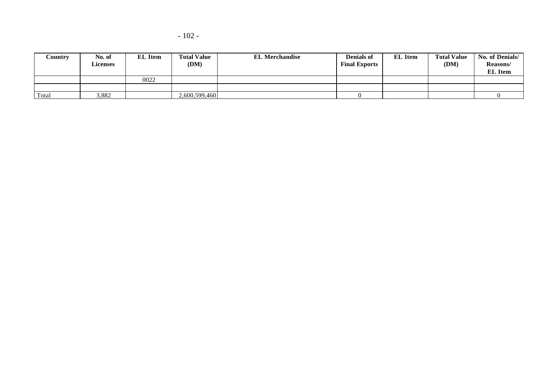|  | ×<br>۰. |  |
|--|---------|--|
|--|---------|--|

| Country | No. of<br><b>Licenses</b> | <b>EL</b> Item | <b>Total Value</b><br>(DM) | <b>EL Merchandise</b> | <b>Denials of</b><br><b>Final Exports</b> | <b>EL</b> Item | <b>Total Value</b><br>(DM) | No. of Denials/<br>Reasons/<br><b>EL</b> Item |
|---------|---------------------------|----------------|----------------------------|-----------------------|-------------------------------------------|----------------|----------------------------|-----------------------------------------------|
|         |                           | 0022           |                            |                       |                                           |                |                            |                                               |
|         |                           |                |                            |                       |                                           |                |                            |                                               |
| Total   | 3,882                     |                | 2,600,599,460              |                       |                                           |                |                            |                                               |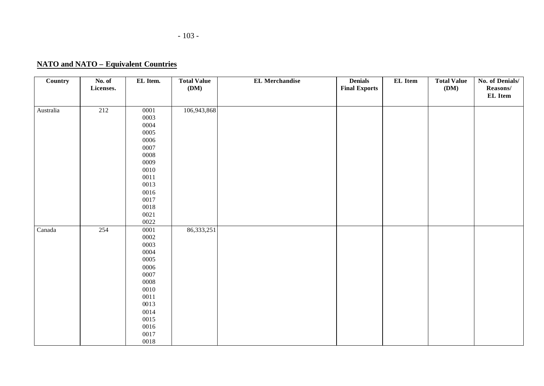| Country   | No. of<br>Licenses. | EL Item.         | <b>Total Value</b><br>(DM) | <b>EL Merchandise</b> | <b>Denials</b><br><b>Final Exports</b> | EL Item | <b>Total Value</b><br>(DM) | No. of Denials/<br>Reasons/ |
|-----------|---------------------|------------------|----------------------------|-----------------------|----------------------------------------|---------|----------------------------|-----------------------------|
|           |                     |                  |                            |                       |                                        |         |                            | EL Item                     |
| Australia | 212                 | 0001             | 106,943,868                |                       |                                        |         |                            |                             |
|           |                     | 0003             |                            |                       |                                        |         |                            |                             |
|           |                     | 0004             |                            |                       |                                        |         |                            |                             |
|           |                     | 0005             |                            |                       |                                        |         |                            |                             |
|           |                     | 0006             |                            |                       |                                        |         |                            |                             |
|           |                     | 0007             |                            |                       |                                        |         |                            |                             |
|           |                     | 0008             |                            |                       |                                        |         |                            |                             |
|           |                     | 0009             |                            |                       |                                        |         |                            |                             |
|           |                     | 0010<br>$0011\,$ |                            |                       |                                        |         |                            |                             |
|           |                     | 0013             |                            |                       |                                        |         |                            |                             |
|           |                     | 0016             |                            |                       |                                        |         |                            |                             |
|           |                     | 0017             |                            |                       |                                        |         |                            |                             |
|           |                     | 0018             |                            |                       |                                        |         |                            |                             |
|           |                     | $0021\,$         |                            |                       |                                        |         |                            |                             |
|           |                     | 0022             |                            |                       |                                        |         |                            |                             |
| Canada    | 254                 | 0001             | 86, 333, 251               |                       |                                        |         |                            |                             |
|           |                     | 0002             |                            |                       |                                        |         |                            |                             |
|           |                     | 0003             |                            |                       |                                        |         |                            |                             |
|           |                     | 0004             |                            |                       |                                        |         |                            |                             |
|           |                     | 0005             |                            |                       |                                        |         |                            |                             |
|           |                     | 0006             |                            |                       |                                        |         |                            |                             |
|           |                     | 0007             |                            |                       |                                        |         |                            |                             |
|           |                     | 0008             |                            |                       |                                        |         |                            |                             |
|           |                     | 0010             |                            |                       |                                        |         |                            |                             |
|           |                     | 0011             |                            |                       |                                        |         |                            |                             |
|           |                     | 0013             |                            |                       |                                        |         |                            |                             |
|           |                     | 0014<br>0015     |                            |                       |                                        |         |                            |                             |
|           |                     | 0016             |                            |                       |                                        |         |                            |                             |
|           |                     | $0017\,$         |                            |                       |                                        |         |                            |                             |
|           |                     | 0018             |                            |                       |                                        |         |                            |                             |

### **NATO and NATO – Equivalent Countries**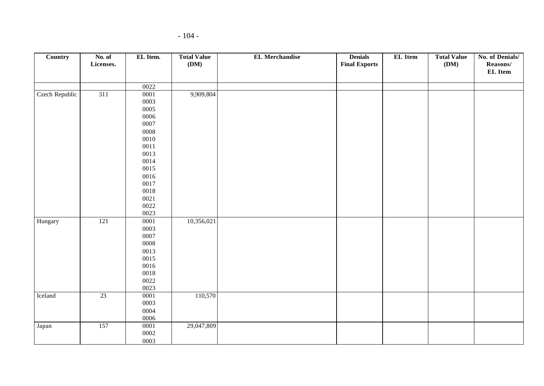| Country        | No. of<br>Licenses. | EL Item.     | <b>Total Value</b><br>(DM) | <b>EL Merchandise</b> | <b>Denials</b><br><b>Final Exports</b> | EL Item | <b>Total Value</b><br>(DM) | No. of Denials/<br>Reasons/ |
|----------------|---------------------|--------------|----------------------------|-----------------------|----------------------------------------|---------|----------------------------|-----------------------------|
|                |                     |              |                            |                       |                                        |         |                            | EL Item                     |
|                |                     | 0022         |                            |                       |                                        |         |                            |                             |
| Czech Republic | 311                 | 0001         | 9,909,804                  |                       |                                        |         |                            |                             |
|                |                     | 0003         |                            |                       |                                        |         |                            |                             |
|                |                     | 0005         |                            |                       |                                        |         |                            |                             |
|                |                     | 0006         |                            |                       |                                        |         |                            |                             |
|                |                     | 0007         |                            |                       |                                        |         |                            |                             |
|                |                     | ${\bf 0008}$ |                            |                       |                                        |         |                            |                             |
|                |                     | 0010         |                            |                       |                                        |         |                            |                             |
|                |                     | 0011         |                            |                       |                                        |         |                            |                             |
|                |                     | 0013         |                            |                       |                                        |         |                            |                             |
|                |                     | 0014         |                            |                       |                                        |         |                            |                             |
|                |                     | 0015         |                            |                       |                                        |         |                            |                             |
|                |                     | 0016         |                            |                       |                                        |         |                            |                             |
|                |                     | 0017         |                            |                       |                                        |         |                            |                             |
|                |                     | 0018         |                            |                       |                                        |         |                            |                             |
|                |                     | 0021         |                            |                       |                                        |         |                            |                             |
|                |                     | 0022         |                            |                       |                                        |         |                            |                             |
|                |                     | 0023         |                            |                       |                                        |         |                            |                             |
| Hungary        | 121                 | 0001         | 10,356,021                 |                       |                                        |         |                            |                             |
|                |                     | 0003         |                            |                       |                                        |         |                            |                             |
|                |                     | 0007         |                            |                       |                                        |         |                            |                             |
|                |                     | ${\bf 0008}$ |                            |                       |                                        |         |                            |                             |
|                |                     | 0013         |                            |                       |                                        |         |                            |                             |
|                |                     | 0015         |                            |                       |                                        |         |                            |                             |
|                |                     | 0016         |                            |                       |                                        |         |                            |                             |
|                |                     | 0018         |                            |                       |                                        |         |                            |                             |
|                |                     | 0022         |                            |                       |                                        |         |                            |                             |
|                |                     | 0023         |                            |                       |                                        |         |                            |                             |
| Iceland        | 23                  | 0001         | 110,570                    |                       |                                        |         |                            |                             |
|                |                     | 0003         |                            |                       |                                        |         |                            |                             |
|                |                     | 0004         |                            |                       |                                        |         |                            |                             |
|                |                     | 0006         |                            |                       |                                        |         |                            |                             |
| Japan          | 157                 | 0001         | 29,047,809                 |                       |                                        |         |                            |                             |
|                |                     | 0002         |                            |                       |                                        |         |                            |                             |
|                |                     | 0003         |                            |                       |                                        |         |                            |                             |

- 104 -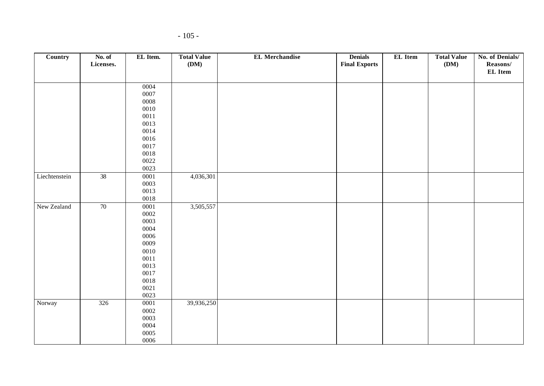- 105 -

| Country       | No. of<br>Licenses. | EL Item.     | <b>Total Value</b><br>(DM) | <b>EL Merchandise</b> | <b>Denials</b><br><b>Final Exports</b> | EL Item | <b>Total Value</b><br>(DM) | No. of Denials/<br>$\boldsymbol{\mathsf{Reasons}/}$ |
|---------------|---------------------|--------------|----------------------------|-----------------------|----------------------------------------|---------|----------------------------|-----------------------------------------------------|
|               |                     |              |                            |                       |                                        |         |                            | EL Item                                             |
|               |                     | 0004         |                            |                       |                                        |         |                            |                                                     |
|               |                     | 0007         |                            |                       |                                        |         |                            |                                                     |
|               |                     | ${\bf 0008}$ |                            |                       |                                        |         |                            |                                                     |
|               |                     | 0010         |                            |                       |                                        |         |                            |                                                     |
|               |                     | $0011\,$     |                            |                       |                                        |         |                            |                                                     |
|               |                     | 0013         |                            |                       |                                        |         |                            |                                                     |
|               |                     | 0014         |                            |                       |                                        |         |                            |                                                     |
|               |                     | 0016         |                            |                       |                                        |         |                            |                                                     |
|               |                     | $0017\,$     |                            |                       |                                        |         |                            |                                                     |
|               |                     | $0018\,$     |                            |                       |                                        |         |                            |                                                     |
|               |                     | 0022         |                            |                       |                                        |         |                            |                                                     |
|               |                     | 0023         |                            |                       |                                        |         |                            |                                                     |
| Liechtenstein | 38                  | 0001         | 4,036,301                  |                       |                                        |         |                            |                                                     |
|               |                     | $\,0003\,$   |                            |                       |                                        |         |                            |                                                     |
|               |                     | 0013         |                            |                       |                                        |         |                            |                                                     |
|               |                     | $0018\,$     |                            |                       |                                        |         |                            |                                                     |
| New Zealand   | 70                  | 0001         | 3,505,557                  |                       |                                        |         |                            |                                                     |
|               |                     | 0002         |                            |                       |                                        |         |                            |                                                     |
|               |                     | 0003         |                            |                       |                                        |         |                            |                                                     |
|               |                     | 0004         |                            |                       |                                        |         |                            |                                                     |
|               |                     | 0006         |                            |                       |                                        |         |                            |                                                     |
|               |                     | 0009         |                            |                       |                                        |         |                            |                                                     |
|               |                     | 0010         |                            |                       |                                        |         |                            |                                                     |
|               |                     | 0011         |                            |                       |                                        |         |                            |                                                     |
|               |                     | 0013         |                            |                       |                                        |         |                            |                                                     |
|               |                     | 0017         |                            |                       |                                        |         |                            |                                                     |
|               |                     | 0018         |                            |                       |                                        |         |                            |                                                     |
|               |                     | $0021\,$     |                            |                       |                                        |         |                            |                                                     |
|               |                     | 0023         |                            |                       |                                        |         |                            |                                                     |
| Norway        | 326                 | 0001         | 39,936,250                 |                       |                                        |         |                            |                                                     |
|               |                     | 0002         |                            |                       |                                        |         |                            |                                                     |
|               |                     | 0003         |                            |                       |                                        |         |                            |                                                     |
|               |                     | 0004         |                            |                       |                                        |         |                            |                                                     |
|               |                     | 0005         |                            |                       |                                        |         |                            |                                                     |
|               |                     | 0006         |                            |                       |                                        |         |                            |                                                     |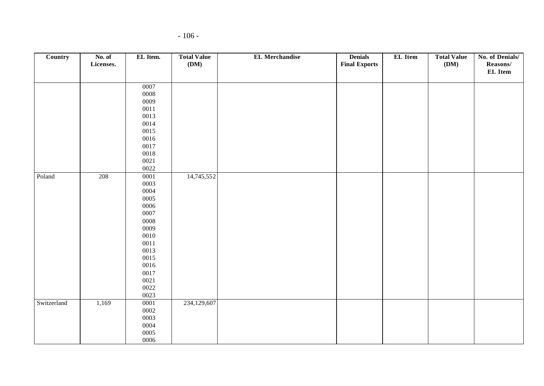- 106 -

| Country     | No. of<br>Licenses. | EL Item.     | <b>Total Value</b><br>(DM) | <b>EL Merchandise</b> | <b>Denials</b><br><b>Final Exports</b> | EL Item | <b>Total Value</b><br>(DM) | No. of Denials/<br>$\boldsymbol{\mathsf{Reasons}/}$ |
|-------------|---------------------|--------------|----------------------------|-----------------------|----------------------------------------|---------|----------------------------|-----------------------------------------------------|
|             |                     |              |                            |                       |                                        |         |                            | EL Item                                             |
|             |                     | 0007         |                            |                       |                                        |         |                            |                                                     |
|             |                     | $\,0008\,$   |                            |                       |                                        |         |                            |                                                     |
|             |                     | 0009         |                            |                       |                                        |         |                            |                                                     |
|             |                     | $0011\,$     |                            |                       |                                        |         |                            |                                                     |
|             |                     | 0013         |                            |                       |                                        |         |                            |                                                     |
|             |                     | 0014         |                            |                       |                                        |         |                            |                                                     |
|             |                     | 0015         |                            |                       |                                        |         |                            |                                                     |
|             |                     | 0016         |                            |                       |                                        |         |                            |                                                     |
|             |                     | $0017\,$     |                            |                       |                                        |         |                            |                                                     |
|             |                     | $0018\,$     |                            |                       |                                        |         |                            |                                                     |
|             |                     | $0021\,$     |                            |                       |                                        |         |                            |                                                     |
|             |                     | 0022         |                            |                       |                                        |         |                            |                                                     |
| Poland      | 208                 | 0001         | 14,745,552                 |                       |                                        |         |                            |                                                     |
|             |                     | $\,0003\,$   |                            |                       |                                        |         |                            |                                                     |
|             |                     | $\,0004\,$   |                            |                       |                                        |         |                            |                                                     |
|             |                     | 0005         |                            |                       |                                        |         |                            |                                                     |
|             |                     | 0006         |                            |                       |                                        |         |                            |                                                     |
|             |                     | 0007         |                            |                       |                                        |         |                            |                                                     |
|             |                     | $0008\,$     |                            |                       |                                        |         |                            |                                                     |
|             |                     | 0009         |                            |                       |                                        |         |                            |                                                     |
|             |                     | 0010         |                            |                       |                                        |         |                            |                                                     |
|             |                     | $0011\,$     |                            |                       |                                        |         |                            |                                                     |
|             |                     | 0013         |                            |                       |                                        |         |                            |                                                     |
|             |                     | 0015         |                            |                       |                                        |         |                            |                                                     |
|             |                     | 0016         |                            |                       |                                        |         |                            |                                                     |
|             |                     | $0017\,$     |                            |                       |                                        |         |                            |                                                     |
|             |                     | 0021         |                            |                       |                                        |         |                            |                                                     |
|             |                     | 0022<br>0023 |                            |                       |                                        |         |                            |                                                     |
| Switzerland |                     | 0001         | 234,129,607                |                       |                                        |         |                            |                                                     |
|             | 1,169               | $\,0002\,$   |                            |                       |                                        |         |                            |                                                     |
|             |                     | 0003         |                            |                       |                                        |         |                            |                                                     |
|             |                     | 0004         |                            |                       |                                        |         |                            |                                                     |
|             |                     | 0005         |                            |                       |                                        |         |                            |                                                     |
|             |                     | 0006         |                            |                       |                                        |         |                            |                                                     |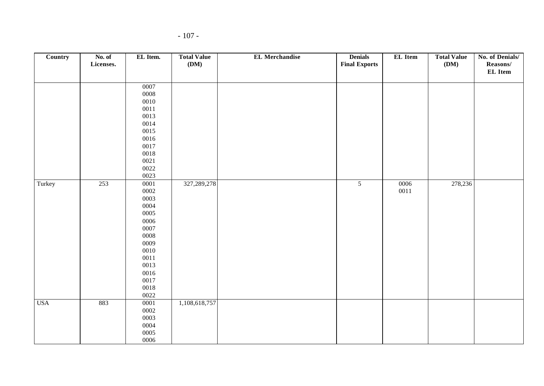- 107 -

| Country    | No. of<br>Licenses. | EL Item.   | <b>Total Value</b><br>(DM) | <b>EL Merchandise</b> | <b>Denials</b><br><b>Final Exports</b> | EL Item  | <b>Total Value</b><br>(DM) | No. of Denials/<br>$\boldsymbol{\mathsf{Reasons}/}$ |
|------------|---------------------|------------|----------------------------|-----------------------|----------------------------------------|----------|----------------------------|-----------------------------------------------------|
|            |                     |            |                            |                       |                                        |          |                            | EL Item                                             |
|            |                     | 0007       |                            |                       |                                        |          |                            |                                                     |
|            |                     | $\,0008\,$ |                            |                       |                                        |          |                            |                                                     |
|            |                     | 0010       |                            |                       |                                        |          |                            |                                                     |
|            |                     | $0011\,$   |                            |                       |                                        |          |                            |                                                     |
|            |                     | 0013       |                            |                       |                                        |          |                            |                                                     |
|            |                     | 0014       |                            |                       |                                        |          |                            |                                                     |
|            |                     | 0015       |                            |                       |                                        |          |                            |                                                     |
|            |                     | 0016       |                            |                       |                                        |          |                            |                                                     |
|            |                     | 0017       |                            |                       |                                        |          |                            |                                                     |
|            |                     | $0018\,$   |                            |                       |                                        |          |                            |                                                     |
|            |                     | $0021\,$   |                            |                       |                                        |          |                            |                                                     |
|            |                     | 0022       |                            |                       |                                        |          |                            |                                                     |
|            |                     | 0023       |                            |                       |                                        |          |                            |                                                     |
| Turkey     | 253                 | 0001       | 327,289,278                |                       | $\overline{5}$                         | 0006     | 278,236                    |                                                     |
|            |                     | $0002\,$   |                            |                       |                                        | $0011\,$ |                            |                                                     |
|            |                     | 0003       |                            |                       |                                        |          |                            |                                                     |
|            |                     | 0004       |                            |                       |                                        |          |                            |                                                     |
|            |                     | 0005       |                            |                       |                                        |          |                            |                                                     |
|            |                     | 0006       |                            |                       |                                        |          |                            |                                                     |
|            |                     | $0007\,$   |                            |                       |                                        |          |                            |                                                     |
|            |                     | $\,0008\,$ |                            |                       |                                        |          |                            |                                                     |
|            |                     | 0009       |                            |                       |                                        |          |                            |                                                     |
|            |                     | 0010       |                            |                       |                                        |          |                            |                                                     |
|            |                     | $0011\,$   |                            |                       |                                        |          |                            |                                                     |
|            |                     | 0013       |                            |                       |                                        |          |                            |                                                     |
|            |                     | 0016       |                            |                       |                                        |          |                            |                                                     |
|            |                     | 0017       |                            |                       |                                        |          |                            |                                                     |
|            |                     | 0018       |                            |                       |                                        |          |                            |                                                     |
|            |                     | 0022       |                            |                       |                                        |          |                            |                                                     |
| <b>USA</b> | 883                 | 0001       | 1,108,618,757              |                       |                                        |          |                            |                                                     |
|            |                     | $\,0002\,$ |                            |                       |                                        |          |                            |                                                     |
|            |                     | 0003       |                            |                       |                                        |          |                            |                                                     |
|            |                     | 0004       |                            |                       |                                        |          |                            |                                                     |
|            |                     | 0005       |                            |                       |                                        |          |                            |                                                     |
|            |                     | 0006       |                            |                       |                                        |          |                            |                                                     |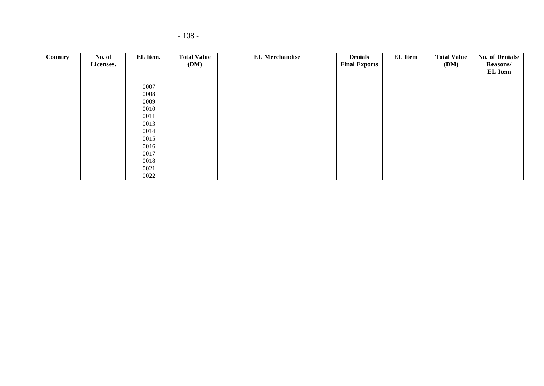|  | ۹<br>×<br>٧ |  |
|--|-------------|--|
|--|-------------|--|

| Country | No. of    | EL Item. | <b>Total Value</b> | <b>EL Merchandise</b> | <b>Denials</b>       | <b>EL</b> Item | <b>Total Value</b> | No. of Denials/ |
|---------|-----------|----------|--------------------|-----------------------|----------------------|----------------|--------------------|-----------------|
|         | Licenses. |          | <b>(DM)</b>        |                       | <b>Final Exports</b> |                | (DM)               | Reasons/        |
|         |           |          |                    |                       |                      |                |                    | EL Item         |
|         |           |          |                    |                       |                      |                |                    |                 |
|         |           | 0007     |                    |                       |                      |                |                    |                 |
|         |           | 0008     |                    |                       |                      |                |                    |                 |
|         |           | 0009     |                    |                       |                      |                |                    |                 |
|         |           | 0010     |                    |                       |                      |                |                    |                 |
|         |           | 0011     |                    |                       |                      |                |                    |                 |
|         |           | 0013     |                    |                       |                      |                |                    |                 |
|         |           | 0014     |                    |                       |                      |                |                    |                 |
|         |           | 0015     |                    |                       |                      |                |                    |                 |
|         |           | 0016     |                    |                       |                      |                |                    |                 |
|         |           | 0017     |                    |                       |                      |                |                    |                 |
|         |           | 0018     |                    |                       |                      |                |                    |                 |
|         |           | 0021     |                    |                       |                      |                |                    |                 |
|         |           | 0022     |                    |                       |                      |                |                    |                 |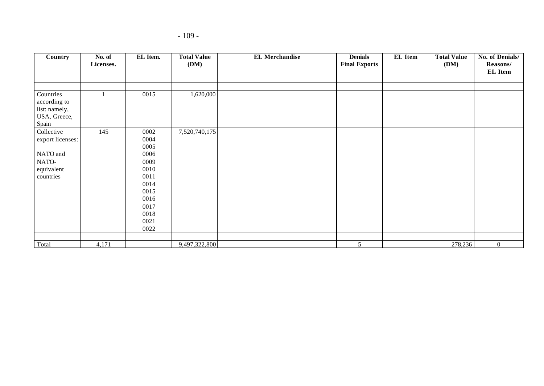| Country                                                                        | No. of<br>Licenses. | EL Item.                                                                                                     | <b>Total Value</b><br>(DM) | <b>EL Merchandise</b> | <b>Denials</b><br><b>Final Exports</b> | <b>EL</b> Item | <b>Total Value</b><br>(DM) | No. of Denials/<br>Reasons/<br>EL Item |
|--------------------------------------------------------------------------------|---------------------|--------------------------------------------------------------------------------------------------------------|----------------------------|-----------------------|----------------------------------------|----------------|----------------------------|----------------------------------------|
| Countries<br>according to<br>list: namely,<br>USA, Greece,<br>Spain            |                     | 0015                                                                                                         | 1,620,000                  |                       |                                        |                |                            |                                        |
| Collective<br>export licenses:<br>NATO and<br>NATO-<br>equivalent<br>countries | 145                 | 0002<br>0004<br>0005<br>0006<br>0009<br>0010<br>0011<br>0014<br>0015<br>0016<br>0017<br>0018<br>0021<br>0022 | 7,520,740,175              |                       |                                        |                |                            |                                        |
| Total                                                                          | 4,171               |                                                                                                              | 9,497,322,800              |                       | 5                                      |                | 278,236                    | $\overline{0}$                         |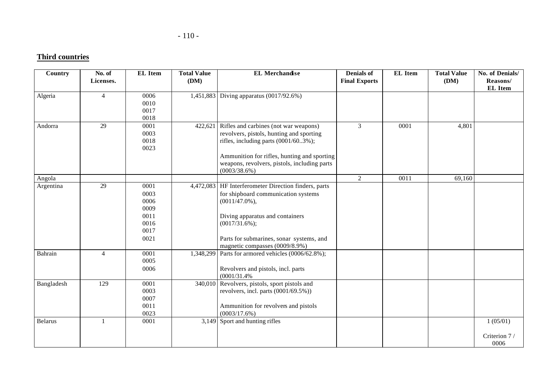## **Third countries**

| Country    | No. of<br>Licenses. | <b>EL</b> Item                                               | <b>Total Value</b><br>(DM) | <b>EL Merchandise</b>                                                                                                                                                                                                                                 | <b>Denials of</b><br><b>Final Exports</b> | <b>EL</b> Item | <b>Total Value</b><br>(DM) | No. of Denials/<br>Reasons/<br><b>EL</b> Item |
|------------|---------------------|--------------------------------------------------------------|----------------------------|-------------------------------------------------------------------------------------------------------------------------------------------------------------------------------------------------------------------------------------------------------|-------------------------------------------|----------------|----------------------------|-----------------------------------------------|
| Algeria    | $\overline{4}$      | 0006<br>0010<br>0017<br>0018                                 |                            | 1,451,883 Diving apparatus (0017/92.6%)                                                                                                                                                                                                               |                                           |                |                            |                                               |
| Andorra    | 29                  | 0001<br>0003<br>0018<br>0023                                 |                            | $422,621$ Rifles and carbines (not war weapons)<br>revolvers, pistols, hunting and sporting<br>rifles, including parts (0001/603%);<br>Ammunition for rifles, hunting and sporting<br>weapons, revolvers, pistols, including parts<br>$(0003/38.6\%)$ | 3                                         | 0001           | 4,801                      |                                               |
| Angola     |                     |                                                              |                            |                                                                                                                                                                                                                                                       | 2                                         | 0011           | 69,160                     |                                               |
| Argentina  | 29                  | 0001<br>0003<br>0006<br>0009<br>0011<br>0016<br>0017<br>0021 |                            | 4,472,083 HF Interferometer Direction finders, parts<br>for shipboard communication systems<br>$(0011/47.0\%),$<br>Diving apparatus and containers<br>$(0017/31.6\%);$<br>Parts for submarines, sonar systems, and<br>magnetic compasses (0009/8.9%)  |                                           |                |                            |                                               |
| Bahrain    | $\overline{4}$      | 0001<br>0005<br>0006                                         |                            | 1,348,299 Parts for armored vehicles (0006/62.8%);<br>Revolvers and pistols, incl. parts<br>(0001/31.4%                                                                                                                                               |                                           |                |                            |                                               |
| Bangladesh | 129                 | 0001<br>0003<br>0007<br>0011<br>0023                         |                            | 340,010 Revolvers, pistols, sport pistols and<br>revolvers, incl. parts $(0001/69.5\%)$<br>Ammunition for revolvers and pistols<br>(0003/17.6%)                                                                                                       |                                           |                |                            |                                               |
| Belarus    | 1                   | 0001                                                         |                            | 3,149 Sport and hunting rifles                                                                                                                                                                                                                        |                                           |                |                            | 1(05/01)<br>Criterion 7/<br>0006              |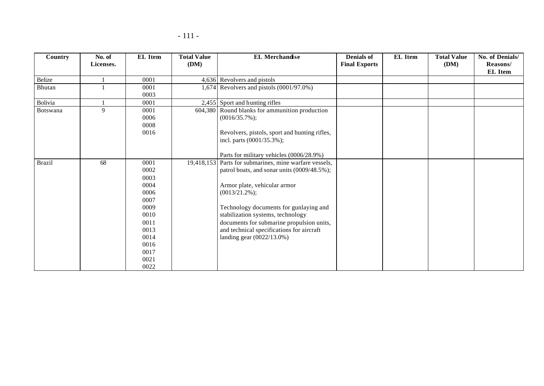| Country       | No. of<br>Licenses. | EL Item                                                                                                              | <b>Total Value</b><br>(DM) | <b>EL Merchandise</b>                                                                                                                                                                                                                                                                                                                                               | <b>Denials of</b><br><b>Final Exports</b> | EL Item | <b>Total Value</b><br>(DM) | No. of Denials/<br>Reasons/<br>EL Item |
|---------------|---------------------|----------------------------------------------------------------------------------------------------------------------|----------------------------|---------------------------------------------------------------------------------------------------------------------------------------------------------------------------------------------------------------------------------------------------------------------------------------------------------------------------------------------------------------------|-------------------------------------------|---------|----------------------------|----------------------------------------|
| Belize        |                     | 0001                                                                                                                 |                            | 4,636 Revolvers and pistols                                                                                                                                                                                                                                                                                                                                         |                                           |         |                            |                                        |
| Bhutan        |                     | 0001<br>0003                                                                                                         |                            | 1,674 Revolvers and pistols $(0.001/97.0\%)$                                                                                                                                                                                                                                                                                                                        |                                           |         |                            |                                        |
| Bolivia       |                     | 0001                                                                                                                 |                            | 2,455 Sport and hunting rifles                                                                                                                                                                                                                                                                                                                                      |                                           |         |                            |                                        |
| Botswana      | 9                   | 0001<br>0006<br>0008<br>0016                                                                                         |                            | 604,380 Round blanks for ammunition production<br>$(0016/35.7\%)$ ;<br>Revolvers, pistols, sport and hunting rifles,<br>incl. parts (0001/35.3%);                                                                                                                                                                                                                   |                                           |         |                            |                                        |
|               |                     |                                                                                                                      |                            | Parts for military vehicles (0006/28.9%)                                                                                                                                                                                                                                                                                                                            |                                           |         |                            |                                        |
| <b>Brazil</b> | 68                  | 0001<br>0002<br>0003<br>0004<br>0006<br>0007<br>0009<br>0010<br>0011<br>0013<br>0014<br>0016<br>0017<br>0021<br>0022 |                            | 19,418,153 Parts for submarines, mine warfare vessels,<br>patrol boats, and sonar units (0009/48.5%);<br>Armor plate, vehicular armor<br>$(0013/21.2\%)$ ;<br>Technology documents for gunlaying and<br>stabilization systems, technology<br>documents for submarine propulsion units,<br>and technical specifications for aircraft<br>landing gear $(0022/13.0\%)$ |                                           |         |                            |                                        |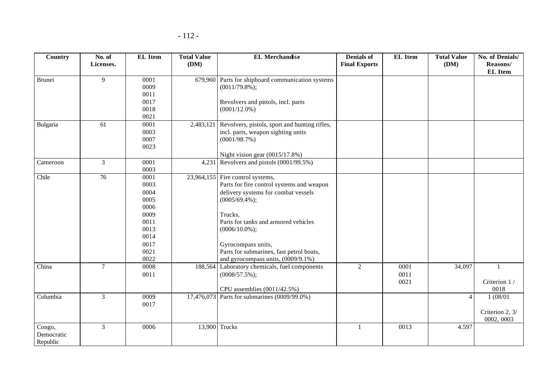| Country                          | No. of<br>Licenses. | <b>EL</b> Item                                                                               | <b>Total Value</b><br>(DM) | <b>EL Merchandise</b>                                                                                                                                                                                                                                                                                                    | <b>Denials</b> of<br><b>Final Exports</b> | <b>EL</b> Item       | <b>Total Value</b><br>(DM) | No. of Denials/<br>Reasons/<br><b>EL</b> Item |
|----------------------------------|---------------------|----------------------------------------------------------------------------------------------|----------------------------|--------------------------------------------------------------------------------------------------------------------------------------------------------------------------------------------------------------------------------------------------------------------------------------------------------------------------|-------------------------------------------|----------------------|----------------------------|-----------------------------------------------|
| Brunei                           | 9                   | 0001<br>0009<br>0011<br>0017<br>0018<br>0021                                                 |                            | 679,960 Parts for shipboard communication systems<br>$(0011/79.8\%);$<br>Revolvers and pistols, incl. parts<br>$(0001/12.0\%)$                                                                                                                                                                                           |                                           |                      |                            |                                               |
| Bulgaria                         | 61                  | 0001<br>0003<br>0007<br>0023                                                                 |                            | 2,483,121 Revolvers, pistols, sport and hunting rifles,<br>incl. parts, weapon sighting units<br>(0001/98.7%)<br>Night vision gear (0015/17.8%)                                                                                                                                                                          |                                           |                      |                            |                                               |
| Cameroon                         | $\mathfrak{Z}$      | 0001<br>0003                                                                                 |                            | 4,231 Revolvers and pistols $(0001/99.5\%)$                                                                                                                                                                                                                                                                              |                                           |                      |                            |                                               |
| Chile                            | 76                  | 0001<br>0003<br>0004<br>0005<br>0006<br>0009<br>0011<br>0013<br>0014<br>0017<br>0021<br>0022 |                            | 23,964,155 Fire control systems,<br>Parts for fire control systems and weapon<br>delivery systems for combat vessels<br>$(0005/69.4\%);$<br>Trucks,<br>Parts for tanks and armored vehicles<br>$(0006/10.0\%)$ ;<br>Gyrocompass units,<br>Parts for submarines, fast petrol boats,<br>and gyrocompass units, (0009/9.1%) |                                           |                      |                            |                                               |
| China                            | $\overline{7}$      | 0008<br>0011                                                                                 |                            | 188,564 Laboratory chemicals, fuel components<br>$(0008/57.5\%);$<br>CPU assemblies (0011/42.5%)                                                                                                                                                                                                                         | 2                                         | 0001<br>0011<br>0021 | 34,097                     | $\mathbf{1}$<br>Criterion 1/<br>0018          |
| Columbia                         | $\overline{3}$      | 0009<br>0017                                                                                 |                            | 17,476,073 Parts for submarines (0009/99.0%)                                                                                                                                                                                                                                                                             |                                           |                      | $\overline{4}$             | 1(08/01)<br>Criterion 2, 3/<br>0002, 0003     |
| Congo,<br>Democratic<br>Republic | $\mathfrak{Z}$      | 0006                                                                                         |                            | 13,900 Trucks                                                                                                                                                                                                                                                                                                            | $\overline{1}$                            | 0013                 | 4.597                      |                                               |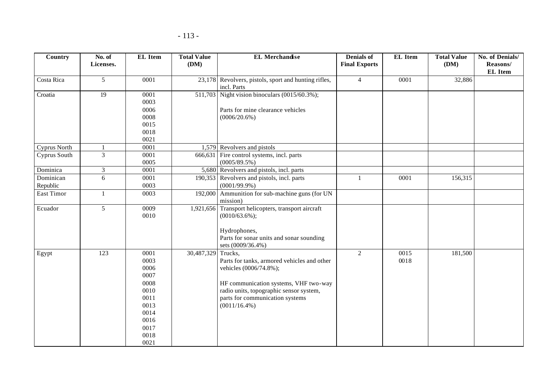| Country               | No. of<br>Licenses. | <b>EL</b> Item                                                                                       | <b>Total Value</b><br>(DM) | <b>EL Merchandise</b>                                                                                                                                                                                                      | <b>Denials of</b><br><b>Final Exports</b> | <b>EL</b> Item | <b>Total Value</b><br>(DM) | No. of Denials/<br>Reasons/<br><b>EL</b> Item |
|-----------------------|---------------------|------------------------------------------------------------------------------------------------------|----------------------------|----------------------------------------------------------------------------------------------------------------------------------------------------------------------------------------------------------------------------|-------------------------------------------|----------------|----------------------------|-----------------------------------------------|
| Costa Rica            | $\mathfrak{H}$      | 0001                                                                                                 |                            | 23,178 Revolvers, pistols, sport and hunting rifles,<br>incl. Parts                                                                                                                                                        | $\overline{4}$                            | 0001           | 32,886                     |                                               |
| Croatia               | $\overline{19}$     | 0001<br>0003<br>0006<br>0008<br>0015<br>0018<br>0021                                                 |                            | 511,703 Night vision binoculars (0015/60.3%);<br>Parts for mine clearance vehicles<br>$(0006/20.6\%)$                                                                                                                      |                                           |                |                            |                                               |
| <b>Cyprus North</b>   |                     | 0001                                                                                                 |                            | 1,579 Revolvers and pistols                                                                                                                                                                                                |                                           |                |                            |                                               |
| Cyprus South          | $\mathfrak{Z}$      | 0001<br>0005                                                                                         |                            | 666,631 Fire control systems, incl. parts<br>$(0005/89.5\%)$                                                                                                                                                               |                                           |                |                            |                                               |
| Dominica              | 3                   | 0001                                                                                                 |                            | 5,680 Revolvers and pistols, incl. parts                                                                                                                                                                                   |                                           |                |                            |                                               |
| Dominican<br>Republic | 6                   | 0001<br>0003                                                                                         |                            | 190,353 Revolvers and pistols, incl. parts<br>$(0001/99.9\%)$                                                                                                                                                              | 1                                         | 0001           | 156,315                    |                                               |
| East Timor            | -1                  | 0003                                                                                                 |                            | 192,000 Ammunition for sub-machine guns (for UN<br>mission)                                                                                                                                                                |                                           |                |                            |                                               |
| Ecuador               | 5                   | 0009<br>0010                                                                                         |                            | 1,921,656 Transport helicopters, transport aircraft<br>$(0010/63.6\%);$<br>Hydrophones,<br>Parts for sonar units and sonar sounding<br>sets (0009/36.4%)                                                                   |                                           |                |                            |                                               |
| Egypt                 | 123                 | 0001<br>0003<br>0006<br>0007<br>0008<br>0010<br>0011<br>0013<br>0014<br>0016<br>0017<br>0018<br>0021 | 30,487,329                 | Trucks,<br>Parts for tanks, armored vehicles and other<br>vehicles (0006/74.8%);<br>HF communication systems, VHF two-way<br>radio units, topographic sensor system,<br>parts for communication systems<br>$(0011/16.4\%)$ | 2                                         | 0015<br>0018   | 181,500                    |                                               |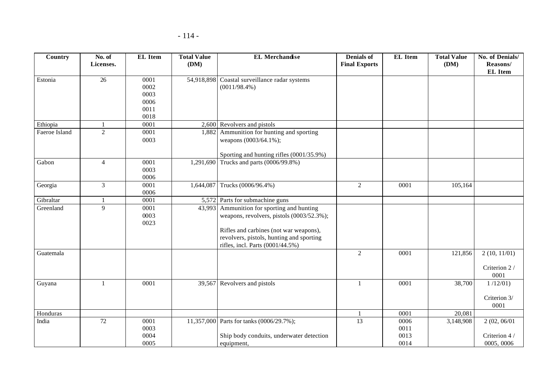| Country       | No. of<br>Licenses. | <b>EL</b> Item                               | <b>Total Value</b><br>(DM) | <b>EL Merchandise</b>                                                                                                                                                                                      | <b>Denials</b> of<br><b>Final Exports</b> | <b>EL</b> Item       | <b>Total Value</b><br>(DM) | No. of Denials/<br>Reasons/<br><b>EL</b> Item |
|---------------|---------------------|----------------------------------------------|----------------------------|------------------------------------------------------------------------------------------------------------------------------------------------------------------------------------------------------------|-------------------------------------------|----------------------|----------------------------|-----------------------------------------------|
| Estonia       | 26                  | 0001<br>0002<br>0003<br>0006<br>0011<br>0018 |                            | 54,918,898 Coastal surveillance radar systems<br>$(0011/98.4\%)$                                                                                                                                           |                                           |                      |                            |                                               |
| Ethiopia      | -1                  | 0001                                         |                            | 2,600 Revolvers and pistols                                                                                                                                                                                |                                           |                      |                            |                                               |
| Faeroe Island | $\overline{2}$      | 0001<br>0003                                 | 1,882                      | Ammunition for hunting and sporting<br>weapons (0003/64.1%);<br>Sporting and hunting rifles (0001/35.9%)                                                                                                   |                                           |                      |                            |                                               |
| Gabon         | $\overline{4}$      | 0001<br>0003<br>0006                         | 1,291,690                  | Trucks and parts (0006/99.8%)                                                                                                                                                                              |                                           |                      |                            |                                               |
| Georgia       | $\overline{3}$      | 0001<br>0006                                 | 1,644,087                  | Trucks (0006/96.4%)                                                                                                                                                                                        | 2                                         | 0001                 | 105,164                    |                                               |
| Gibraltar     |                     | 0001                                         |                            | 5,572 Parts for submachine guns                                                                                                                                                                            |                                           |                      |                            |                                               |
| Greenland     | 9                   | 0001<br>0003<br>0023                         | 43,993                     | Ammunition for sporting and hunting<br>weapons, revolvers, pistols (0003/52.3%);<br>Rifles and carbines (not war weapons),<br>revolvers, pistols, hunting and sporting<br>rifles, incl. Parts (0001/44.5%) |                                           |                      |                            |                                               |
| Guatemala     |                     |                                              |                            |                                                                                                                                                                                                            | $\overline{2}$                            | 0001                 | 121,856                    | 2(10, 11/01)<br>Criterion 2 /<br>0001         |
| Guyana        | $\mathbf{1}$        | 0001                                         |                            | 39,567 Revolvers and pistols                                                                                                                                                                               | $\mathbf{1}$                              | 0001                 | 38,700                     | 1/12/01<br>Criterion 3/<br>0001               |
| Honduras      |                     |                                              |                            |                                                                                                                                                                                                            | $\overline{\mathbf{1}}$                   | 0001                 | 20,081                     |                                               |
| India         | 72                  | 0001<br>0003<br>0004<br>0005                 |                            | 11,357,000 Parts for tanks (0006/29.7%);<br>Ship body conduits, underwater detection                                                                                                                       | $\overline{13}$                           | 0006<br>0011<br>0013 | 3,148,908                  | 2 (02, 06/01<br>Criterion 4 /                 |
|               |                     |                                              |                            | equipment,                                                                                                                                                                                                 |                                           | 0014                 |                            | 0005, 0006                                    |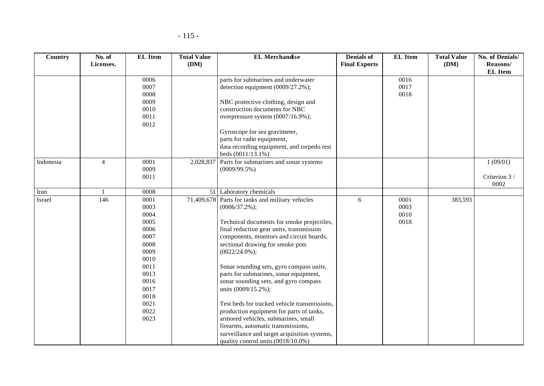| Country   | No. of<br>Licenses. | <b>EL</b> Item                                                                                                                       | <b>Total Value</b><br>(DM) | <b>EL Merchandise</b>                                                                                                                                                                                                                                                                                                                                                                                                                                                                                                                                                                                                                                                                    | <b>Denials of</b><br><b>Final Exports</b> | <b>EL</b> Item                    | <b>Total Value</b><br>(DM) | No. of Denials/<br>Reasons/<br><b>EL</b> Item |
|-----------|---------------------|--------------------------------------------------------------------------------------------------------------------------------------|----------------------------|------------------------------------------------------------------------------------------------------------------------------------------------------------------------------------------------------------------------------------------------------------------------------------------------------------------------------------------------------------------------------------------------------------------------------------------------------------------------------------------------------------------------------------------------------------------------------------------------------------------------------------------------------------------------------------------|-------------------------------------------|-----------------------------------|----------------------------|-----------------------------------------------|
|           |                     | 0006<br>0007<br>0008<br>0009<br>0010<br>0011<br>0012                                                                                 |                            | parts for submarines and underwater<br>detection equipment (0009/27.2%);<br>NBC protective clothing, design and<br>construction documents for NBC<br>overpressure system (0007/16.9%);<br>Gyroscope for sea gravimeter,<br>parts for radio equipment,<br>data recording equipment, and torpedo test<br>beds (0011/13.1%)                                                                                                                                                                                                                                                                                                                                                                 |                                           | $\overline{0}016$<br>0017<br>0018 |                            |                                               |
| Indonesia | $\overline{4}$      | 0001<br>0009<br>0011                                                                                                                 |                            | 2,028,837 Parts for submarines and sonar systems<br>$(0009/99.5\%)$                                                                                                                                                                                                                                                                                                                                                                                                                                                                                                                                                                                                                      |                                           |                                   |                            | 1(09/01)<br>Criterion 3/<br>0002              |
| Iran      | $\overline{1}$      | 0008                                                                                                                                 |                            | 51 Laboratory chemicals                                                                                                                                                                                                                                                                                                                                                                                                                                                                                                                                                                                                                                                                  |                                           |                                   |                            |                                               |
| Israel    | 146                 | 0001<br>0003<br>0004<br>0005<br>0006<br>0007<br>0008<br>0009<br>0010<br>0011<br>0013<br>0016<br>0017<br>0018<br>0021<br>0022<br>0023 |                            | 71,409,678 Parts for tanks and military vehicles<br>$(0006/37.2\%)$ ;<br>Technical documents for smoke projectiles,<br>final reduction gear units, transmission<br>components, monitors and circuit boards,<br>sectional drawing for smoke pots<br>$(0022/24.0\%);$<br>Sonar sounding sets, gyro compass units,<br>parts for submarines, sonar equipment,<br>sonar sounding sets, and gyro compass<br>units (0009/15.2%);<br>Test beds for tracked vehicle transmissions,<br>production equipment for parts of tanks,<br>armored vehicles, submarines, small<br>firearms, automatic transmissions,<br>surveillance and target acquisition systems,<br>quality control units (0018/10.0%) | $6\,$                                     | 0001<br>0003<br>0010<br>0018      | 383,593                    |                                               |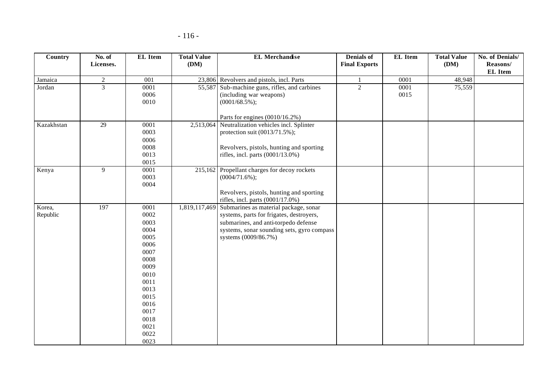| <b>Country</b> | No. of<br>Licenses. | <b>EL</b> Item | <b>Total Value</b><br>(DM) | <b>EL Merchandise</b>                               | <b>Denials of</b><br><b>Final Exports</b> | <b>EL</b> Item | <b>Total Value</b><br>(DM) | No. of Denials/<br>Reasons/ |
|----------------|---------------------|----------------|----------------------------|-----------------------------------------------------|-------------------------------------------|----------------|----------------------------|-----------------------------|
|                |                     |                |                            |                                                     |                                           |                |                            | EL Item                     |
| Jamaica        | $\sqrt{2}$          | 001            |                            | 23,806 Revolvers and pistols, incl. Parts           |                                           | 0001           | 48,948                     |                             |
| Jordan         | $\overline{3}$      | 0001           |                            | 55,587 Sub-machine guns, rifles, and carbines       | $\overline{2}$                            | 0001           | 75,559                     |                             |
|                |                     | 0006           |                            | (including war weapons)                             |                                           | 0015           |                            |                             |
|                |                     | 0010           |                            | $(0001/68.5\%);$                                    |                                           |                |                            |                             |
|                |                     |                |                            | Parts for engines (0010/16.2%)                      |                                           |                |                            |                             |
| Kazakhstan     | 29                  | 0001           |                            | 2,513,064 Neutralization vehicles incl. Splinter    |                                           |                |                            |                             |
|                |                     | 0003           |                            | protection suit $(0013/71.5\%)$ ;                   |                                           |                |                            |                             |
|                |                     | 0006           |                            |                                                     |                                           |                |                            |                             |
|                |                     | 0008           |                            | Revolvers, pistols, hunting and sporting            |                                           |                |                            |                             |
|                |                     | 0013           |                            | rifles, incl. parts (0001/13.0%)                    |                                           |                |                            |                             |
|                |                     | 0015           |                            |                                                     |                                           |                |                            |                             |
| Kenya          | 9                   | 0001           |                            | 215,162 Propellant charges for decoy rockets        |                                           |                |                            |                             |
|                |                     | 0003<br>0004   |                            | $(0004/71.6\%);$                                    |                                           |                |                            |                             |
|                |                     |                |                            | Revolvers, pistols, hunting and sporting            |                                           |                |                            |                             |
|                |                     |                |                            | rifles, incl. parts (0001/17.0%)                    |                                           |                |                            |                             |
| Korea,         | 197                 | 0001           |                            | 1,819,117,469 Submarines as material package, sonar |                                           |                |                            |                             |
| Republic       |                     | 0002           |                            | systems, parts for frigates, destroyers,            |                                           |                |                            |                             |
|                |                     | 0003           |                            | submarines, and anti-torpedo defense                |                                           |                |                            |                             |
|                |                     | 0004           |                            | systems, sonar sounding sets, gyro compass          |                                           |                |                            |                             |
|                |                     | 0005           |                            | systems (0009/86.7%)                                |                                           |                |                            |                             |
|                |                     | 0006           |                            |                                                     |                                           |                |                            |                             |
|                |                     | 0007           |                            |                                                     |                                           |                |                            |                             |
|                |                     | 0008           |                            |                                                     |                                           |                |                            |                             |
|                |                     | 0009           |                            |                                                     |                                           |                |                            |                             |
|                |                     | 0010           |                            |                                                     |                                           |                |                            |                             |
|                |                     | 0011<br>0013   |                            |                                                     |                                           |                |                            |                             |
|                |                     | 0015           |                            |                                                     |                                           |                |                            |                             |
|                |                     | 0016           |                            |                                                     |                                           |                |                            |                             |
|                |                     | 0017           |                            |                                                     |                                           |                |                            |                             |
|                |                     | 0018           |                            |                                                     |                                           |                |                            |                             |
|                |                     | 0021           |                            |                                                     |                                           |                |                            |                             |
|                |                     | 0022           |                            |                                                     |                                           |                |                            |                             |
|                |                     | 0023           |                            |                                                     |                                           |                |                            |                             |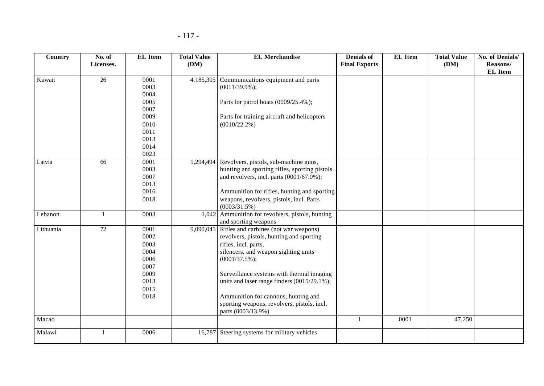|  | ┓ |
|--|---|
|--|---|

| Country   | No. of<br>Licenses. | <b>EL</b> Item                                                                       | <b>Total Value</b><br>(DM) | <b>EL Merchandise</b>                                                                                                                                                                                                                                                                                                                                                                                | <b>Denials</b> of<br><b>Final Exports</b> | <b>EL</b> Item | <b>Total Value</b><br>(DM) | No. of Denials/<br>Reasons/<br><b>EL</b> Item |
|-----------|---------------------|--------------------------------------------------------------------------------------|----------------------------|------------------------------------------------------------------------------------------------------------------------------------------------------------------------------------------------------------------------------------------------------------------------------------------------------------------------------------------------------------------------------------------------------|-------------------------------------------|----------------|----------------------------|-----------------------------------------------|
| Kuwait    | $\overline{26}$     | 0001<br>0003<br>0004<br>0005<br>0007<br>0009<br>0010<br>0011<br>0013<br>0014<br>0023 |                            | $\overline{4,185,305}$ Communications equipment and parts<br>$(0011/39.9\%);$<br>Parts for patrol boats (0009/25.4%);<br>Parts for training aircraft and helicopters<br>$(0010/22.2\%)$                                                                                                                                                                                                              |                                           |                |                            |                                               |
| Latvia    | 66                  | 0001<br>0003<br>0007<br>0013<br>0016<br>0018                                         | 1,294,494                  | Revolvers, pistols, sub-machine guns,<br>hunting and sporting rifles, sporting pistols<br>and revolvers, incl. parts $(0001/67.0\%)$ ;<br>Ammunition for rifles, hunting and sporting<br>weapons, revolvers, pistols, incl. Parts<br>(0003/31.5%)                                                                                                                                                    |                                           |                |                            |                                               |
| Lebanon   | $\mathbf{1}$        | 0003                                                                                 |                            | 1,042 Ammunition for revolvers, pistols, hunting<br>and sporting weapons                                                                                                                                                                                                                                                                                                                             |                                           |                |                            |                                               |
| Lithuania | 72                  | 0001<br>0002<br>0003<br>0004<br>0006<br>0007<br>0009<br>0013<br>0015<br>0018         |                            | $\overline{9,090,045}$ Rifles and carbines (not war weapons)<br>revolvers, pistols, hunting and sporting<br>rifles, incl. parts,<br>silencers, and weapon sighting units<br>$(0001/37.5\%);$<br>Surveillance systems with thermal imaging<br>units and laser range finders (0015/29.1%);<br>Ammunition for cannons, hunting and<br>sporting weapons, revolvers, pistols, incl.<br>parts (0003/13.9%) |                                           |                |                            |                                               |
| Macao     |                     |                                                                                      |                            |                                                                                                                                                                                                                                                                                                                                                                                                      | $\mathbf{1}$                              | 0001           | 47,250                     |                                               |
| Malawi    | -1                  | 0006                                                                                 |                            | 16,787 Steering systems for military vehicles                                                                                                                                                                                                                                                                                                                                                        |                                           |                |                            |                                               |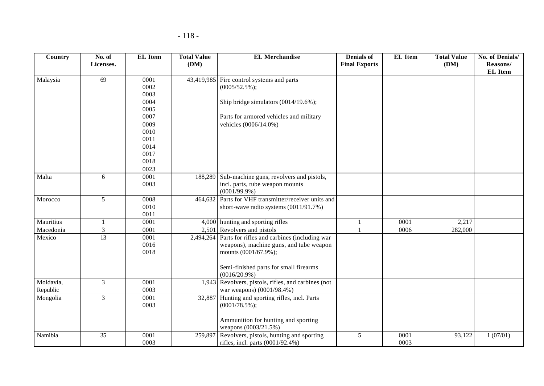| Country              | No. of<br>Licenses. | <b>EL</b> Item                                                                                       | <b>Total Value</b><br>(DM) | <b>EL Merchandise</b>                                                                                                                                                                  | <b>Denials of</b><br><b>Final Exports</b> | <b>EL</b> Item | <b>Total Value</b><br>(DM) | No. of Denials/<br>Reasons/<br><b>EL</b> Item |
|----------------------|---------------------|------------------------------------------------------------------------------------------------------|----------------------------|----------------------------------------------------------------------------------------------------------------------------------------------------------------------------------------|-------------------------------------------|----------------|----------------------------|-----------------------------------------------|
| Malaysia             | $\overline{69}$     | 0001<br>0002<br>0003<br>0004<br>0005<br>0007<br>0009<br>0010<br>0011<br>0014<br>0017<br>0018<br>0023 |                            | 43,419,985 Fire control systems and parts<br>$(0005/52.5\%);$<br>Ship bridge simulators $(0014/19.6\%)$ ;<br>Parts for armored vehicles and military<br>vehicles (0006/14.0%)          |                                           |                |                            |                                               |
| Malta                | 6                   | 0001<br>0003                                                                                         |                            | 188,289 Sub-machine guns, revolvers and pistols,<br>incl. parts, tube weapon mounts<br>$(0001/99.9\%)$                                                                                 |                                           |                |                            |                                               |
| Morocco              | 5                   | 0008<br>0010<br>0011                                                                                 |                            | 464,632 Parts for VHF transmitter/receiver units and<br>short-wave radio systems (0011/91.7%)                                                                                          |                                           |                |                            |                                               |
| Mauritius            | $\mathbf{1}$        | 0001                                                                                                 |                            | 4,000 hunting and sporting rifles                                                                                                                                                      |                                           | 0001           | 2,217                      |                                               |
| Macedonia            | 3                   | 0001                                                                                                 |                            | 2,501 Revolvers and pistols                                                                                                                                                            |                                           | 0006           | 282,000                    |                                               |
| Mexico               | $\overline{13}$     | 0001<br>0016<br>0018                                                                                 |                            | 2,494,264 Parts for rifles and carbines (including war<br>weapons), machine guns, and tube weapon<br>mounts (0001/67.9%);<br>Semi-finished parts for small firearms<br>$(0016/20.9\%)$ |                                           |                |                            |                                               |
| Moldavia,            | $\overline{3}$      | 0001                                                                                                 |                            | 1,943 Revolvers, pistols, rifles, and carbines (not                                                                                                                                    |                                           |                |                            |                                               |
| Republic<br>Mongolia | $\overline{3}$      | 0003<br>0001<br>0003                                                                                 |                            | war weapons) (0001/98.4%)<br>32,887 Hunting and sporting rifles, incl. Parts<br>$(0001/78.5\%);$<br>Ammunition for hunting and sporting                                                |                                           |                |                            |                                               |
| Namibia              | 35                  | 0001<br>0003                                                                                         |                            | weapons (0003/21.5%)<br>259,897 Revolvers, pistols, hunting and sporting<br>rifles, incl. parts (0001/92.4%)                                                                           | 5                                         | 0001<br>0003   | 93,122                     | 1(07/01)                                      |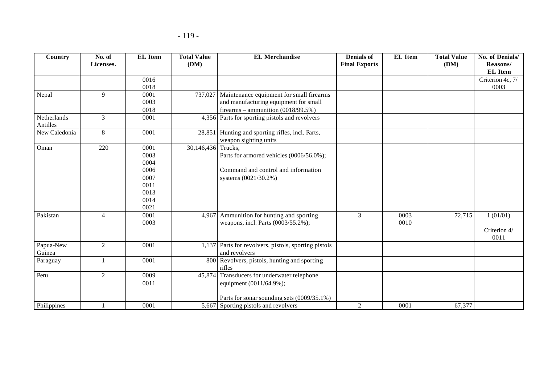| Country                 | No. of<br>Licenses. | <b>EL</b> Item                                                       | <b>Total Value</b><br>(DM) | <b>EL Merchandise</b>                                                                                                      | <b>Denials of</b><br><b>Final Exports</b> | <b>EL</b> Item | <b>Total Value</b><br>(DM) | No. of Denials/<br>Reasons/<br><b>EL</b> Item |
|-------------------------|---------------------|----------------------------------------------------------------------|----------------------------|----------------------------------------------------------------------------------------------------------------------------|-------------------------------------------|----------------|----------------------------|-----------------------------------------------|
|                         |                     | 0016<br>0018                                                         |                            |                                                                                                                            |                                           |                |                            | Criterion 4c, 7/<br>0003                      |
| Nepal                   | 9                   | 0001<br>0003<br>0018                                                 | 737,027                    | Maintenance equipment for small firearms<br>and manufacturing equipment for small<br>firearms – ammunition $(0018/99.5\%)$ |                                           |                |                            |                                               |
| Netherlands<br>Antilles | $\mathfrak{Z}$      | 0001                                                                 |                            | 4,356 Parts for sporting pistols and revolvers                                                                             |                                           |                |                            |                                               |
| New Caledonia           | 8                   | 0001                                                                 |                            | 28,851 Hunting and sporting rifles, incl. Parts,<br>weapon sighting units                                                  |                                           |                |                            |                                               |
| Oman                    | 220                 | 0001<br>0003<br>0004<br>0006<br>0007<br>0011<br>0013<br>0014<br>0021 | 30,146,436 Trucks,         | Parts for armored vehicles (0006/56.0%);<br>Command and control and information<br>systems (0021/30.2%)                    |                                           |                |                            |                                               |
| Pakistan                | $\overline{4}$      | 0001<br>0003                                                         |                            | 4,967 Ammunition for hunting and sporting<br>weapons, incl. Parts (0003/55.2%);                                            | 3                                         | 0003<br>0010   | 72,715                     | 1(01/01)<br>Criterion 4/<br>0011              |
| Papua-New<br>Guinea     | $\overline{2}$      | 0001                                                                 |                            | 1,137 Parts for revolvers, pistols, sporting pistols<br>and revolvers                                                      |                                           |                |                            |                                               |
| Paraguay                | $\mathbf{1}$        | 0001                                                                 |                            | 800 Revolvers, pistols, hunting and sporting<br>rifles                                                                     |                                           |                |                            |                                               |
| Peru                    | $\overline{2}$      | 0009<br>0011                                                         | 45,874                     | Transducers for underwater telephone<br>equipment (0011/64.9%);<br>Parts for sonar sounding sets (0009/35.1%)              |                                           |                |                            |                                               |
| Philippines             | $\mathbf{1}$        | 0001                                                                 |                            | 5,667 Sporting pistols and revolvers                                                                                       | 2                                         | 0001           | 67,377                     |                                               |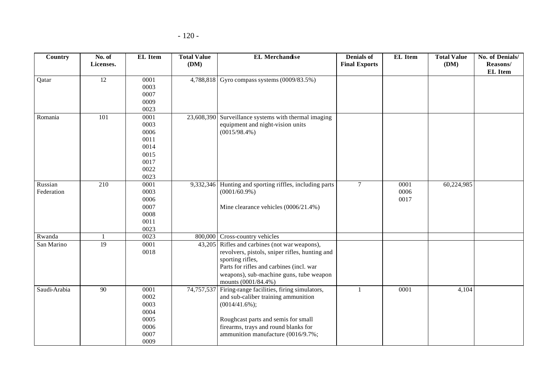| Country               | No. of<br>Licenses. | <b>EL</b> Item                                                       | <b>Total Value</b><br>(DM) | <b>EL Merchandise</b>                                                                                                                                                                                                                  | <b>Denials of</b><br><b>Final Exports</b> | <b>EL</b> Item       | <b>Total Value</b><br>(DM) | No. of Denials/<br>Reasons/<br><b>EL</b> Item |
|-----------------------|---------------------|----------------------------------------------------------------------|----------------------------|----------------------------------------------------------------------------------------------------------------------------------------------------------------------------------------------------------------------------------------|-------------------------------------------|----------------------|----------------------------|-----------------------------------------------|
| Qatar                 | $\overline{12}$     | 0001<br>0003<br>0007<br>0009<br>0023                                 |                            | 4,788,818 Gyro compass systems (0009/83.5%)                                                                                                                                                                                            |                                           |                      |                            |                                               |
| Romania               | 101                 | 0001<br>0003<br>0006<br>0011<br>0014<br>0015<br>0017<br>0022<br>0023 |                            | 23,608,390 Surveillance systems with thermal imaging<br>equipment and night-vision units<br>$(0015/98.4\%)$                                                                                                                            |                                           |                      |                            |                                               |
| Russian<br>Federation | 210                 | 0001<br>0003<br>0006<br>0007<br>0008<br>0011<br>0023                 |                            | 9,332,346 Hunting and sporting riffles, including parts<br>$(0001/60.9\%)$<br>Mine clearance vehicles (0006/21.4%)                                                                                                                     | $\overline{7}$                            | 0001<br>0006<br>0017 | 60,224,985                 |                                               |
| Rwanda                |                     | 0023                                                                 |                            | 800,000 Cross-country vehicles                                                                                                                                                                                                         |                                           |                      |                            |                                               |
| San Marino            | 19                  | 0001<br>0018                                                         |                            | 43,205 Rifles and carbines (not war weapons),<br>revolvers, pistols, sniper rifles, hunting and<br>sporting rifles,<br>Parts for rifles and carbines (incl. war<br>weapons), sub-machine guns, tube weapon<br>mounts (0001/84.4%)      |                                           |                      |                            |                                               |
| Saudi-Arabia          | 90                  | 0001<br>0002<br>0003<br>0004<br>0005<br>0006<br>0007<br>0009         |                            | 74,757,537 Firing-range facilities, firing simulators,<br>and sub-caliber training ammunition<br>$(0014/41.6\%);$<br>Roughcast parts and semis for small<br>firearms, trays and round blanks for<br>ammunition manufacture (0016/9.7%; | $\mathbf{1}$                              | 0001                 | 4,104                      |                                               |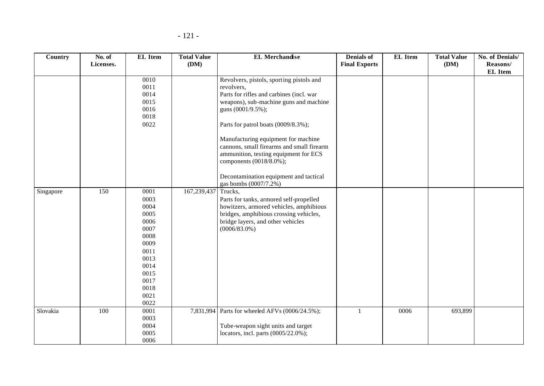|--|

| Country   | No. of<br>Licenses. | <b>EL</b> Item                                                                                                               | <b>Total Value</b><br>(DM) | <b>EL Merchandise</b>                                                                                                                                                                                                                                                                                                                                                                                      | Denials of<br><b>Final Exports</b> | <b>EL</b> Item | <b>Total Value</b><br>(DM) | No. of Denials/<br>Reasons/ |
|-----------|---------------------|------------------------------------------------------------------------------------------------------------------------------|----------------------------|------------------------------------------------------------------------------------------------------------------------------------------------------------------------------------------------------------------------------------------------------------------------------------------------------------------------------------------------------------------------------------------------------------|------------------------------------|----------------|----------------------------|-----------------------------|
|           |                     | 0010<br>0011<br>0014<br>0015<br>0016<br>0018<br>0022                                                                         |                            | Revolvers, pistols, sporting pistols and<br>revolvers,<br>Parts for rifles and carbines (incl. war<br>weapons), sub-machine guns and machine<br>guns (0001/9.5%);<br>Parts for patrol boats (0009/8.3%);<br>Manufacturing equipment for machine<br>cannons, small firearms and small firearm<br>ammunition, testing equipment for ECS<br>components (0018/8.0%);<br>Decontamination equipment and tactical |                                    |                |                            | <b>EL</b> Item              |
| Singapore | 150                 | 0001<br>0003<br>0004<br>0005<br>0006<br>0007<br>0008<br>0009<br>0011<br>0013<br>0014<br>0015<br>0017<br>0018<br>0021<br>0022 | 167,239,437 Trucks,        | gas bombs (0007/7.2%)<br>Parts for tanks, armored self-propelled<br>howitzers, armored vehicles, amphibious<br>bridges, amphibious crossing vehicles,<br>bridge layers, and other vehicles<br>$(0006/83.0\%)$                                                                                                                                                                                              |                                    |                |                            |                             |
| Slovakia  | 100                 | 0001<br>0003<br>0004<br>0005<br>0006                                                                                         |                            | 7,831,994 Parts for wheeled AFVs (0006/24.5%);<br>Tube-weapon sight units and target<br>locators, incl. parts (0005/22.0%);                                                                                                                                                                                                                                                                                | $\mathbf{1}$                       | 0006           | 693,899                    |                             |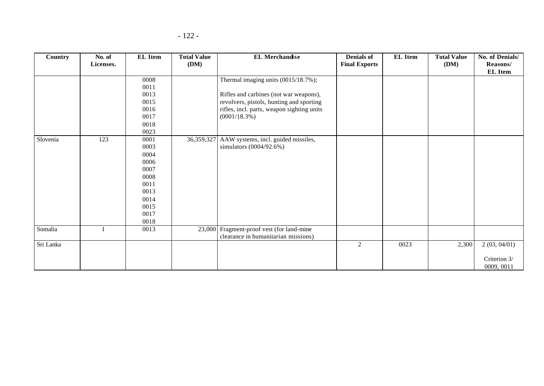| Country   | No. of<br>Licenses. | EL Item | <b>Total Value</b><br>(DM) | <b>EL Merchandise</b>                      | <b>Denials of</b><br><b>Final Exports</b> | <b>EL</b> Item | <b>Total Value</b><br>(DM) | No. of Denials/<br>Reasons/ |
|-----------|---------------------|---------|----------------------------|--------------------------------------------|-------------------------------------------|----------------|----------------------------|-----------------------------|
|           |                     |         |                            |                                            |                                           |                |                            | EL Item                     |
|           |                     | 0008    |                            | Thermal imaging units (0015/18.7%);        |                                           |                |                            |                             |
|           |                     | 0011    |                            |                                            |                                           |                |                            |                             |
|           |                     | 0013    |                            | Rifles and carbines (not war weapons),     |                                           |                |                            |                             |
|           |                     | 0015    |                            | revolvers, pistols, hunting and sporting   |                                           |                |                            |                             |
|           |                     | 0016    |                            | rifles, incl. parts, weapon sighting units |                                           |                |                            |                             |
|           |                     | 0017    |                            | $(0001/18.3\%)$                            |                                           |                |                            |                             |
|           |                     | 0018    |                            |                                            |                                           |                |                            |                             |
|           |                     | 0023    |                            |                                            |                                           |                |                            |                             |
| Slovenia  | 123                 | 0001    | 36,359,327                 | AAW systems, incl. guided missiles,        |                                           |                |                            |                             |
|           |                     | 0003    |                            | simulators (0004/92.6%)                    |                                           |                |                            |                             |
|           |                     | 0004    |                            |                                            |                                           |                |                            |                             |
|           |                     | 0006    |                            |                                            |                                           |                |                            |                             |
|           |                     | 0007    |                            |                                            |                                           |                |                            |                             |
|           |                     | 0008    |                            |                                            |                                           |                |                            |                             |
|           |                     | 0011    |                            |                                            |                                           |                |                            |                             |
|           |                     | 0013    |                            |                                            |                                           |                |                            |                             |
|           |                     | 0014    |                            |                                            |                                           |                |                            |                             |
|           |                     | 0015    |                            |                                            |                                           |                |                            |                             |
|           |                     | 0017    |                            |                                            |                                           |                |                            |                             |
|           |                     | 0018    |                            |                                            |                                           |                |                            |                             |
| Somalia   |                     | 0013    |                            | 23,000 Fragment-proof vest (for land-mine  |                                           |                |                            |                             |
|           |                     |         |                            | clearance in humanitarian missions)        |                                           |                |                            |                             |
| Sri Lanka |                     |         |                            |                                            | $\overline{c}$                            | 0023           | 2,300                      | 2(03, 04/01)                |
|           |                     |         |                            |                                            |                                           |                |                            | Criterion 3/                |
|           |                     |         |                            |                                            |                                           |                |                            | 0009, 0011                  |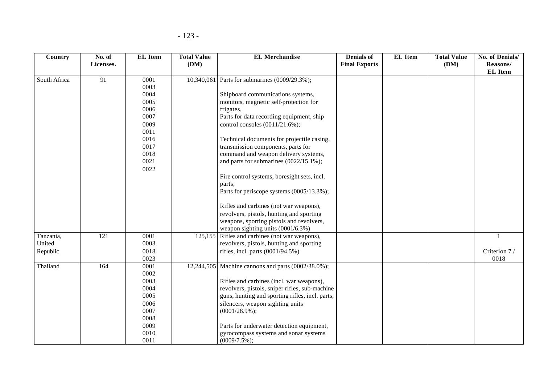| Country                         | No. of<br>Licenses. | <b>EL</b> Item                                                                                       | <b>Total Value</b><br>(DM) | <b>EL Merchandise</b>                                                                                                                                                                                                                                                                                                                                                                                                                                                                                                                                                                                                                                                          | <b>Denials of</b><br><b>Final Exports</b> | EL Item | <b>Total Value</b><br>(DM) | No. of Denials/<br>Reasons/<br><b>EL</b> Item |
|---------------------------------|---------------------|------------------------------------------------------------------------------------------------------|----------------------------|--------------------------------------------------------------------------------------------------------------------------------------------------------------------------------------------------------------------------------------------------------------------------------------------------------------------------------------------------------------------------------------------------------------------------------------------------------------------------------------------------------------------------------------------------------------------------------------------------------------------------------------------------------------------------------|-------------------------------------------|---------|----------------------------|-----------------------------------------------|
| South Africa                    | 91                  | 0001<br>0003<br>0004<br>0005<br>0006<br>0007<br>0009<br>0011<br>0016<br>0017<br>0018<br>0021<br>0022 |                            | 10,340,061 Parts for submarines (0009/29.3%);<br>Shipboard communications systems,<br>monitors, magnetic self-protection for<br>frigates,<br>Parts for data recording equipment, ship<br>control consoles (0011/21.6%);<br>Technical documents for projectile casing,<br>transmission components, parts for<br>command and weapon delivery systems,<br>and parts for submarines $(0022/15.1\%)$ ;<br>Fire control systems, boresight sets, incl.<br>parts,<br>Parts for periscope systems (0005/13.3%);<br>Rifles and carbines (not war weapons),<br>revolvers, pistols, hunting and sporting<br>weapons, sporting pistols and revolvers,<br>weapon sighting units (0001/6.3%) |                                           |         |                            |                                               |
| Tanzania,<br>United<br>Republic | 121                 | 0001<br>0003<br>0018<br>0023                                                                         | 125,155                    | Rifles and carbines (not war weapons),<br>revolvers, pistols, hunting and sporting<br>rifles, incl. parts (0001/94.5%)                                                                                                                                                                                                                                                                                                                                                                                                                                                                                                                                                         |                                           |         |                            | $\mathbf{1}$<br>Criterion 7/<br>0018          |
| Thailand                        | 164                 | 0001<br>0002<br>0003<br>0004<br>0005<br>0006<br>0007<br>0008<br>0009<br>0010<br>0011                 |                            | 12,244,505 Machine cannons and parts $(0.002/38.0\%)$ ;<br>Rifles and carbines (incl. war weapons),<br>revolvers, pistols, sniper rifles, sub-machine<br>guns, hunting and sporting rifles, incl. parts,<br>silencers, weapon sighting units<br>$(0001/28.9\%);$<br>Parts for underwater detection equipment,<br>gyrocompass systems and sonar systems<br>$(0009/7.5\%)$ ;                                                                                                                                                                                                                                                                                                     |                                           |         |                            |                                               |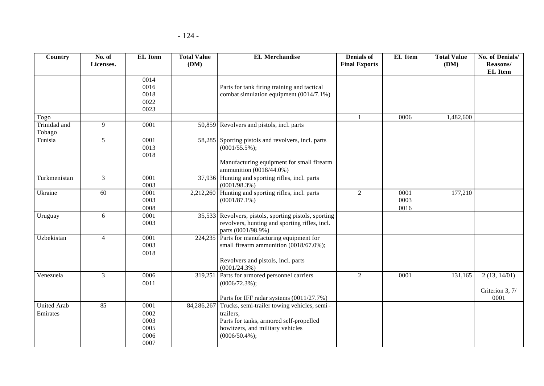| Country                        | No. of<br>Licenses. | <b>EL</b> Item                               | <b>Total Value</b><br>(DM) | <b>EL Merchandise</b>                                                                                                                                       | <b>Denials of</b><br><b>Final Exports</b> | <b>EL</b> Item       | <b>Total Value</b><br>(DM) | No. of Denials/<br>Reasons/<br><b>EL</b> Item |
|--------------------------------|---------------------|----------------------------------------------|----------------------------|-------------------------------------------------------------------------------------------------------------------------------------------------------------|-------------------------------------------|----------------------|----------------------------|-----------------------------------------------|
|                                |                     | 0014<br>0016<br>0018<br>0022<br>0023         |                            | Parts for tank firing training and tactical<br>combat simulation equipment (0014/7.1%)                                                                      |                                           |                      |                            |                                               |
| Togo                           |                     |                                              |                            |                                                                                                                                                             | $\mathbf{1}$                              | 0006                 | 1,482,600                  |                                               |
| Trinidad and<br>Tobago         | 9                   | 0001                                         |                            | 50,859 Revolvers and pistols, incl. parts                                                                                                                   |                                           |                      |                            |                                               |
| Tunisia                        | 5                   | 0001<br>0013<br>0018                         |                            | 58,285 Sporting pistols and revolvers, incl. parts<br>$(0001/55.5\%);$<br>Manufacturing equipment for small firearm<br>ammunition (0018/44.0%)              |                                           |                      |                            |                                               |
| Turkmenistan                   | 3                   | 0001<br>0003                                 |                            | 37,936 Hunting and sporting rifles, incl. parts<br>$(0001/98.3\%)$                                                                                          |                                           |                      |                            |                                               |
| Ukraine                        | 60                  | 0001<br>0003<br>0008                         |                            | 2,212,260 Hunting and sporting rifles, incl. parts<br>$(0001/87.1\%)$                                                                                       | $\overline{2}$                            | 0001<br>0003<br>0016 | 177,210                    |                                               |
| Uruguay                        | 6                   | 0001<br>0003                                 |                            | 35,533 Revolvers, pistols, sporting pistols, sporting<br>revolvers, hunting and sporting rifles, incl.<br>parts (0001/98.9%)                                |                                           |                      |                            |                                               |
| Uzbekistan                     | $\overline{4}$      | 0001<br>0003<br>0018                         | 224,235                    | Parts for manufacturing equipment for<br>small firearm ammunition (0018/67.0%);<br>Revolvers and pistols, incl. parts<br>(0001/24.3%)                       |                                           |                      |                            |                                               |
| Venezuela                      | 3                   | 0006<br>0011                                 |                            | 319,251 Parts for armored personnel carriers<br>$(0006/72.3\%);$<br>Parts for IFF radar systems (0011/27.7%)                                                | $\overline{2}$                            | 0001                 | 131,165                    | 2(13, 14/01)<br>Criterion 3, 7/<br>0001       |
| <b>United Arab</b><br>Emirates | 85                  | 0001<br>0002<br>0003<br>0005<br>0006<br>0007 | 84,286,267                 | Trucks, semi-trailer towing vehicles, semi-<br>trailers,<br>Parts for tanks, armored self-propelled<br>howitzers, and military vehicles<br>$(0006/50.4\%);$ |                                           |                      |                            |                                               |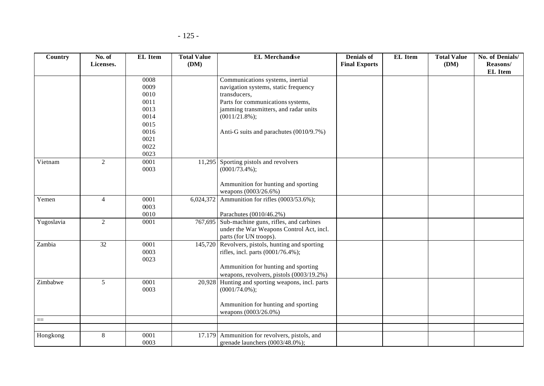| Country    | No. of<br>Licenses. | <b>EL</b> Item | <b>Total Value</b><br>(DM) | <b>EL Merchandise</b>                                                      | <b>Denials of</b><br><b>Final Exports</b> | <b>EL</b> Item | <b>Total Value</b><br>(DM) | No. of Denials/<br>Reasons/ |
|------------|---------------------|----------------|----------------------------|----------------------------------------------------------------------------|-------------------------------------------|----------------|----------------------------|-----------------------------|
|            |                     |                |                            |                                                                            |                                           |                |                            | <b>EL</b> Item              |
|            |                     | 0008           |                            | Communications systems, inertial                                           |                                           |                |                            |                             |
|            |                     | 0009           |                            | navigation systems, static frequency                                       |                                           |                |                            |                             |
|            |                     | 0010<br>0011   |                            | transducers,                                                               |                                           |                |                            |                             |
|            |                     | 0013           |                            | Parts for communications systems,<br>jamming transmitters, and radar units |                                           |                |                            |                             |
|            |                     | 0014           |                            | $(0011/21.8\%);$                                                           |                                           |                |                            |                             |
|            |                     | 0015           |                            |                                                                            |                                           |                |                            |                             |
|            |                     | 0016           |                            | Anti-G suits and parachutes (0010/9.7%)                                    |                                           |                |                            |                             |
|            |                     | 0021           |                            |                                                                            |                                           |                |                            |                             |
|            |                     | 0022           |                            |                                                                            |                                           |                |                            |                             |
|            |                     | 0023           |                            |                                                                            |                                           |                |                            |                             |
| Vietnam    | $\overline{c}$      | 0001           |                            | 11,295 Sporting pistols and revolvers                                      |                                           |                |                            |                             |
|            |                     | 0003           |                            | $(0001/73.4\%);$                                                           |                                           |                |                            |                             |
|            |                     |                |                            | Ammunition for hunting and sporting                                        |                                           |                |                            |                             |
|            |                     |                |                            | weapons (0003/26.6%)                                                       |                                           |                |                            |                             |
| Yemen      | $\overline{4}$      | 0001           |                            | 6,024,372 Ammunition for rifles $(0.003/53.6\%)$ ;                         |                                           |                |                            |                             |
|            |                     | 0003           |                            |                                                                            |                                           |                |                            |                             |
|            |                     | 0010           |                            | Parachutes (0010/46.2%)                                                    |                                           |                |                            |                             |
| Yugoslavia | $\sqrt{2}$          | 0001           |                            | 767,695 Sub-machine guns, rifles, and carbines                             |                                           |                |                            |                             |
|            |                     |                |                            | under the War Weapons Control Act, incl.                                   |                                           |                |                            |                             |
|            |                     |                |                            | parts (for UN troops).                                                     |                                           |                |                            |                             |
| Zambia     | $\overline{32}$     | 0001           |                            | 145,720 Revolvers, pistols, hunting and sporting                           |                                           |                |                            |                             |
|            |                     | 0003           |                            | rifles, incl. parts (0001/76.4%);                                          |                                           |                |                            |                             |
|            |                     | 0023           |                            |                                                                            |                                           |                |                            |                             |
|            |                     |                |                            | Ammunition for hunting and sporting                                        |                                           |                |                            |                             |
|            |                     |                |                            | weapons, revolvers, pistols (0003/19.2%)                                   |                                           |                |                            |                             |
| Zimbabwe   | 5                   | 0001           |                            | 20,928 Hunting and sporting weapons, incl. parts                           |                                           |                |                            |                             |
|            |                     | 0003           |                            | $(0001/74.0\%);$                                                           |                                           |                |                            |                             |
|            |                     |                |                            | Ammunition for hunting and sporting                                        |                                           |                |                            |                             |
|            |                     |                |                            | weapons (0003/26.0%)                                                       |                                           |                |                            |                             |
| $\equiv$   |                     |                |                            |                                                                            |                                           |                |                            |                             |
|            |                     |                |                            |                                                                            |                                           |                |                            |                             |
| Hongkong   | 8                   | 0001           | 17.179                     | Ammunition for revolvers, pistols, and                                     |                                           |                |                            |                             |
|            |                     | 0003           |                            | grenade launchers (0003/48.0%);                                            |                                           |                |                            |                             |